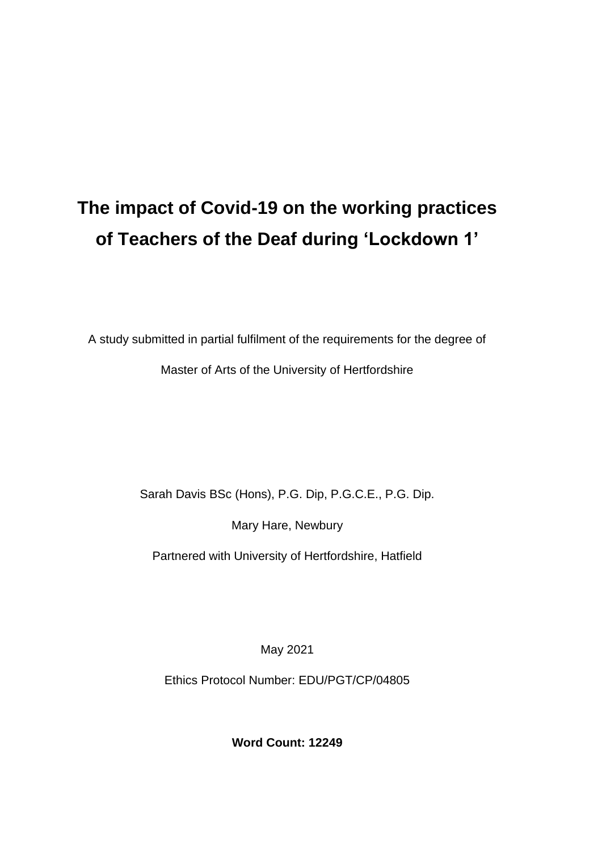# **The impact of Covid-19 on the working practices of Teachers of the Deaf during 'Lockdown 1'**

A study submitted in partial fulfilment of the requirements for the degree of

Master of Arts of the University of Hertfordshire

Sarah Davis BSc (Hons), P.G. Dip, P.G.C.E., P.G. Dip.

Mary Hare, Newbury

Partnered with University of Hertfordshire, Hatfield

May 2021

Ethics Protocol Number: EDU/PGT/CP/04805

**Word Count: 12249**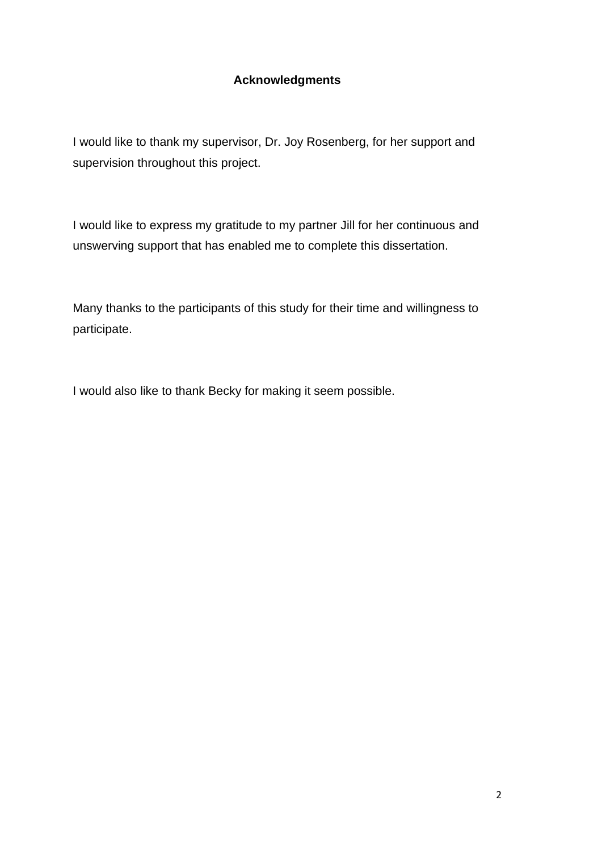#### **Acknowledgments**

I would like to thank my supervisor, Dr. Joy Rosenberg, for her support and supervision throughout this project.

I would like to express my gratitude to my partner Jill for her continuous and unswerving support that has enabled me to complete this dissertation.

Many thanks to the participants of this study for their time and willingness to participate.

I would also like to thank Becky for making it seem possible.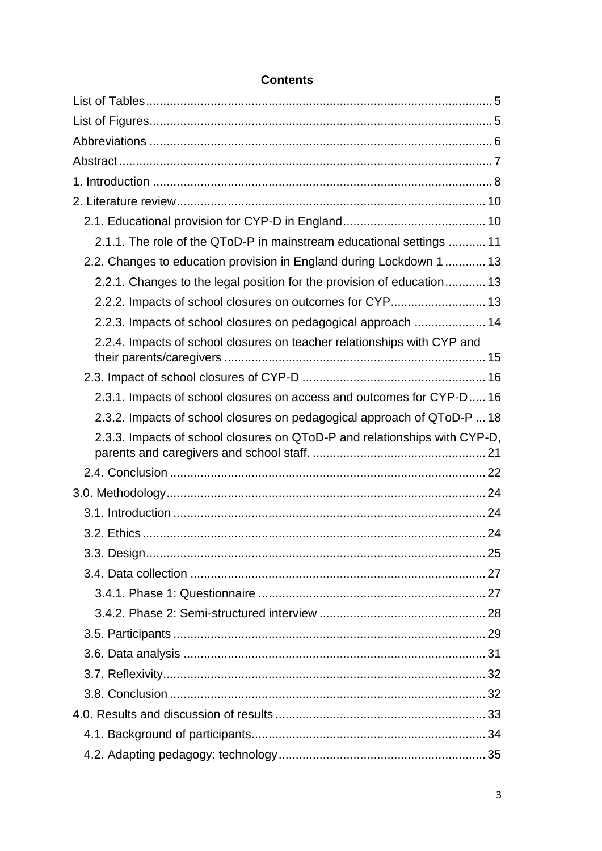| 2.1.1. The role of the QToD-P in mainstream educational settings  11      |  |
|---------------------------------------------------------------------------|--|
| 2.2. Changes to education provision in England during Lockdown 1  13      |  |
| 2.2.1. Changes to the legal position for the provision of education 13    |  |
| 2.2.2. Impacts of school closures on outcomes for CYP 13                  |  |
| 2.2.3. Impacts of school closures on pedagogical approach  14             |  |
| 2.2.4. Impacts of school closures on teacher relationships with CYP and   |  |
|                                                                           |  |
| 2.3.1. Impacts of school closures on access and outcomes for CYP-D 16     |  |
| 2.3.2. Impacts of school closures on pedagogical approach of QToD-P  18   |  |
| 2.3.3. Impacts of school closures on QToD-P and relationships with CYP-D, |  |
|                                                                           |  |
|                                                                           |  |
|                                                                           |  |
|                                                                           |  |
|                                                                           |  |
|                                                                           |  |
|                                                                           |  |
|                                                                           |  |
|                                                                           |  |
|                                                                           |  |
|                                                                           |  |
|                                                                           |  |
|                                                                           |  |
|                                                                           |  |
|                                                                           |  |

### **Contents**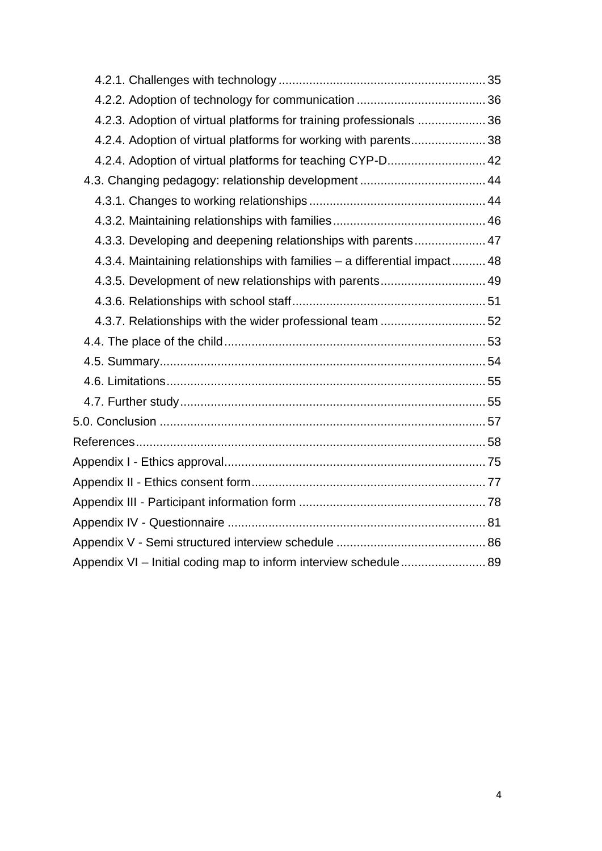| 4.2.3. Adoption of virtual platforms for training professionals  36       |  |
|---------------------------------------------------------------------------|--|
| 4.2.4. Adoption of virtual platforms for working with parents 38          |  |
| 4.2.4. Adoption of virtual platforms for teaching CYP-D 42                |  |
|                                                                           |  |
|                                                                           |  |
|                                                                           |  |
| 4.3.3. Developing and deepening relationships with parents 47             |  |
| 4.3.4. Maintaining relationships with families - a differential impact 48 |  |
| 4.3.5. Development of new relationships with parents 49                   |  |
|                                                                           |  |
|                                                                           |  |
|                                                                           |  |
|                                                                           |  |
|                                                                           |  |
|                                                                           |  |
|                                                                           |  |
|                                                                           |  |
|                                                                           |  |
|                                                                           |  |
|                                                                           |  |
|                                                                           |  |
|                                                                           |  |
| Appendix VI - Initial coding map to inform interview schedule 89          |  |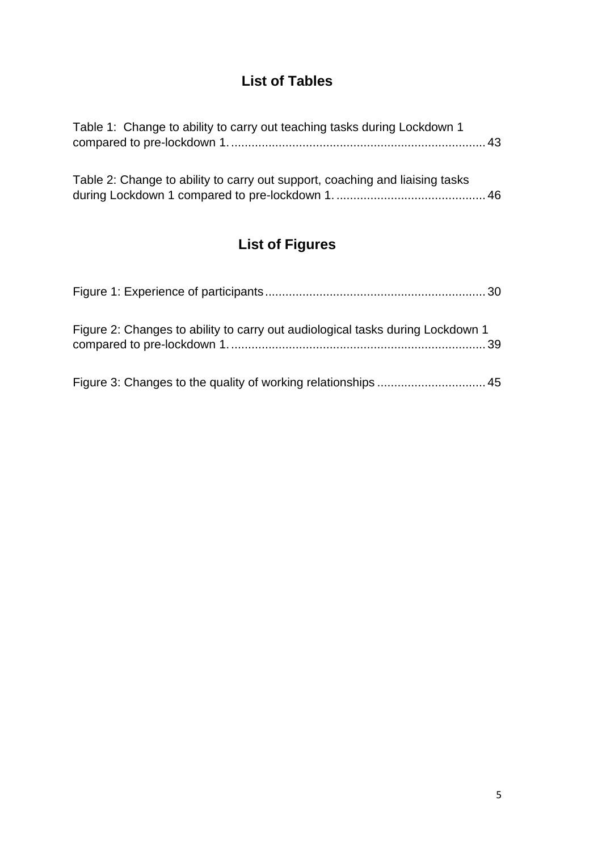## **List of Tables**

<span id="page-4-0"></span>

| Table 1: Change to ability to carry out teaching tasks during Lockdown 1 |  |
|--------------------------------------------------------------------------|--|
|                                                                          |  |

| Table 2: Change to ability to carry out support, coaching and liaising tasks |  |
|------------------------------------------------------------------------------|--|
|                                                                              |  |

## **List of Figures**

<span id="page-4-1"></span>

| Figure 2: Changes to ability to carry out audiological tasks during Lockdown 1 |  |
|--------------------------------------------------------------------------------|--|
|                                                                                |  |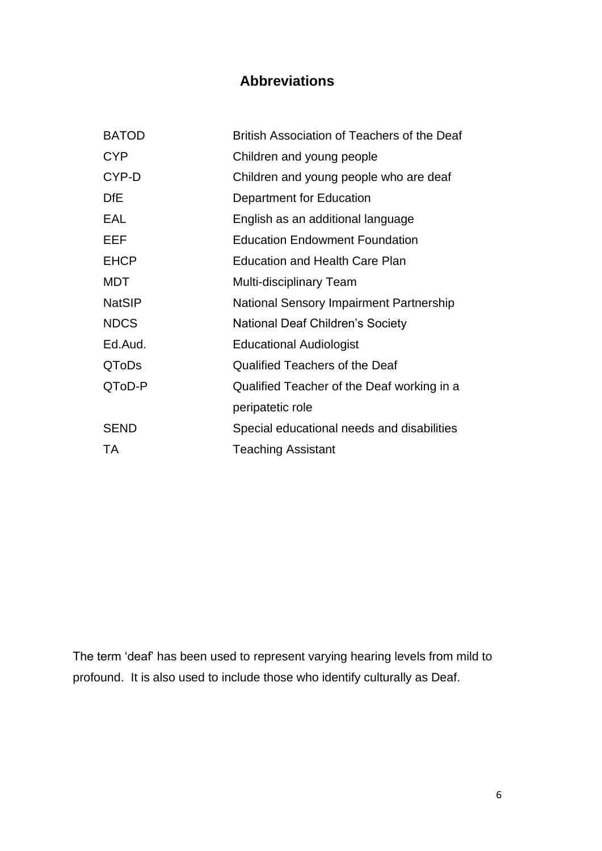## **Abbreviations**

<span id="page-5-0"></span>

| <b>BATOD</b>  | British Association of Teachers of the Deaf    |
|---------------|------------------------------------------------|
| <b>CYP</b>    | Children and young people                      |
| CYP-D         | Children and young people who are deaf         |
| <b>DfE</b>    | Department for Education                       |
| EAL           | English as an additional language              |
| EEF           | <b>Education Endowment Foundation</b>          |
| <b>EHCP</b>   | <b>Education and Health Care Plan</b>          |
| MDT           | Multi-disciplinary Team                        |
| <b>NatSIP</b> | <b>National Sensory Impairment Partnership</b> |
| <b>NDCS</b>   | National Deaf Children's Society               |
| Ed.Aud.       | <b>Educational Audiologist</b>                 |
| <b>QToDs</b>  | <b>Qualified Teachers of the Deaf</b>          |
| QToD-P        | Qualified Teacher of the Deaf working in a     |
|               | peripatetic role                               |
| <b>SEND</b>   | Special educational needs and disabilities     |
| TA            | <b>Teaching Assistant</b>                      |

The term 'deaf' has been used to represent varying hearing levels from mild to profound. It is also used to include those who identify culturally as Deaf.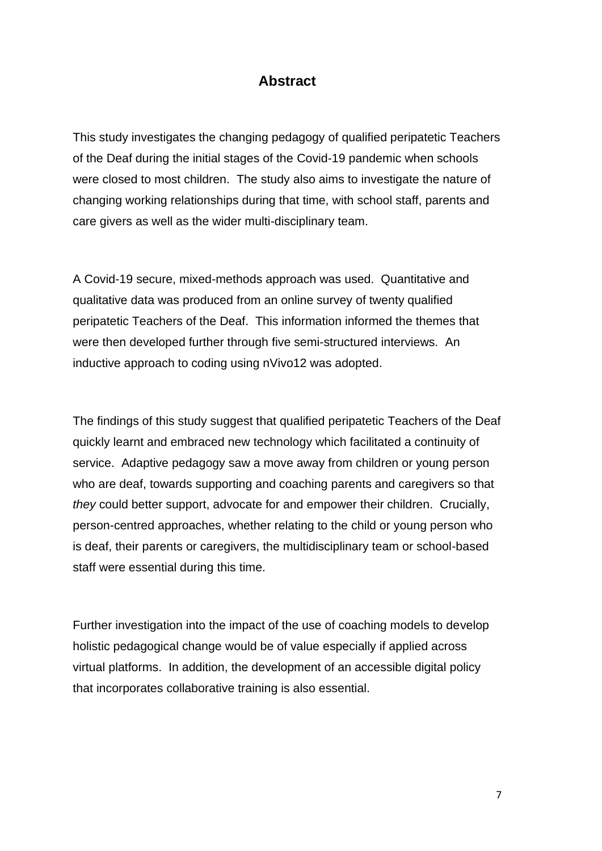#### **Abstract**

<span id="page-6-0"></span>This study investigates the changing pedagogy of qualified peripatetic Teachers of the Deaf during the initial stages of the Covid-19 pandemic when schools were closed to most children. The study also aims to investigate the nature of changing working relationships during that time, with school staff, parents and care givers as well as the wider multi-disciplinary team.

A Covid-19 secure, mixed-methods approach was used. Quantitative and qualitative data was produced from an online survey of twenty qualified peripatetic Teachers of the Deaf. This information informed the themes that were then developed further through five semi-structured interviews. An inductive approach to coding using nVivo12 was adopted.

The findings of this study suggest that qualified peripatetic Teachers of the Deaf quickly learnt and embraced new technology which facilitated a continuity of service. Adaptive pedagogy saw a move away from children or young person who are deaf, towards supporting and coaching parents and caregivers so that *they* could better support, advocate for and empower their children. Crucially, person-centred approaches, whether relating to the child or young person who is deaf, their parents or caregivers, the multidisciplinary team or school-based staff were essential during this time.

Further investigation into the impact of the use of coaching models to develop holistic pedagogical change would be of value especially if applied across virtual platforms. In addition, the development of an accessible digital policy that incorporates collaborative training is also essential.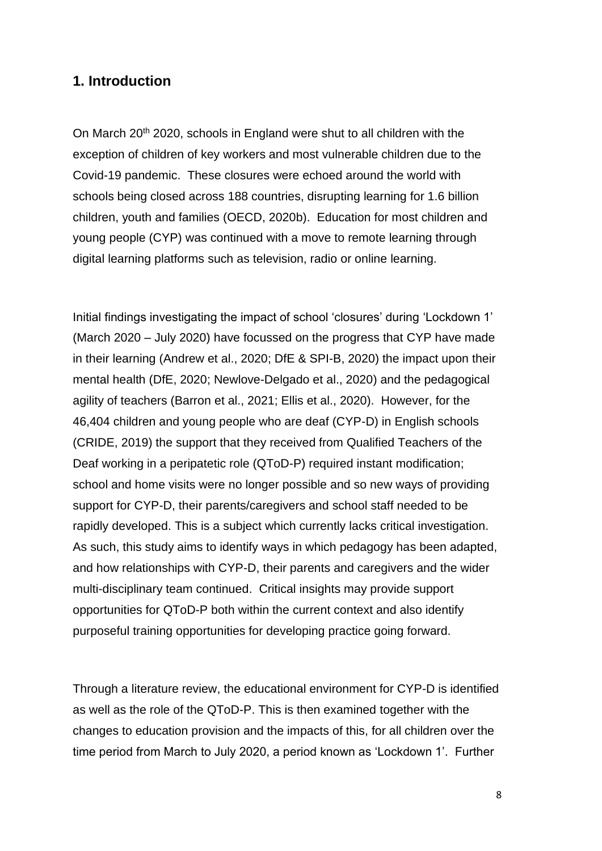#### <span id="page-7-0"></span>**1. Introduction**

On March 20<sup>th</sup> 2020, schools in England were shut to all children with the exception of children of key workers and most vulnerable children due to the Covid-19 pandemic. These closures were echoed around the world with schools being closed across 188 countries, disrupting learning for 1.6 billion children, youth and families (OECD, 2020b). Education for most children and young people (CYP) was continued with a move to remote learning through digital learning platforms such as television, radio or online learning.

Initial findings investigating the impact of school 'closures' during 'Lockdown 1' (March 2020 – July 2020) have focussed on the progress that CYP have made in their learning (Andrew et al., 2020; DfE & SPI-B, 2020) the impact upon their mental health (DfE, 2020; Newlove-Delgado et al., 2020) and the pedagogical agility of teachers (Barron et al., 2021; Ellis et al., 2020). However, for the 46,404 children and young people who are deaf (CYP-D) in English schools (CRIDE, 2019) the support that they received from Qualified Teachers of the Deaf working in a peripatetic role (QToD-P) required instant modification; school and home visits were no longer possible and so new ways of providing support for CYP-D, their parents/caregivers and school staff needed to be rapidly developed. This is a subject which currently lacks critical investigation. As such, this study aims to identify ways in which pedagogy has been adapted, and how relationships with CYP-D, their parents and caregivers and the wider multi-disciplinary team continued. Critical insights may provide support opportunities for QToD-P both within the current context and also identify purposeful training opportunities for developing practice going forward.

Through a literature review, the educational environment for CYP-D is identified as well as the role of the QToD-P. This is then examined together with the changes to education provision and the impacts of this, for all children over the time period from March to July 2020, a period known as 'Lockdown 1'. Further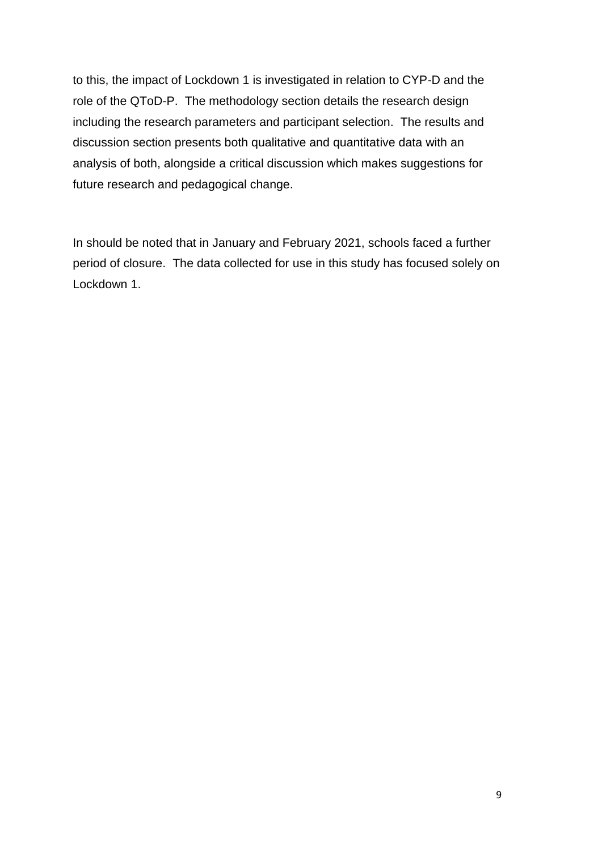to this, the impact of Lockdown 1 is investigated in relation to CYP-D and the role of the QToD-P. The methodology section details the research design including the research parameters and participant selection. The results and discussion section presents both qualitative and quantitative data with an analysis of both, alongside a critical discussion which makes suggestions for future research and pedagogical change.

In should be noted that in January and February 2021, schools faced a further period of closure. The data collected for use in this study has focused solely on Lockdown 1.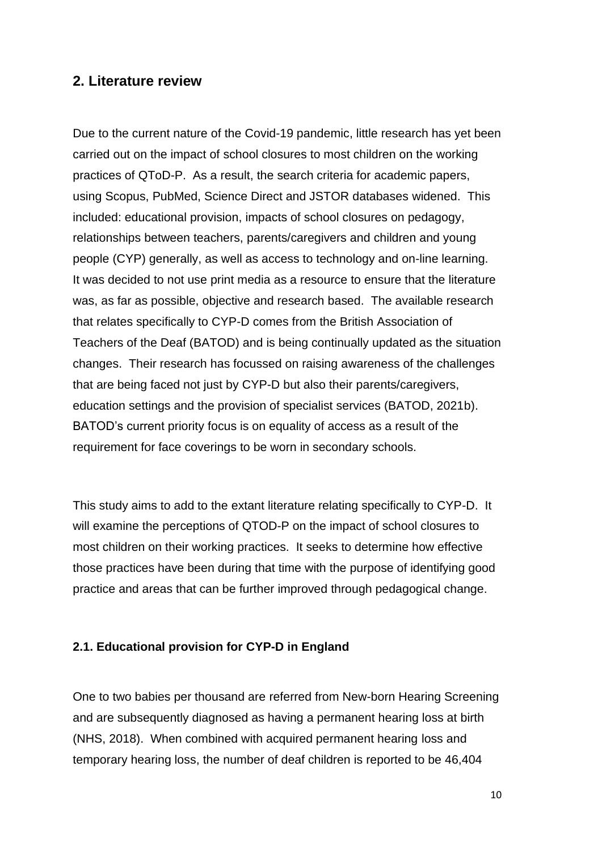#### <span id="page-9-0"></span>**2. Literature review**

Due to the current nature of the Covid-19 pandemic, little research has yet been carried out on the impact of school closures to most children on the working practices of QToD-P. As a result, the search criteria for academic papers, using Scopus, PubMed, Science Direct and JSTOR databases widened. This included: educational provision, impacts of school closures on pedagogy, relationships between teachers, parents/caregivers and children and young people (CYP) generally, as well as access to technology and on-line learning. It was decided to not use print media as a resource to ensure that the literature was, as far as possible, objective and research based. The available research that relates specifically to CYP-D comes from the British Association of Teachers of the Deaf (BATOD) and is being continually updated as the situation changes. Their research has focussed on raising awareness of the challenges that are being faced not just by CYP-D but also their parents/caregivers, education settings and the provision of specialist services (BATOD, 2021b). BATOD's current priority focus is on equality of access as a result of the requirement for face coverings to be worn in secondary schools.

This study aims to add to the extant literature relating specifically to CYP-D. It will examine the perceptions of QTOD-P on the impact of school closures to most children on their working practices. It seeks to determine how effective those practices have been during that time with the purpose of identifying good practice and areas that can be further improved through pedagogical change.

#### <span id="page-9-1"></span>**2.1. Educational provision for CYP-D in England**

One to two babies per thousand are referred from New-born Hearing Screening and are subsequently diagnosed as having a permanent hearing loss at birth (NHS, 2018). When combined with acquired permanent hearing loss and temporary hearing loss, the number of deaf children is reported to be 46,404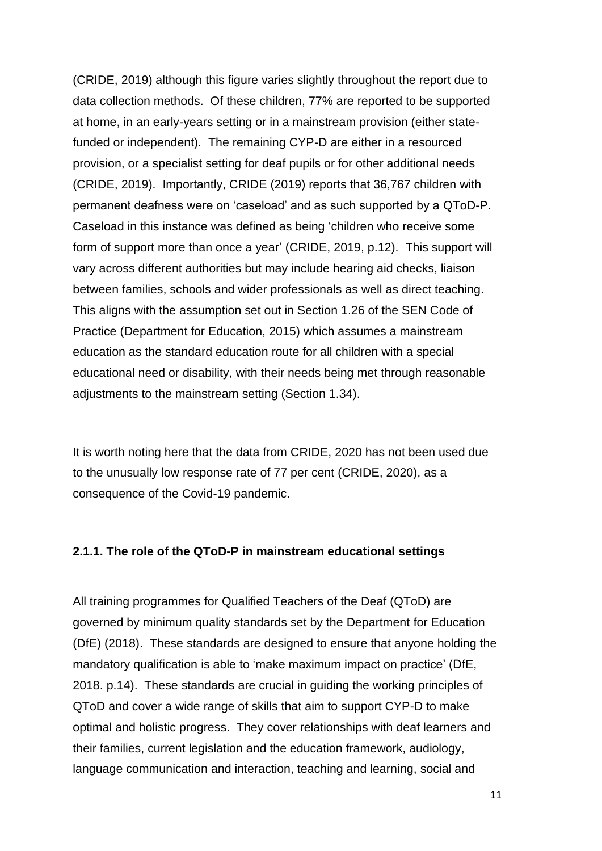(CRIDE, 2019) although this figure varies slightly throughout the report due to data collection methods. Of these children, 77% are reported to be supported at home, in an early-years setting or in a mainstream provision (either statefunded or independent). The remaining CYP-D are either in a resourced provision, or a specialist setting for deaf pupils or for other additional needs (CRIDE, 2019). Importantly, CRIDE (2019) reports that 36,767 children with permanent deafness were on 'caseload' and as such supported by a QToD-P. Caseload in this instance was defined as being 'children who receive some form of support more than once a year' (CRIDE, 2019, p.12). This support will vary across different authorities but may include hearing aid checks, liaison between families, schools and wider professionals as well as direct teaching. This aligns with the assumption set out in Section 1.26 of the SEN Code of Practice (Department for Education, 2015) which assumes a mainstream education as the standard education route for all children with a special educational need or disability, with their needs being met through reasonable adjustments to the mainstream setting (Section 1.34).

It is worth noting here that the data from CRIDE, 2020 has not been used due to the unusually low response rate of 77 per cent (CRIDE, 2020), as a consequence of the Covid-19 pandemic.

#### <span id="page-10-0"></span>**2.1.1. The role of the QToD-P in mainstream educational settings**

All training programmes for Qualified Teachers of the Deaf (QToD) are governed by minimum quality standards set by the Department for Education (DfE) (2018). These standards are designed to ensure that anyone holding the mandatory qualification is able to 'make maximum impact on practice' (DfE, 2018. p.14). These standards are crucial in guiding the working principles of QToD and cover a wide range of skills that aim to support CYP-D to make optimal and holistic progress. They cover relationships with deaf learners and their families, current legislation and the education framework, audiology, language communication and interaction, teaching and learning, social and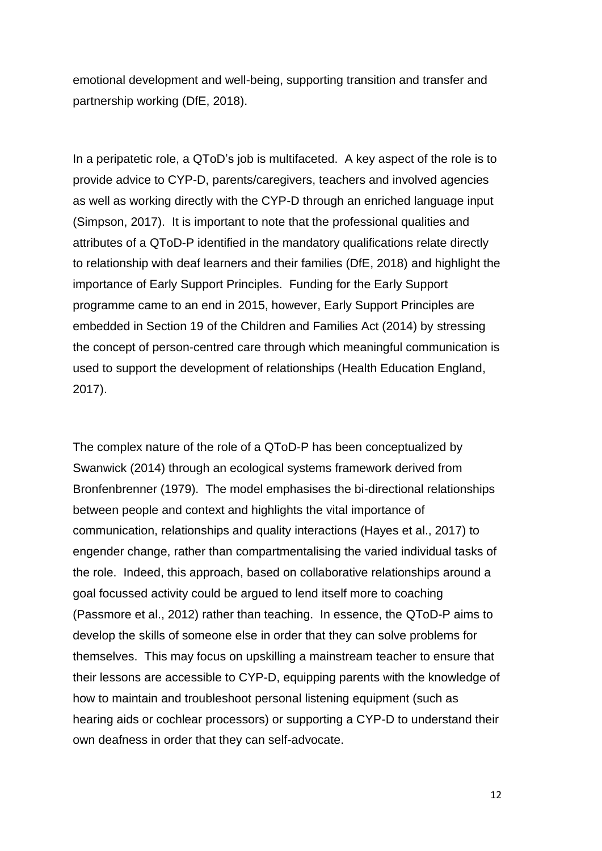emotional development and well-being, supporting transition and transfer and partnership working (DfE, 2018).

In a peripatetic role, a QToD's job is multifaceted. A key aspect of the role is to provide advice to CYP-D, parents/caregivers, teachers and involved agencies as well as working directly with the CYP-D through an enriched language input (Simpson, 2017). It is important to note that the professional qualities and attributes of a QToD-P identified in the mandatory qualifications relate directly to relationship with deaf learners and their families (DfE, 2018) and highlight the importance of Early Support Principles. Funding for the Early Support programme came to an end in 2015, however, Early Support Principles are embedded in Section 19 of the Children and Families Act (2014) by stressing the concept of person-centred care through which meaningful communication is used to support the development of relationships (Health Education England, 2017).

The complex nature of the role of a QToD-P has been conceptualized by Swanwick (2014) through an ecological systems framework derived from Bronfenbrenner (1979). The model emphasises the bi-directional relationships between people and context and highlights the vital importance of communication, relationships and quality interactions (Hayes et al., 2017) to engender change, rather than compartmentalising the varied individual tasks of the role. Indeed, this approach, based on collaborative relationships around a goal focussed activity could be argued to lend itself more to coaching (Passmore et al., 2012) rather than teaching. In essence, the QToD-P aims to develop the skills of someone else in order that they can solve problems for themselves. This may focus on upskilling a mainstream teacher to ensure that their lessons are accessible to CYP-D, equipping parents with the knowledge of how to maintain and troubleshoot personal listening equipment (such as hearing aids or cochlear processors) or supporting a CYP-D to understand their own deafness in order that they can self-advocate.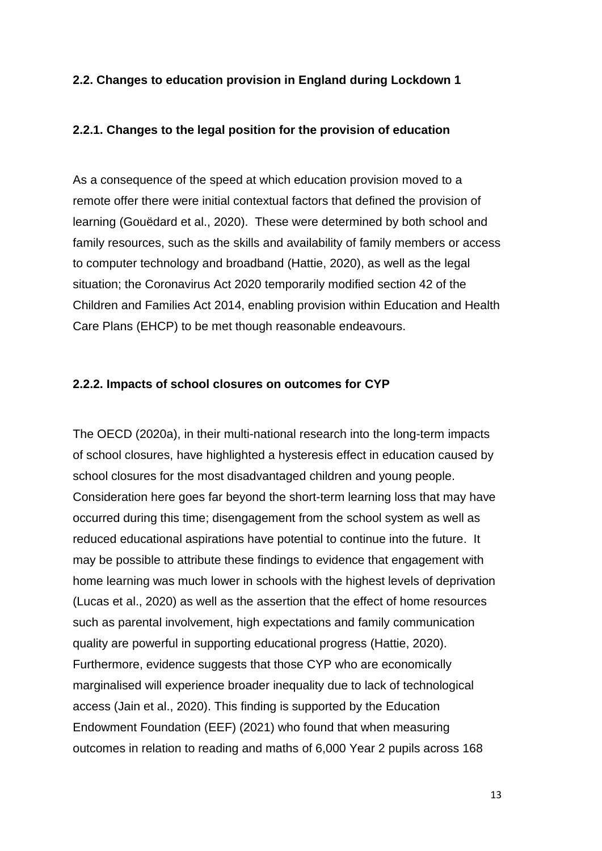#### <span id="page-12-0"></span>**2.2. Changes to education provision in England during Lockdown 1**

#### <span id="page-12-1"></span>**2.2.1. Changes to the legal position for the provision of education**

As a consequence of the speed at which education provision moved to a remote offer there were initial contextual factors that defined the provision of learning (Gouëdard et al., 2020). These were determined by both school and family resources, such as the skills and availability of family members or access to computer technology and broadband (Hattie, 2020), as well as the legal situation; the Coronavirus Act 2020 temporarily modified section 42 of the Children and Families Act 2014, enabling provision within Education and Health Care Plans (EHCP) to be met though reasonable endeavours.

#### <span id="page-12-2"></span>**2.2.2. Impacts of school closures on outcomes for CYP**

The OECD (2020a), in their multi-national research into the long-term impacts of school closures, have highlighted a hysteresis effect in education caused by school closures for the most disadvantaged children and young people. Consideration here goes far beyond the short-term learning loss that may have occurred during this time; disengagement from the school system as well as reduced educational aspirations have potential to continue into the future. It may be possible to attribute these findings to evidence that engagement with home learning was much lower in schools with the highest levels of deprivation (Lucas et al., 2020) as well as the assertion that the effect of home resources such as parental involvement, high expectations and family communication quality are powerful in supporting educational progress (Hattie, 2020). Furthermore, evidence suggests that those CYP who are economically marginalised will experience broader inequality due to lack of technological access (Jain et al., 2020). This finding is supported by the Education Endowment Foundation (EEF) (2021) who found that when measuring outcomes in relation to reading and maths of 6,000 Year 2 pupils across 168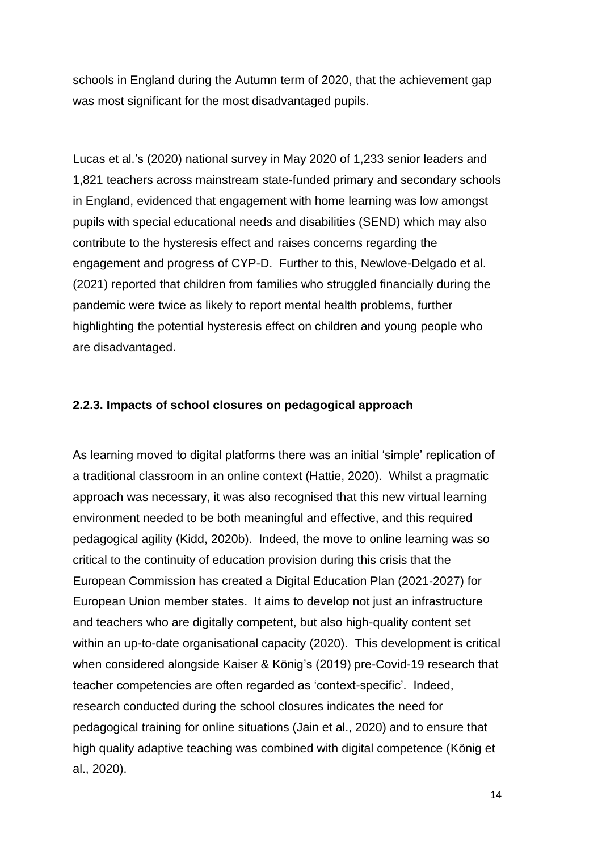schools in England during the Autumn term of 2020, that the achievement gap was most significant for the most disadvantaged pupils.

Lucas et al.'s (2020) national survey in May 2020 of 1,233 senior leaders and 1,821 teachers across mainstream state-funded primary and secondary schools in England, evidenced that engagement with home learning was low amongst pupils with special educational needs and disabilities (SEND) which may also contribute to the hysteresis effect and raises concerns regarding the engagement and progress of CYP-D. Further to this, Newlove-Delgado et al. (2021) reported that children from families who struggled financially during the pandemic were twice as likely to report mental health problems, further highlighting the potential hysteresis effect on children and young people who are disadvantaged.

#### <span id="page-13-0"></span>**2.2.3. Impacts of school closures on pedagogical approach**

As learning moved to digital platforms there was an initial 'simple' replication of a traditional classroom in an online context (Hattie, 2020). Whilst a pragmatic approach was necessary, it was also recognised that this new virtual learning environment needed to be both meaningful and effective, and this required pedagogical agility (Kidd, 2020b). Indeed, the move to online learning was so critical to the continuity of education provision during this crisis that the European Commission has created a Digital Education Plan (2021-2027) for European Union member states. It aims to develop not just an infrastructure and teachers who are digitally competent, but also high-quality content set within an up-to-date organisational capacity (2020). This development is critical when considered alongside Kaiser & König's (2019) pre-Covid-19 research that teacher competencies are often regarded as 'context-specific'. Indeed, research conducted during the school closures indicates the need for pedagogical training for online situations (Jain et al., 2020) and to ensure that high quality adaptive teaching was combined with digital competence (König et al., 2020).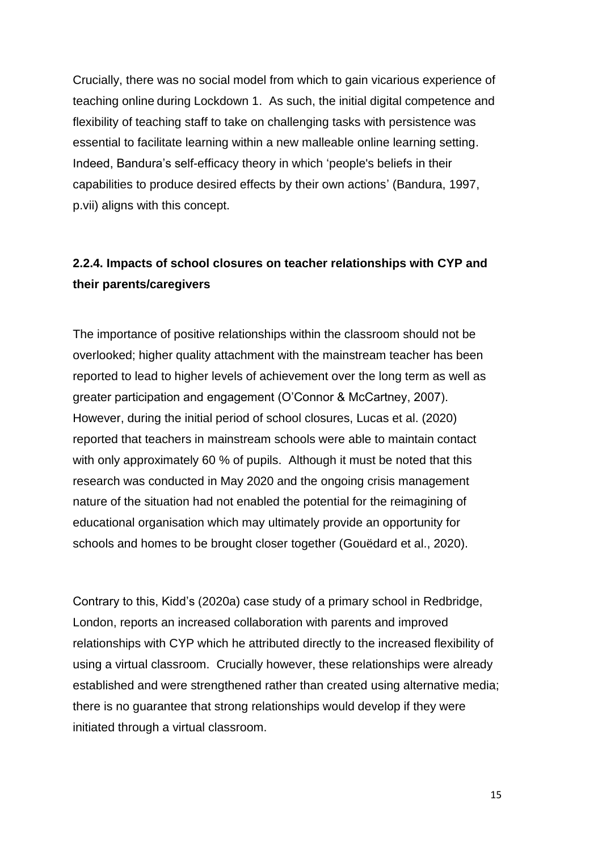Crucially, there was no social model from which to gain vicarious experience of teaching online during Lockdown 1. As such, the initial digital competence and flexibility of teaching staff to take on challenging tasks with persistence was essential to facilitate learning within a new malleable online learning setting. Indeed, Bandura's self-efficacy theory in which 'people's beliefs in their capabilities to produce desired effects by their own actions' (Bandura, 1997, p.vii) aligns with this concept.

## <span id="page-14-0"></span>**2.2.4. Impacts of school closures on teacher relationships with CYP and their parents/caregivers**

The importance of positive relationships within the classroom should not be overlooked; higher quality attachment with the mainstream teacher has been reported to lead to higher levels of achievement over the long term as well as greater participation and engagement (O'Connor & McCartney, 2007). However, during the initial period of school closures, Lucas et al. (2020) reported that teachers in mainstream schools were able to maintain contact with only approximately 60 % of pupils. Although it must be noted that this research was conducted in May 2020 and the ongoing crisis management nature of the situation had not enabled the potential for the reimagining of educational organisation which may ultimately provide an opportunity for schools and homes to be brought closer together (Gouëdard et al., 2020).

Contrary to this, Kidd's (2020a) case study of a primary school in Redbridge, London, reports an increased collaboration with parents and improved relationships with CYP which he attributed directly to the increased flexibility of using a virtual classroom. Crucially however, these relationships were already established and were strengthened rather than created using alternative media; there is no guarantee that strong relationships would develop if they were initiated through a virtual classroom.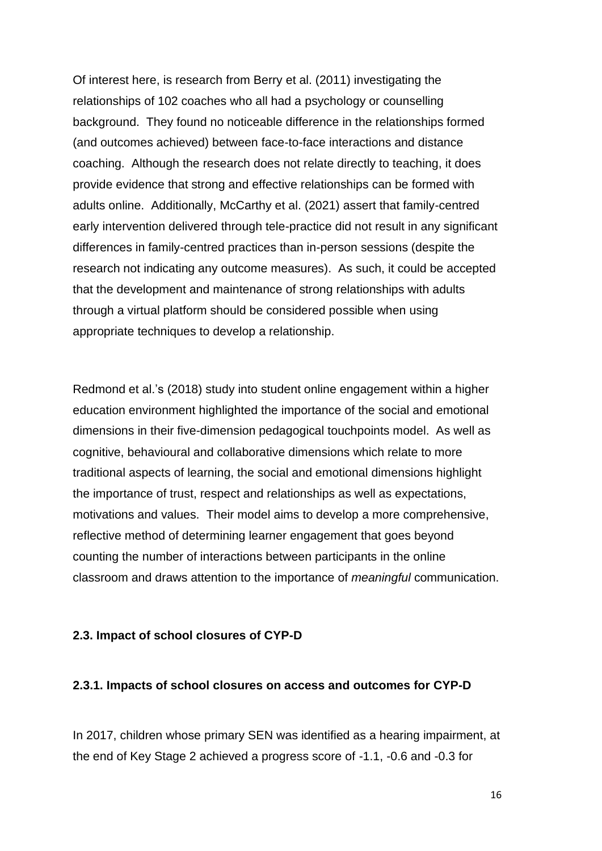Of interest here, is research from Berry et al. (2011) investigating the relationships of 102 coaches who all had a psychology or counselling background. They found no noticeable difference in the relationships formed (and outcomes achieved) between face-to-face interactions and distance coaching. Although the research does not relate directly to teaching, it does provide evidence that strong and effective relationships can be formed with adults online. Additionally, McCarthy et al. (2021) assert that family-centred early intervention delivered through tele-practice did not result in any significant differences in family-centred practices than in-person sessions (despite the research not indicating any outcome measures). As such, it could be accepted that the development and maintenance of strong relationships with adults through a virtual platform should be considered possible when using appropriate techniques to develop a relationship.

Redmond et al.'s (2018) study into student online engagement within a higher education environment highlighted the importance of the social and emotional dimensions in their five-dimension pedagogical touchpoints model. As well as cognitive, behavioural and collaborative dimensions which relate to more traditional aspects of learning, the social and emotional dimensions highlight the importance of trust, respect and relationships as well as expectations, motivations and values. Their model aims to develop a more comprehensive, reflective method of determining learner engagement that goes beyond counting the number of interactions between participants in the online classroom and draws attention to the importance of *meaningful* communication.

#### <span id="page-15-0"></span>**2.3. Impact of school closures of CYP-D**

#### <span id="page-15-1"></span>**2.3.1. Impacts of school closures on access and outcomes for CYP-D**

In 2017, children whose primary SEN was identified as a hearing impairment, at the end of Key Stage 2 achieved a progress score of -1.1, -0.6 and -0.3 for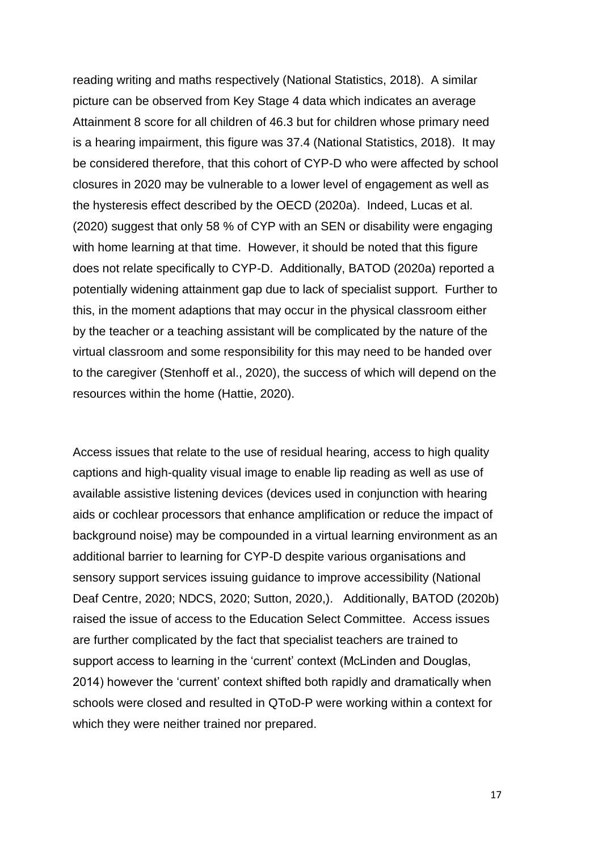reading writing and maths respectively (National Statistics, 2018). A similar picture can be observed from Key Stage 4 data which indicates an average Attainment 8 score for all children of 46.3 but for children whose primary need is a hearing impairment, this figure was 37.4 (National Statistics, 2018). It may be considered therefore, that this cohort of CYP-D who were affected by school closures in 2020 may be vulnerable to a lower level of engagement as well as the hysteresis effect described by the OECD (2020a). Indeed, Lucas et al. (2020) suggest that only 58 % of CYP with an SEN or disability were engaging with home learning at that time. However, it should be noted that this figure does not relate specifically to CYP-D. Additionally, BATOD (2020a) reported a potentially widening attainment gap due to lack of specialist support. Further to this, in the moment adaptions that may occur in the physical classroom either by the teacher or a teaching assistant will be complicated by the nature of the virtual classroom and some responsibility for this may need to be handed over to the caregiver (Stenhoff et al., 2020), the success of which will depend on the resources within the home (Hattie, 2020).

Access issues that relate to the use of residual hearing, access to high quality captions and high-quality visual image to enable lip reading as well as use of available assistive listening devices (devices used in conjunction with hearing aids or cochlear processors that enhance amplification or reduce the impact of background noise) may be compounded in a virtual learning environment as an additional barrier to learning for CYP-D despite various organisations and sensory support services issuing guidance to improve accessibility (National Deaf Centre, 2020; NDCS, 2020; Sutton, 2020,). Additionally, BATOD (2020b) raised the issue of access to the Education Select Committee. Access issues are further complicated by the fact that specialist teachers are trained to support access to learning in the 'current' context (McLinden and Douglas, 2014) however the 'current' context shifted both rapidly and dramatically when schools were closed and resulted in QToD-P were working within a context for which they were neither trained nor prepared.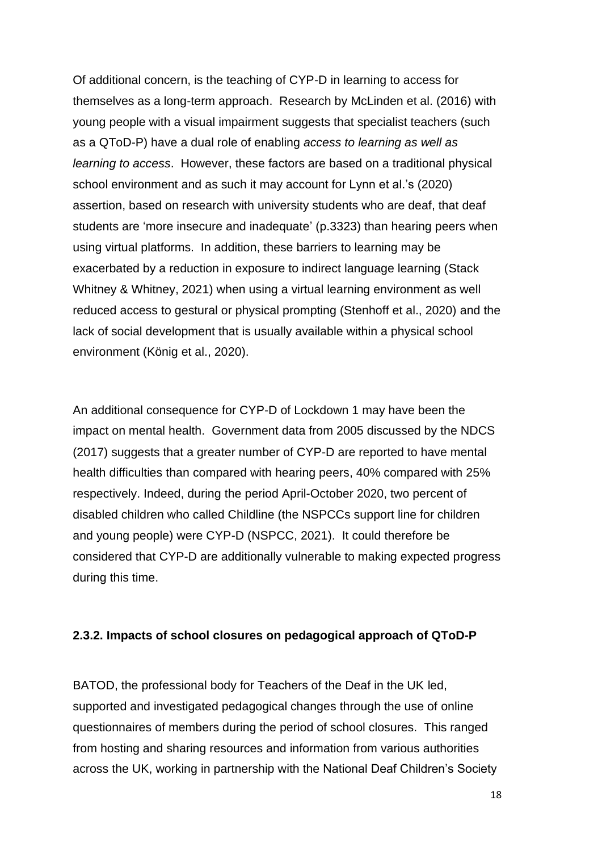Of additional concern, is the teaching of CYP-D in learning to access for themselves as a long-term approach. Research by McLinden et al. (2016) with young people with a visual impairment suggests that specialist teachers (such as a QToD-P) have a dual role of enabling *access to learning as well as learning to access*. However, these factors are based on a traditional physical school environment and as such it may account for Lynn et al.'s (2020) assertion, based on research with university students who are deaf, that deaf students are 'more insecure and inadequate' (p.3323) than hearing peers when using virtual platforms. In addition, these barriers to learning may be exacerbated by a reduction in exposure to indirect language learning (Stack Whitney & Whitney, 2021) when using a virtual learning environment as well reduced access to gestural or physical prompting (Stenhoff et al., 2020) and the lack of social development that is usually available within a physical school environment (König et al., 2020).

An additional consequence for CYP-D of Lockdown 1 may have been the impact on mental health. Government data from 2005 discussed by the NDCS (2017) suggests that a greater number of CYP-D are reported to have mental health difficulties than compared with hearing peers, 40% compared with 25% respectively. Indeed, during the period April-October 2020, two percent of disabled children who called Childline (the NSPCCs support line for children and young people) were CYP-D (NSPCC, 2021). It could therefore be considered that CYP-D are additionally vulnerable to making expected progress during this time.

#### <span id="page-17-0"></span>**2.3.2. Impacts of school closures on pedagogical approach of QToD-P**

BATOD, the professional body for Teachers of the Deaf in the UK led, supported and investigated pedagogical changes through the use of online questionnaires of members during the period of school closures. This ranged from hosting and sharing resources and information from various authorities across the UK, working in partnership with the National Deaf Children's Society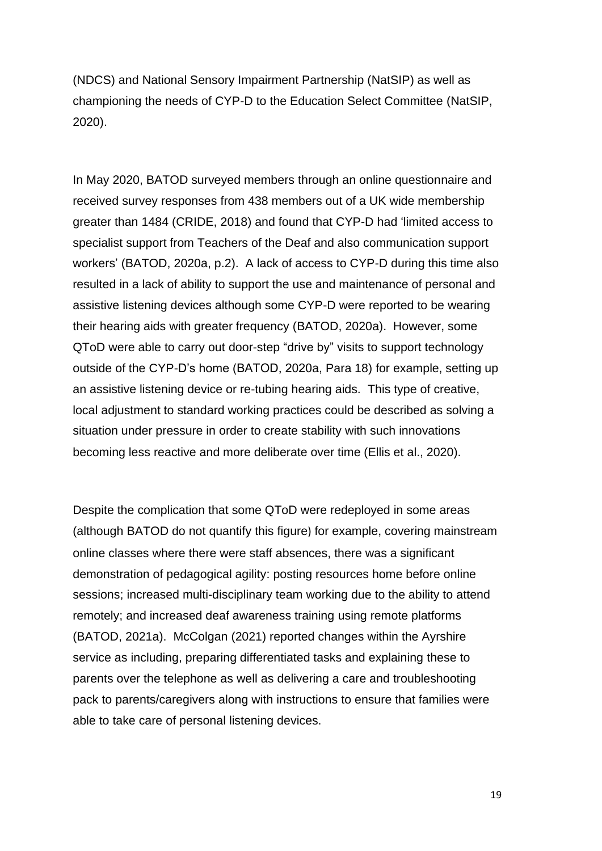(NDCS) and National Sensory Impairment Partnership (NatSIP) as well as championing the needs of CYP-D to the Education Select Committee (NatSIP, 2020).

In May 2020, BATOD surveyed members through an online questionnaire and received survey responses from 438 members out of a UK wide membership greater than 1484 (CRIDE, 2018) and found that CYP-D had 'limited access to specialist support from Teachers of the Deaf and also communication support workers' (BATOD, 2020a, p.2). A lack of access to CYP-D during this time also resulted in a lack of ability to support the use and maintenance of personal and assistive listening devices although some CYP-D were reported to be wearing their hearing aids with greater frequency (BATOD, 2020a). However, some QToD were able to carry out door-step "drive by" visits to support technology outside of the CYP-D's home (BATOD, 2020a, Para 18) for example, setting up an assistive listening device or re-tubing hearing aids. This type of creative, local adjustment to standard working practices could be described as solving a situation under pressure in order to create stability with such innovations becoming less reactive and more deliberate over time (Ellis et al., 2020).

Despite the complication that some QToD were redeployed in some areas (although BATOD do not quantify this figure) for example, covering mainstream online classes where there were staff absences, there was a significant demonstration of pedagogical agility: posting resources home before online sessions; increased multi-disciplinary team working due to the ability to attend remotely; and increased deaf awareness training using remote platforms (BATOD, 2021a). McColgan (2021) reported changes within the Ayrshire service as including, preparing differentiated tasks and explaining these to parents over the telephone as well as delivering a care and troubleshooting pack to parents/caregivers along with instructions to ensure that families were able to take care of personal listening devices.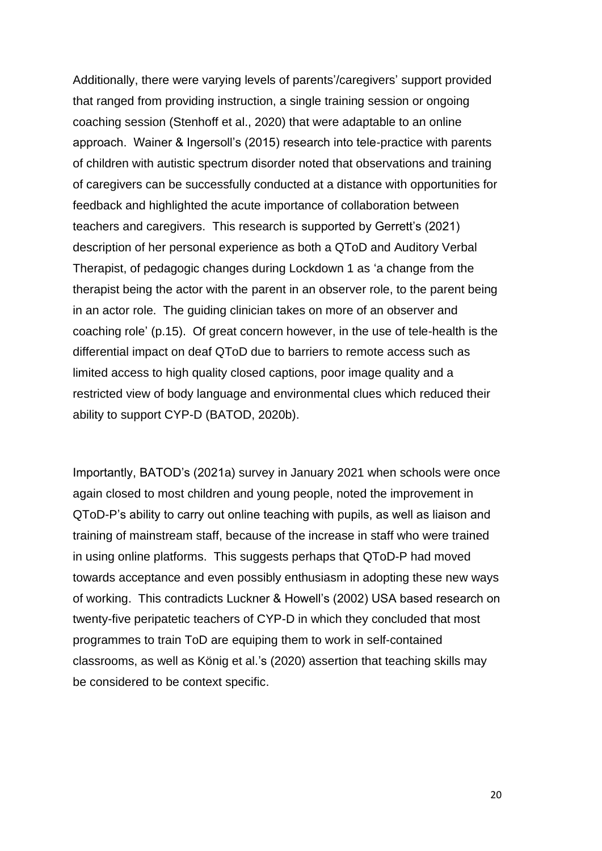Additionally, there were varying levels of parents'/caregivers' support provided that ranged from providing instruction, a single training session or ongoing coaching session (Stenhoff et al., 2020) that were adaptable to an online approach. Wainer & Ingersoll's (2015) research into tele-practice with parents of children with autistic spectrum disorder noted that observations and training of caregivers can be successfully conducted at a distance with opportunities for feedback and highlighted the acute importance of collaboration between teachers and caregivers. This research is supported by Gerrett's (2021) description of her personal experience as both a QToD and Auditory Verbal Therapist, of pedagogic changes during Lockdown 1 as 'a change from the therapist being the actor with the parent in an observer role, to the parent being in an actor role. The guiding clinician takes on more of an observer and coaching role' (p.15). Of great concern however, in the use of tele-health is the differential impact on deaf QToD due to barriers to remote access such as limited access to high quality closed captions, poor image quality and a restricted view of body language and environmental clues which reduced their ability to support CYP-D (BATOD, 2020b).

Importantly, BATOD's (2021a) survey in January 2021 when schools were once again closed to most children and young people, noted the improvement in QToD-P's ability to carry out online teaching with pupils, as well as liaison and training of mainstream staff, because of the increase in staff who were trained in using online platforms. This suggests perhaps that QToD-P had moved towards acceptance and even possibly enthusiasm in adopting these new ways of working. This contradicts Luckner & Howell's (2002) USA based research on twenty-five peripatetic teachers of CYP-D in which they concluded that most programmes to train ToD are equiping them to work in self-contained classrooms, as well as König et al.'s (2020) assertion that teaching skills may be considered to be context specific.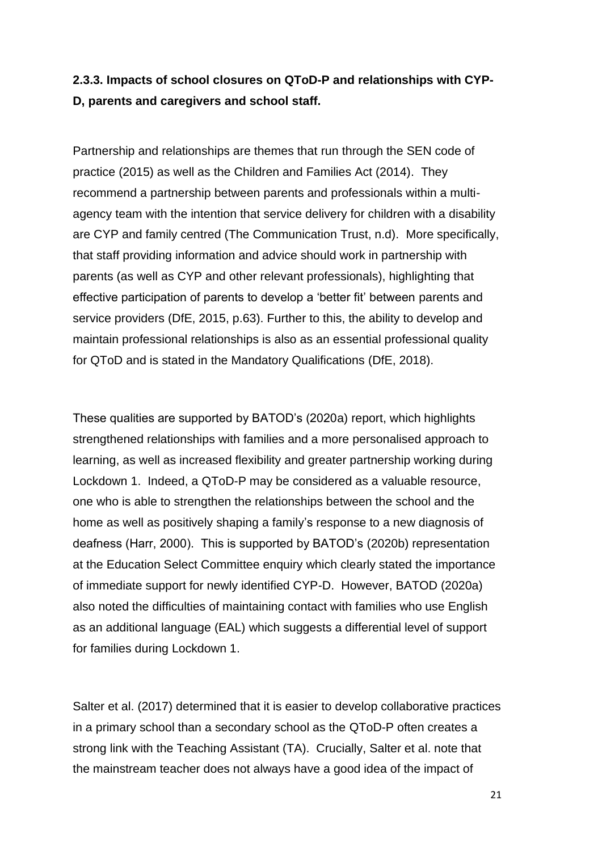## <span id="page-20-0"></span>**2.3.3. Impacts of school closures on QToD-P and relationships with CYP-D, parents and caregivers and school staff.**

Partnership and relationships are themes that run through the SEN code of practice (2015) as well as the Children and Families Act (2014). They recommend a partnership between parents and professionals within a multiagency team with the intention that service delivery for children with a disability are CYP and family centred (The Communication Trust, n.d). More specifically, that staff providing information and advice should work in partnership with parents (as well as CYP and other relevant professionals), highlighting that effective participation of parents to develop a 'better fit' between parents and service providers (DfE, 2015, p.63). Further to this, the ability to develop and maintain professional relationships is also as an essential professional quality for QToD and is stated in the Mandatory Qualifications (DfE, 2018).

These qualities are supported by BATOD's (2020a) report, which highlights strengthened relationships with families and a more personalised approach to learning, as well as increased flexibility and greater partnership working during Lockdown 1. Indeed, a QToD-P may be considered as a valuable resource, one who is able to strengthen the relationships between the school and the home as well as positively shaping a family's response to a new diagnosis of deafness (Harr, 2000). This is supported by BATOD's (2020b) representation at the Education Select Committee enquiry which clearly stated the importance of immediate support for newly identified CYP-D. However, BATOD (2020a) also noted the difficulties of maintaining contact with families who use English as an additional language (EAL) which suggests a differential level of support for families during Lockdown 1.

Salter et al. (2017) determined that it is easier to develop collaborative practices in a primary school than a secondary school as the QToD-P often creates a strong link with the Teaching Assistant (TA). Crucially, Salter et al. note that the mainstream teacher does not always have a good idea of the impact of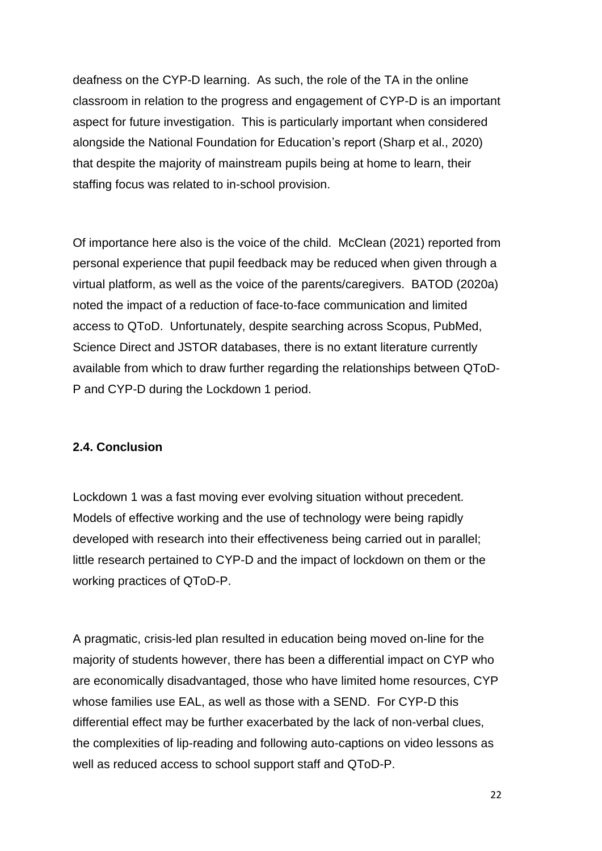deafness on the CYP-D learning. As such, the role of the TA in the online classroom in relation to the progress and engagement of CYP-D is an important aspect for future investigation. This is particularly important when considered alongside the National Foundation for Education's report (Sharp et al., 2020) that despite the majority of mainstream pupils being at home to learn, their staffing focus was related to in-school provision.

Of importance here also is the voice of the child. McClean (2021) reported from personal experience that pupil feedback may be reduced when given through a virtual platform, as well as the voice of the parents/caregivers. BATOD (2020a) noted the impact of a reduction of face-to-face communication and limited access to QToD. Unfortunately, despite searching across Scopus, PubMed, Science Direct and JSTOR databases, there is no extant literature currently available from which to draw further regarding the relationships between QToD-P and CYP-D during the Lockdown 1 period.

#### <span id="page-21-0"></span>**2.4. Conclusion**

Lockdown 1 was a fast moving ever evolving situation without precedent. Models of effective working and the use of technology were being rapidly developed with research into their effectiveness being carried out in parallel; little research pertained to CYP-D and the impact of lockdown on them or the working practices of QToD-P.

A pragmatic, crisis-led plan resulted in education being moved on-line for the majority of students however, there has been a differential impact on CYP who are economically disadvantaged, those who have limited home resources, CYP whose families use EAL, as well as those with a SEND. For CYP-D this differential effect may be further exacerbated by the lack of non-verbal clues, the complexities of lip-reading and following auto-captions on video lessons as well as reduced access to school support staff and QToD-P.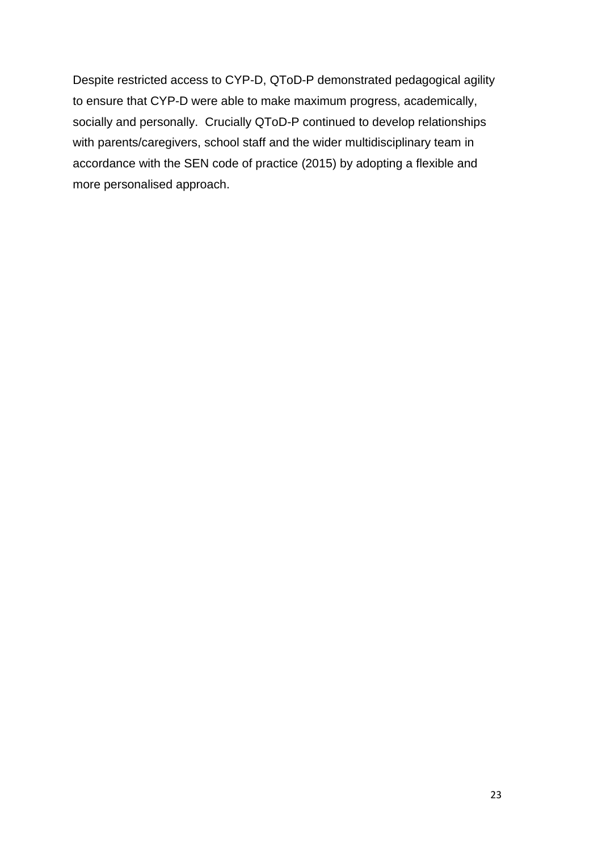Despite restricted access to CYP-D, QToD-P demonstrated pedagogical agility to ensure that CYP-D were able to make maximum progress, academically, socially and personally. Crucially QToD-P continued to develop relationships with parents/caregivers, school staff and the wider multidisciplinary team in accordance with the SEN code of practice (2015) by adopting a flexible and more personalised approach.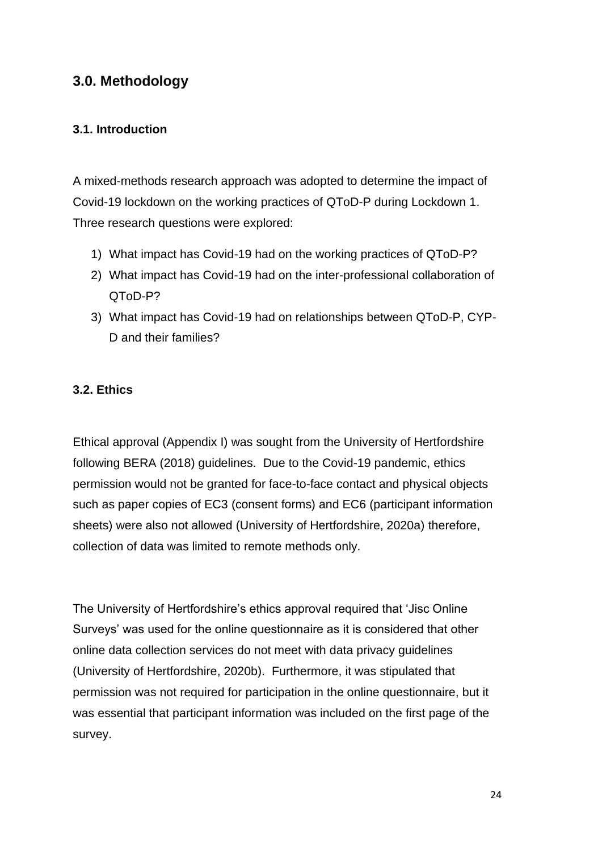### <span id="page-23-0"></span>**3.0. Methodology**

#### <span id="page-23-1"></span>**3.1. Introduction**

A mixed-methods research approach was adopted to determine the impact of Covid-19 lockdown on the working practices of QToD-P during Lockdown 1. Three research questions were explored:

- 1) What impact has Covid-19 had on the working practices of QToD-P?
- 2) What impact has Covid-19 had on the inter-professional collaboration of QToD-P?
- 3) What impact has Covid-19 had on relationships between QToD-P, CYP-D and their families?

#### <span id="page-23-2"></span>**3.2. Ethics**

Ethical approval (Appendix I) was sought from the University of Hertfordshire following BERA (2018) guidelines. Due to the Covid-19 pandemic, ethics permission would not be granted for face-to-face contact and physical objects such as paper copies of EC3 (consent forms) and EC6 (participant information sheets) were also not allowed (University of Hertfordshire, 2020a) therefore, collection of data was limited to remote methods only.

The University of Hertfordshire's ethics approval required that 'Jisc Online Surveys' was used for the online questionnaire as it is considered that other online data collection services do not meet with data privacy guidelines (University of Hertfordshire, 2020b). Furthermore, it was stipulated that permission was not required for participation in the online questionnaire, but it was essential that participant information was included on the first page of the survey.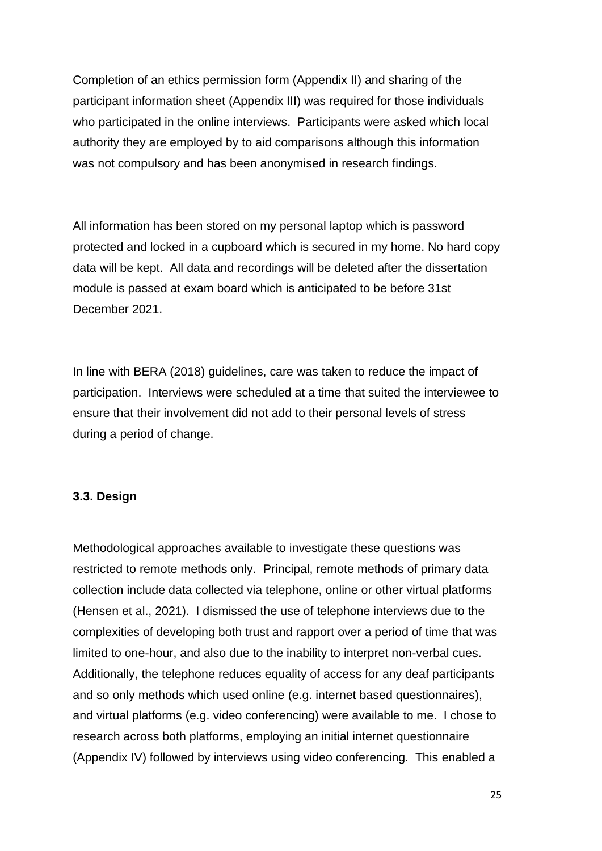Completion of an ethics permission form (Appendix II) and sharing of the participant information sheet (Appendix III) was required for those individuals who participated in the online interviews. Participants were asked which local authority they are employed by to aid comparisons although this information was not compulsory and has been anonymised in research findings.

All information has been stored on my personal laptop which is password protected and locked in a cupboard which is secured in my home. No hard copy data will be kept. All data and recordings will be deleted after the dissertation module is passed at exam board which is anticipated to be before 31st December 2021.

In line with BERA (2018) guidelines, care was taken to reduce the impact of participation. Interviews were scheduled at a time that suited the interviewee to ensure that their involvement did not add to their personal levels of stress during a period of change.

#### <span id="page-24-0"></span>**3.3. Design**

Methodological approaches available to investigate these questions was restricted to remote methods only. Principal, remote methods of primary data collection include data collected via telephone, online or other virtual platforms (Hensen et al., 2021). I dismissed the use of telephone interviews due to the complexities of developing both trust and rapport over a period of time that was limited to one-hour, and also due to the inability to interpret non-verbal cues. Additionally, the telephone reduces equality of access for any deaf participants and so only methods which used online (e.g. internet based questionnaires), and virtual platforms (e.g. video conferencing) were available to me. I chose to research across both platforms, employing an initial internet questionnaire (Appendix IV) followed by interviews using video conferencing. This enabled a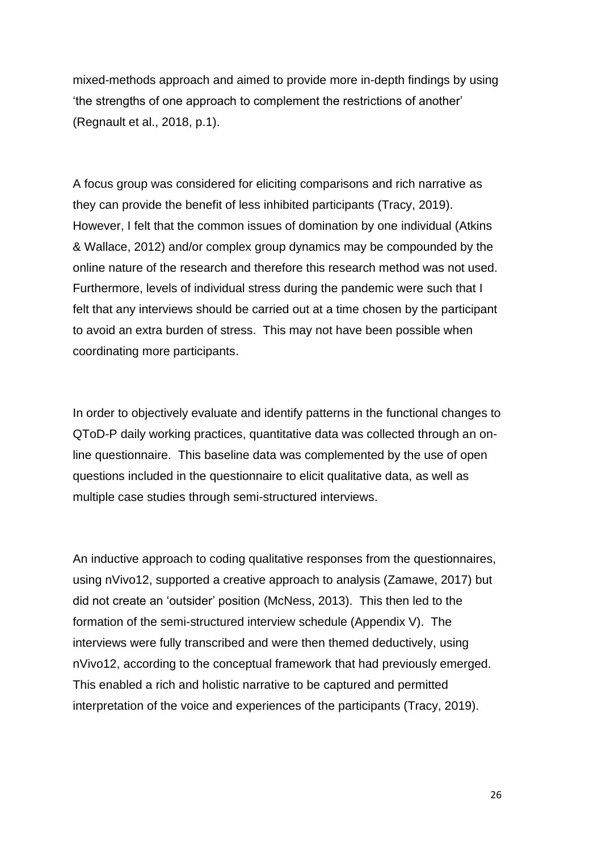mixed-methods approach and aimed to provide more in-depth findings by using 'the strengths of one approach to complement the restrictions of another' (Regnault et al., 2018, p.1).

A focus group was considered for eliciting comparisons and rich narrative as they can provide the benefit of less inhibited participants (Tracy, 2019). However, I felt that the common issues of domination by one individual (Atkins & Wallace, 2012) and/or complex group dynamics may be compounded by the online nature of the research and therefore this research method was not used. Furthermore, levels of individual stress during the pandemic were such that I felt that any interviews should be carried out at a time chosen by the participant to avoid an extra burden of stress. This may not have been possible when coordinating more participants.

In order to objectively evaluate and identify patterns in the functional changes to QToD-P daily working practices, quantitative data was collected through an online questionnaire. This baseline data was complemented by the use of open questions included in the questionnaire to elicit qualitative data, as well as multiple case studies through semi-structured interviews.

An inductive approach to coding qualitative responses from the questionnaires, using nVivo12, supported a creative approach to analysis (Zamawe, 2017) but did not create an 'outsider' position (McNess, 2013). This then led to the formation of the semi-structured interview schedule (Appendix V). The interviews were fully transcribed and were then themed deductively, using nVivo12, according to the conceptual framework that had previously emerged. This enabled a rich and holistic narrative to be captured and permitted interpretation of the voice and experiences of the participants (Tracy, 2019).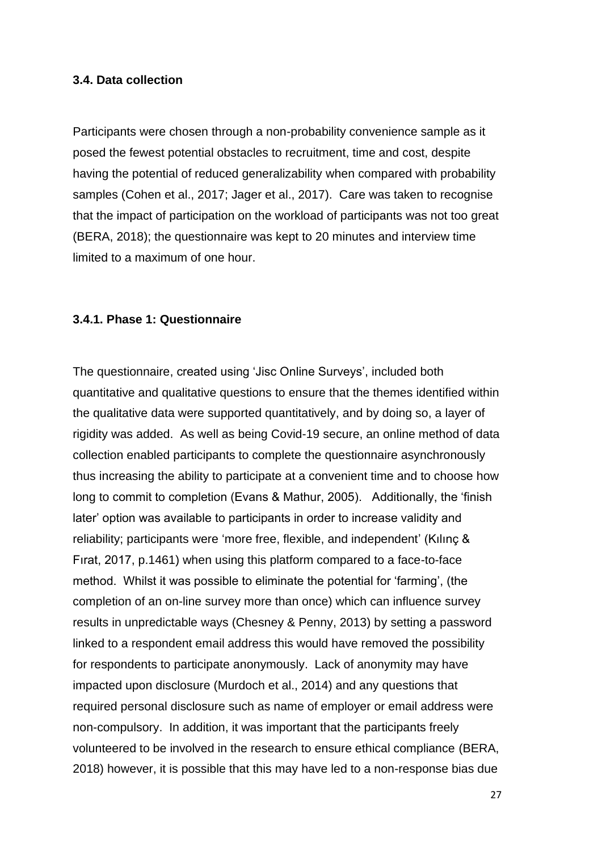#### <span id="page-26-0"></span>**3.4. Data collection**

Participants were chosen through a non-probability convenience sample as it posed the fewest potential obstacles to recruitment, time and cost, despite having the potential of reduced generalizability when compared with probability samples (Cohen et al., 2017; Jager et al., 2017). Care was taken to recognise that the impact of participation on the workload of participants was not too great (BERA, 2018); the questionnaire was kept to 20 minutes and interview time limited to a maximum of one hour.

#### <span id="page-26-1"></span>**3.4.1. Phase 1: Questionnaire**

The questionnaire, created using 'Jisc Online Surveys', included both quantitative and qualitative questions to ensure that the themes identified within the qualitative data were supported quantitatively, and by doing so, a layer of rigidity was added. As well as being Covid-19 secure, an online method of data collection enabled participants to complete the questionnaire asynchronously thus increasing the ability to participate at a convenient time and to choose how long to commit to completion (Evans & Mathur, 2005). Additionally, the 'finish later' option was available to participants in order to increase validity and reliability; participants were 'more free, flexible, and independent' (Kılınç & Fırat, 2017, p.1461) when using this platform compared to a face-to-face method. Whilst it was possible to eliminate the potential for 'farming', (the completion of an on-line survey more than once) which can influence survey results in unpredictable ways (Chesney & Penny, 2013) by setting a password linked to a respondent email address this would have removed the possibility for respondents to participate anonymously. Lack of anonymity may have impacted upon disclosure (Murdoch et al., 2014) and any questions that required personal disclosure such as name of employer or email address were non-compulsory. In addition, it was important that the participants freely volunteered to be involved in the research to ensure ethical compliance (BERA, 2018) however, it is possible that this may have led to a non-response bias due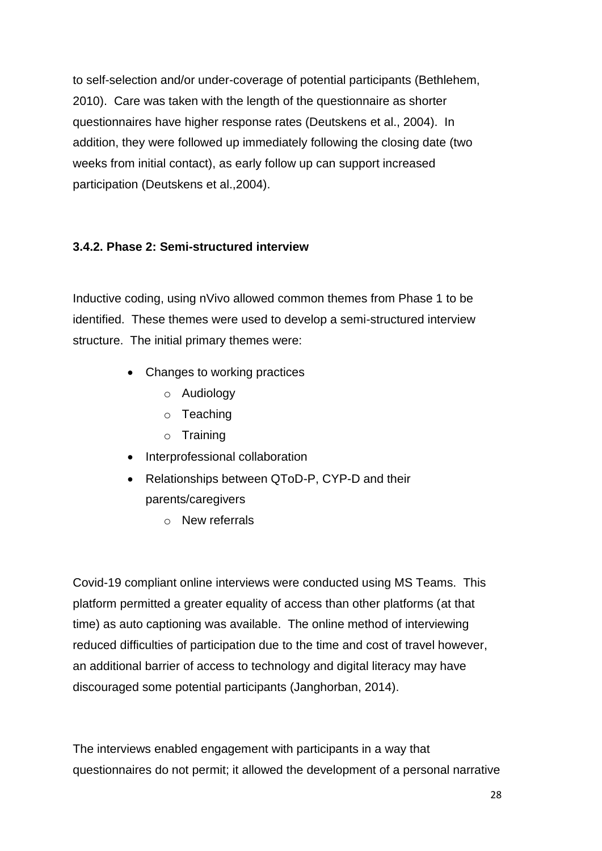to self-selection and/or under-coverage of potential participants (Bethlehem, 2010). Care was taken with the length of the questionnaire as shorter questionnaires have higher response rates (Deutskens et al., 2004). In addition, they were followed up immediately following the closing date (two weeks from initial contact), as early follow up can support increased participation (Deutskens et al.,2004).

#### <span id="page-27-0"></span>**3.4.2. Phase 2: Semi-structured interview**

Inductive coding, using nVivo allowed common themes from Phase 1 to be identified. These themes were used to develop a semi-structured interview structure. The initial primary themes were:

- Changes to working practices
	- o Audiology
	- o Teaching
	- o Training
- Interprofessional collaboration
- Relationships between QToD-P, CYP-D and their parents/caregivers
	- o New referrals

Covid-19 compliant online interviews were conducted using MS Teams. This platform permitted a greater equality of access than other platforms (at that time) as auto captioning was available. The online method of interviewing reduced difficulties of participation due to the time and cost of travel however, an additional barrier of access to technology and digital literacy may have discouraged some potential participants (Janghorban, 2014).

The interviews enabled engagement with participants in a way that questionnaires do not permit; it allowed the development of a personal narrative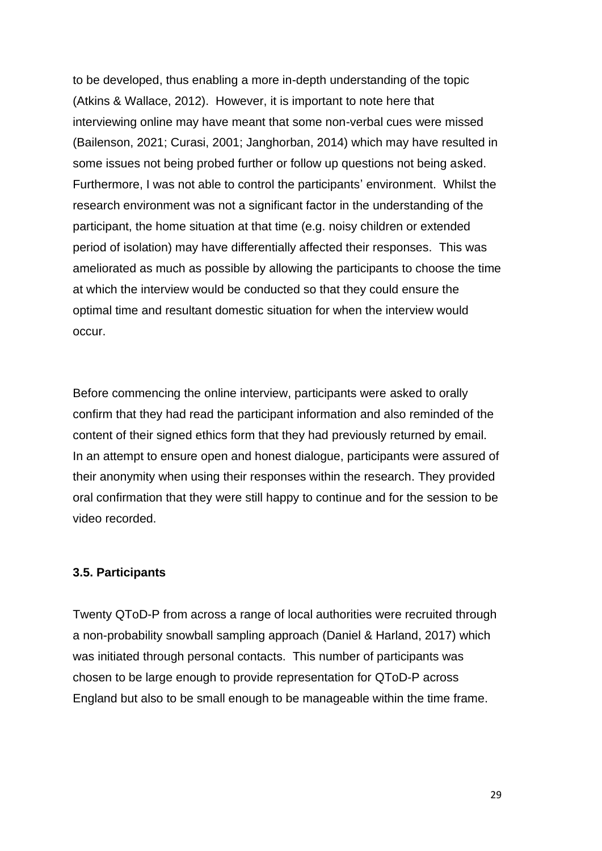to be developed, thus enabling a more in-depth understanding of the topic (Atkins & Wallace, 2012). However, it is important to note here that interviewing online may have meant that some non-verbal cues were missed (Bailenson, 2021; Curasi, 2001; Janghorban, 2014) which may have resulted in some issues not being probed further or follow up questions not being asked. Furthermore, I was not able to control the participants' environment. Whilst the research environment was not a significant factor in the understanding of the participant, the home situation at that time (e.g. noisy children or extended period of isolation) may have differentially affected their responses. This was ameliorated as much as possible by allowing the participants to choose the time at which the interview would be conducted so that they could ensure the optimal time and resultant domestic situation for when the interview would occur.

Before commencing the online interview, participants were asked to orally confirm that they had read the participant information and also reminded of the content of their signed ethics form that they had previously returned by email. In an attempt to ensure open and honest dialogue, participants were assured of their anonymity when using their responses within the research. They provided oral confirmation that they were still happy to continue and for the session to be video recorded.

#### <span id="page-28-0"></span>**3.5. Participants**

Twenty QToD-P from across a range of local authorities were recruited through a non-probability snowball sampling approach (Daniel & Harland, 2017) which was initiated through personal contacts. This number of participants was chosen to be large enough to provide representation for QToD-P across England but also to be small enough to be manageable within the time frame.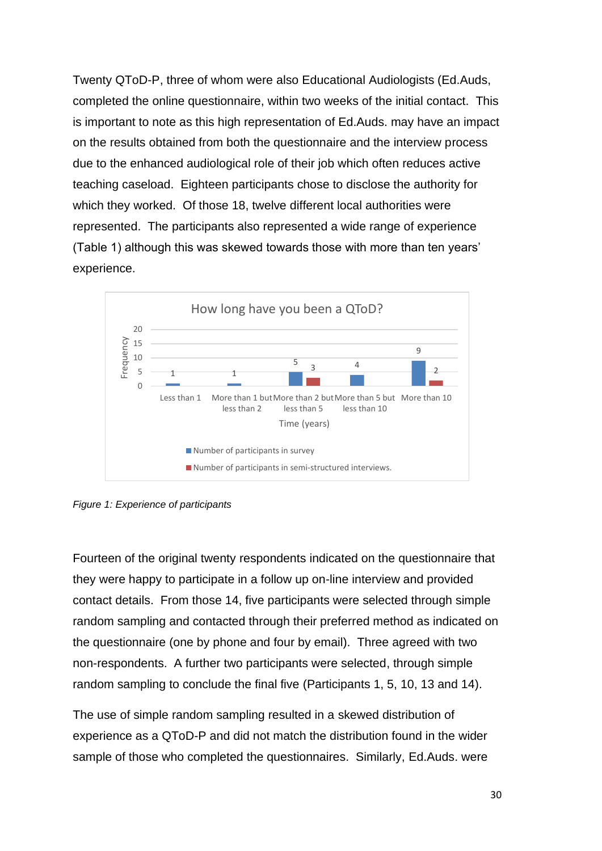Twenty QToD-P, three of whom were also Educational Audiologists (Ed.Auds, completed the online questionnaire, within two weeks of the initial contact. This is important to note as this high representation of Ed.Auds. may have an impact on the results obtained from both the questionnaire and the interview process due to the enhanced audiological role of their job which often reduces active teaching caseload. Eighteen participants chose to disclose the authority for which they worked. Of those 18, twelve different local authorities were represented. The participants also represented a wide range of experience (Table 1) although this was skewed towards those with more than ten years' experience.



<span id="page-29-0"></span>*Figure 1: Experience of participants*

Fourteen of the original twenty respondents indicated on the questionnaire that they were happy to participate in a follow up on-line interview and provided contact details. From those 14, five participants were selected through simple random sampling and contacted through their preferred method as indicated on the questionnaire (one by phone and four by email). Three agreed with two non-respondents. A further two participants were selected, through simple random sampling to conclude the final five (Participants 1, 5, 10, 13 and 14).

The use of simple random sampling resulted in a skewed distribution of experience as a QToD-P and did not match the distribution found in the wider sample of those who completed the questionnaires. Similarly, Ed.Auds. were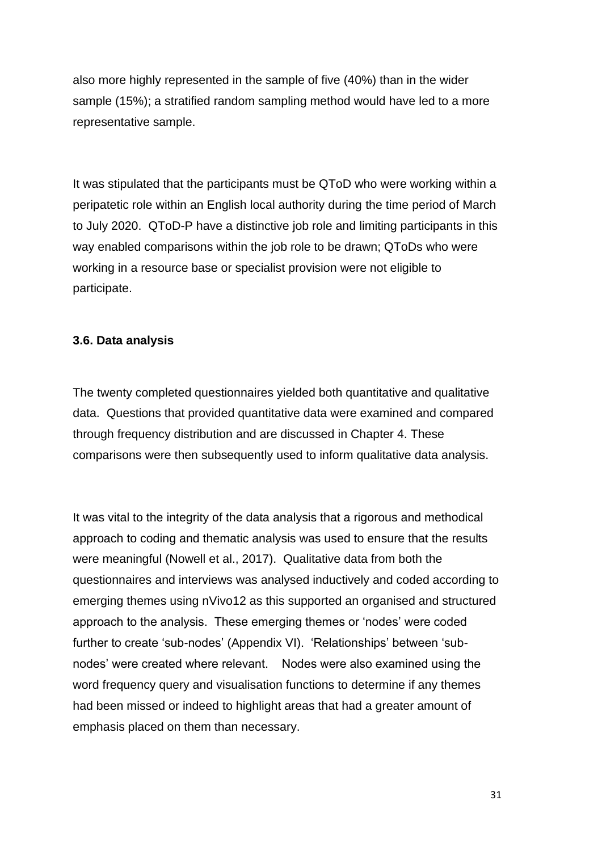also more highly represented in the sample of five (40%) than in the wider sample (15%); a stratified random sampling method would have led to a more representative sample.

It was stipulated that the participants must be QToD who were working within a peripatetic role within an English local authority during the time period of March to July 2020. QToD-P have a distinctive job role and limiting participants in this way enabled comparisons within the job role to be drawn; QToDs who were working in a resource base or specialist provision were not eligible to participate.

#### <span id="page-30-0"></span>**3.6. Data analysis**

The twenty completed questionnaires yielded both quantitative and qualitative data. Questions that provided quantitative data were examined and compared through frequency distribution and are discussed in Chapter 4. These comparisons were then subsequently used to inform qualitative data analysis.

It was vital to the integrity of the data analysis that a rigorous and methodical approach to coding and thematic analysis was used to ensure that the results were meaningful (Nowell et al., 2017). Qualitative data from both the questionnaires and interviews was analysed inductively and coded according to emerging themes using nVivo12 as this supported an organised and structured approach to the analysis. These emerging themes or 'nodes' were coded further to create 'sub-nodes' (Appendix VI). 'Relationships' between 'subnodes' were created where relevant. Nodes were also examined using the word frequency query and visualisation functions to determine if any themes had been missed or indeed to highlight areas that had a greater amount of emphasis placed on them than necessary.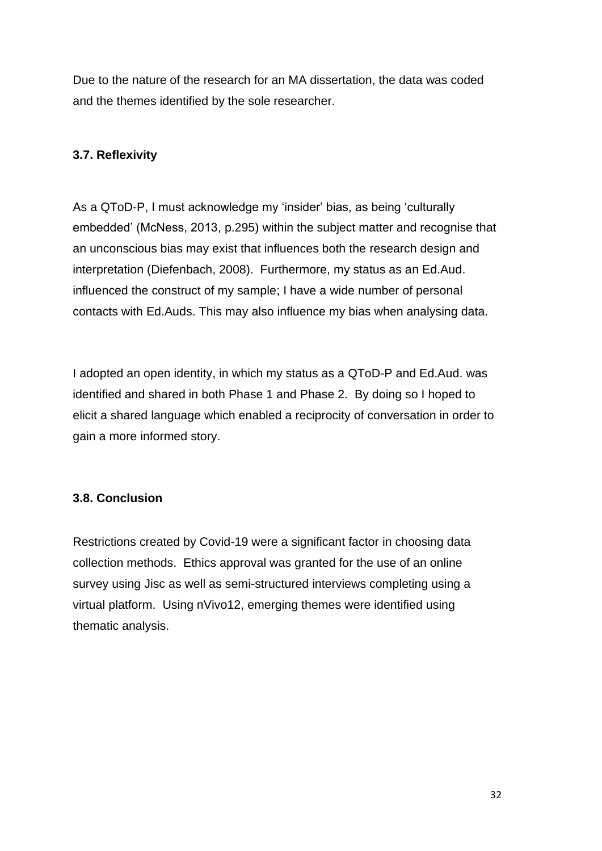Due to the nature of the research for an MA dissertation, the data was coded and the themes identified by the sole researcher.

#### <span id="page-31-0"></span>**3.7. Reflexivity**

As a QToD-P, I must acknowledge my 'insider' bias, as being 'culturally embedded' (McNess, 2013, p.295) within the subject matter and recognise that an unconscious bias may exist that influences both the research design and interpretation (Diefenbach, 2008). Furthermore, my status as an Ed.Aud. influenced the construct of my sample; I have a wide number of personal contacts with Ed.Auds. This may also influence my bias when analysing data.

I adopted an open identity, in which my status as a QToD-P and Ed.Aud. was identified and shared in both Phase 1 and Phase 2. By doing so I hoped to elicit a shared language which enabled a reciprocity of conversation in order to gain a more informed story.

#### <span id="page-31-1"></span>**3.8. Conclusion**

Restrictions created by Covid-19 were a significant factor in choosing data collection methods. Ethics approval was granted for the use of an online survey using Jisc as well as semi-structured interviews completing using a virtual platform. Using nVivo12, emerging themes were identified using thematic analysis.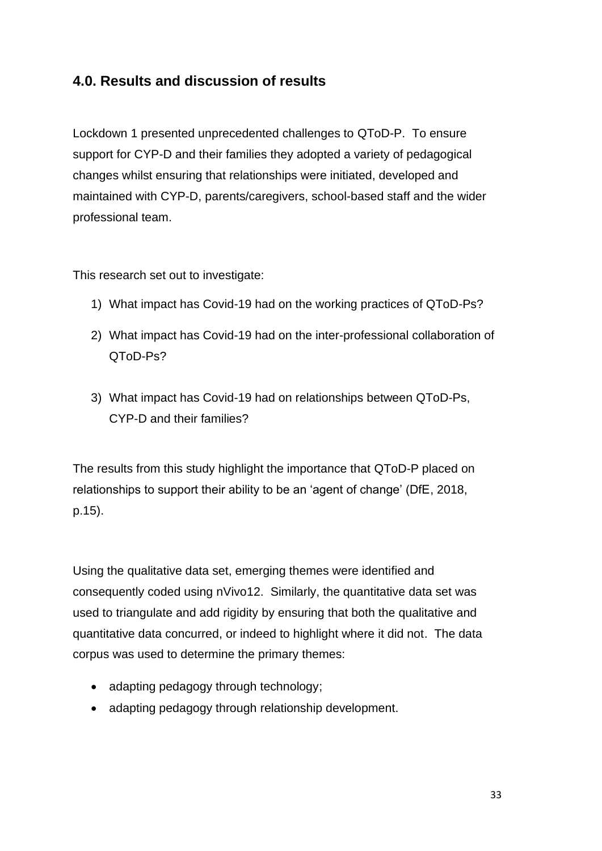## <span id="page-32-0"></span>**4.0. Results and discussion of results**

Lockdown 1 presented unprecedented challenges to QToD-P. To ensure support for CYP-D and their families they adopted a variety of pedagogical changes whilst ensuring that relationships were initiated, developed and maintained with CYP-D, parents/caregivers, school-based staff and the wider professional team.

This research set out to investigate:

- 1) What impact has Covid-19 had on the working practices of QToD-Ps?
- 2) What impact has Covid-19 had on the inter-professional collaboration of QToD-Ps?
- 3) What impact has Covid-19 had on relationships between QToD-Ps, CYP-D and their families?

The results from this study highlight the importance that QToD-P placed on relationships to support their ability to be an 'agent of change' (DfE, 2018, p.15).

Using the qualitative data set, emerging themes were identified and consequently coded using nVivo12. Similarly, the quantitative data set was used to triangulate and add rigidity by ensuring that both the qualitative and quantitative data concurred, or indeed to highlight where it did not. The data corpus was used to determine the primary themes:

- adapting pedagogy through technology;
- adapting pedagogy through relationship development.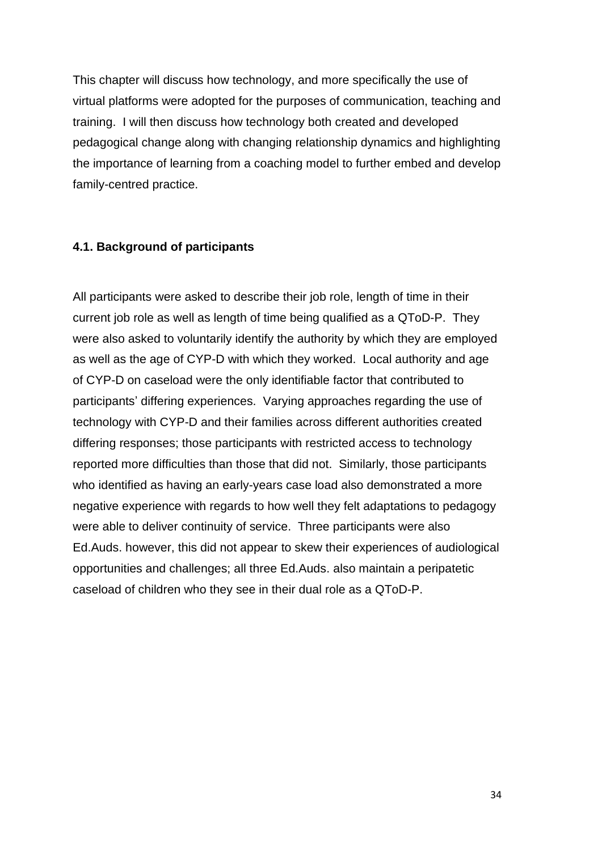This chapter will discuss how technology, and more specifically the use of virtual platforms were adopted for the purposes of communication, teaching and training. I will then discuss how technology both created and developed pedagogical change along with changing relationship dynamics and highlighting the importance of learning from a coaching model to further embed and develop family-centred practice.

#### <span id="page-33-0"></span>**4.1. Background of participants**

All participants were asked to describe their job role, length of time in their current job role as well as length of time being qualified as a QToD-P. They were also asked to voluntarily identify the authority by which they are employed as well as the age of CYP-D with which they worked. Local authority and age of CYP-D on caseload were the only identifiable factor that contributed to participants' differing experiences. Varying approaches regarding the use of technology with CYP-D and their families across different authorities created differing responses; those participants with restricted access to technology reported more difficulties than those that did not. Similarly, those participants who identified as having an early-years case load also demonstrated a more negative experience with regards to how well they felt adaptations to pedagogy were able to deliver continuity of service. Three participants were also Ed.Auds. however, this did not appear to skew their experiences of audiological opportunities and challenges; all three Ed.Auds. also maintain a peripatetic caseload of children who they see in their dual role as a QToD-P.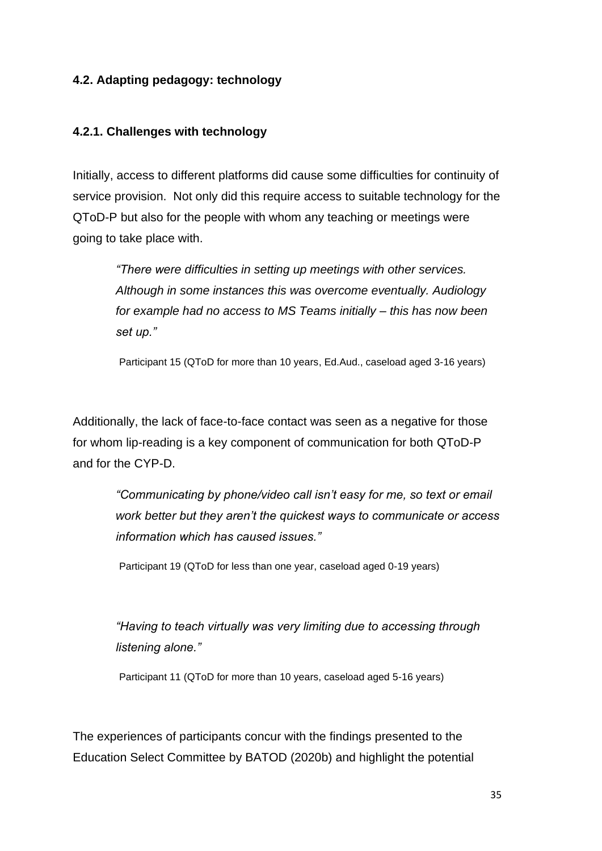#### <span id="page-34-0"></span>**4.2. Adapting pedagogy: technology**

#### <span id="page-34-1"></span>**4.2.1. Challenges with technology**

Initially, access to different platforms did cause some difficulties for continuity of service provision. Not only did this require access to suitable technology for the QToD-P but also for the people with whom any teaching or meetings were going to take place with.

> *"There were difficulties in setting up meetings with other services. Although in some instances this was overcome eventually. Audiology for example had no access to MS Teams initially – this has now been set up."*

> Participant 15 (QToD for more than 10 years, Ed.Aud., caseload aged 3-16 years)

Additionally, the lack of face-to-face contact was seen as a negative for those for whom lip-reading is a key component of communication for both QToD-P and for the CYP-D.

> *"Communicating by phone/video call isn't easy for me, so text or email work better but they aren't the quickest ways to communicate or access information which has caused issues."*

Participant 19 (QToD for less than one year, caseload aged 0-19 years)

*"Having to teach virtually was very limiting due to accessing through listening alone."* 

Participant 11 (QToD for more than 10 years, caseload aged 5-16 years)

The experiences of participants concur with the findings presented to the Education Select Committee by BATOD (2020b) and highlight the potential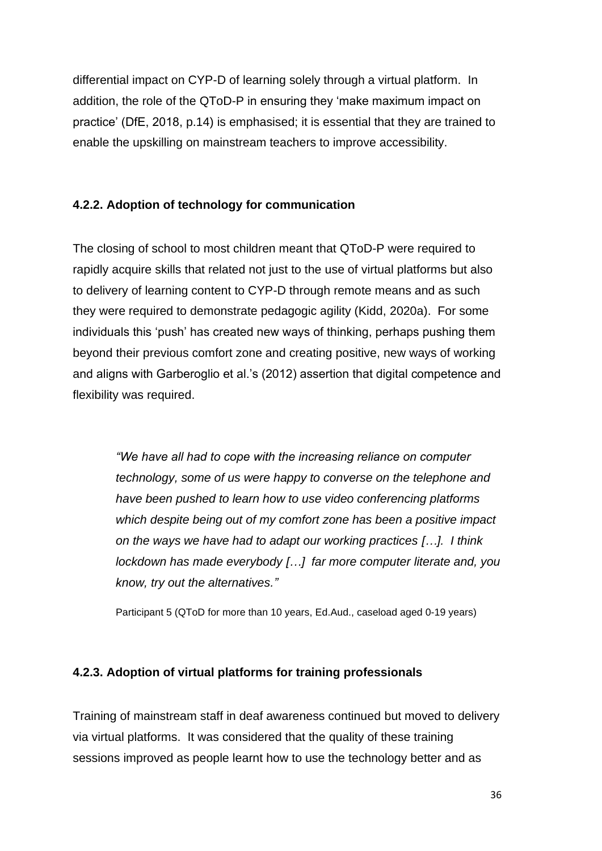differential impact on CYP-D of learning solely through a virtual platform. In addition, the role of the QToD-P in ensuring they 'make maximum impact on practice' (DfE, 2018, p.14) is emphasised; it is essential that they are trained to enable the upskilling on mainstream teachers to improve accessibility.

#### <span id="page-35-0"></span>**4.2.2. Adoption of technology for communication**

The closing of school to most children meant that QToD-P were required to rapidly acquire skills that related not just to the use of virtual platforms but also to delivery of learning content to CYP-D through remote means and as such they were required to demonstrate pedagogic agility (Kidd, 2020a). For some individuals this 'push' has created new ways of thinking, perhaps pushing them beyond their previous comfort zone and creating positive, new ways of working and aligns with Garberoglio et al.'s (2012) assertion that digital competence and flexibility was required.

> *"We have all had to cope with the increasing reliance on computer technology, some of us were happy to converse on the telephone and have been pushed to learn how to use video conferencing platforms which despite being out of my comfort zone has been a positive impact on the ways we have had to adapt our working practices […]. I think lockdown has made everybody […] far more computer literate and, you know, try out the alternatives."*

Participant 5 (QToD for more than 10 years, Ed.Aud., caseload aged 0-19 years)

#### <span id="page-35-1"></span>**4.2.3. Adoption of virtual platforms for training professionals**

Training of mainstream staff in deaf awareness continued but moved to delivery via virtual platforms. It was considered that the quality of these training sessions improved as people learnt how to use the technology better and as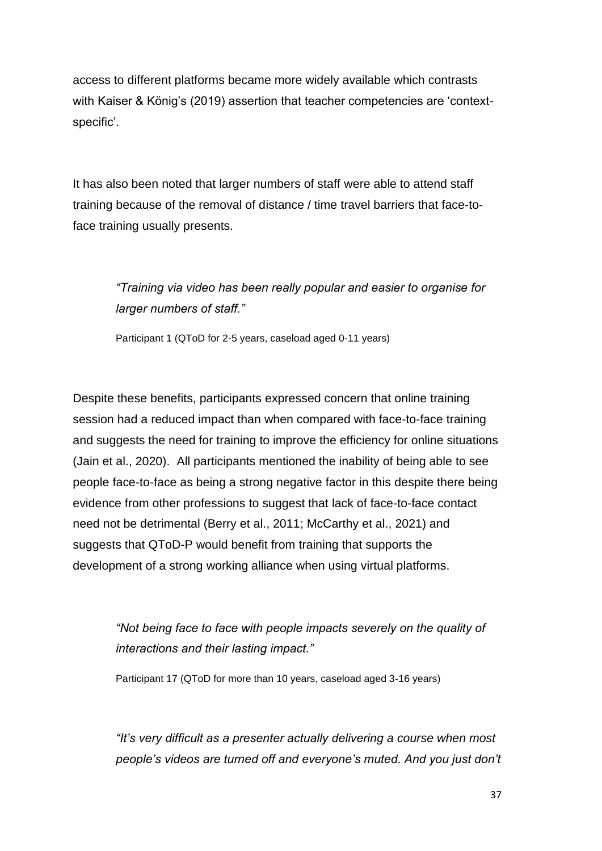access to different platforms became more widely available which contrasts with Kaiser & König's (2019) assertion that teacher competencies are 'contextspecific'.

It has also been noted that larger numbers of staff were able to attend staff training because of the removal of distance / time travel barriers that face-toface training usually presents.

# *"Training via video has been really popular and easier to organise for larger numbers of staff."*

Participant 1 (QToD for 2-5 years, caseload aged 0-11 years)

Despite these benefits, participants expressed concern that online training session had a reduced impact than when compared with face-to-face training and suggests the need for training to improve the efficiency for online situations (Jain et al., 2020). All participants mentioned the inability of being able to see people face-to-face as being a strong negative factor in this despite there being evidence from other professions to suggest that lack of face-to-face contact need not be detrimental (Berry et al., 2011; McCarthy et al., 2021) and suggests that QToD-P would benefit from training that supports the development of a strong working alliance when using virtual platforms.

> *"Not being face to face with people impacts severely on the quality of interactions and their lasting impact."*

Participant 17 (QToD for more than 10 years, caseload aged 3-16 years)

*"It's very difficult as a presenter actually delivering a course when most people's videos are turned off and everyone's muted. And you just don't*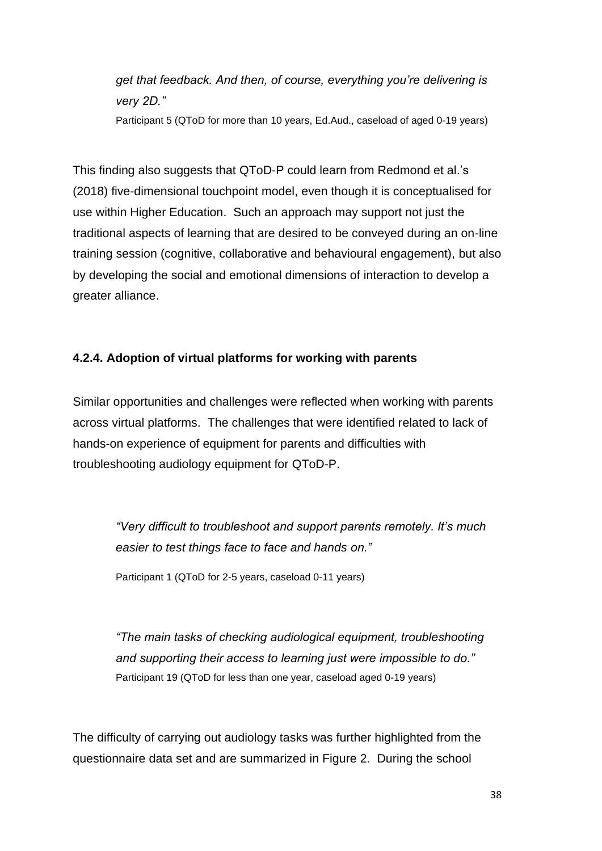*get that feedback. And then, of course, everything you're delivering is very 2D."*

Participant 5 (QToD for more than 10 years, Ed.Aud., caseload of aged 0-19 years)

This finding also suggests that QToD-P could learn from Redmond et al.'s (2018) five-dimensional touchpoint model, even though it is conceptualised for use within Higher Education. Such an approach may support not just the traditional aspects of learning that are desired to be conveyed during an on-line training session (cognitive, collaborative and behavioural engagement), but also by developing the social and emotional dimensions of interaction to develop a greater alliance.

### **4.2.4. Adoption of virtual platforms for working with parents**

Similar opportunities and challenges were reflected when working with parents across virtual platforms. The challenges that were identified related to lack of hands-on experience of equipment for parents and difficulties with troubleshooting audiology equipment for QToD-P.

> *"Very difficult to troubleshoot and support parents remotely. It's much easier to test things face to face and hands on."*

Participant 1 (QToD for 2-5 years, caseload 0-11 years)

*"The main tasks of checking audiological equipment, troubleshooting and supporting their access to learning just were impossible to do."* Participant 19 (QToD for less than one year, caseload aged 0-19 years)

The difficulty of carrying out audiology tasks was further highlighted from the questionnaire data set and are summarized in Figure 2. During the school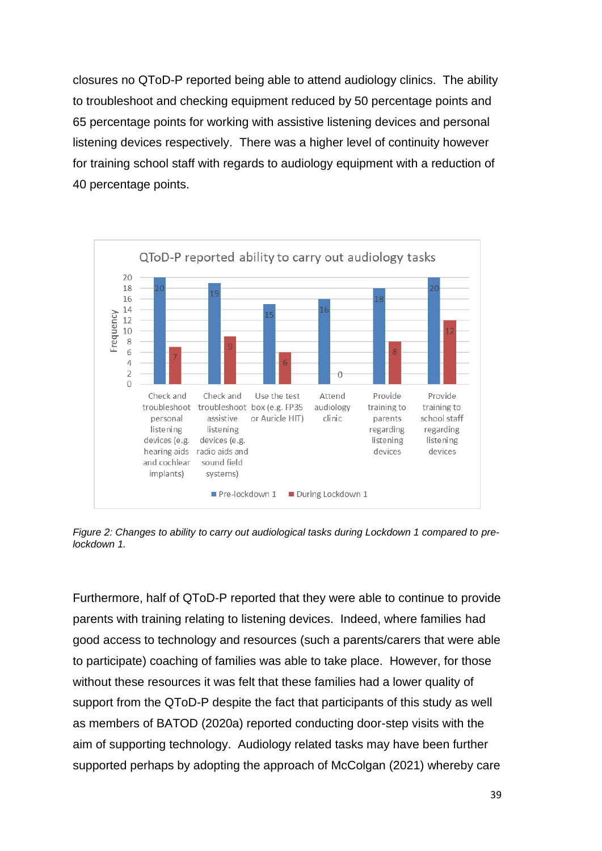closures no QToD-P reported being able to attend audiology clinics. The ability to troubleshoot and checking equipment reduced by 50 percentage points and 65 percentage points for working with assistive listening devices and personal listening devices respectively. There was a higher level of continuity however for training school staff with regards to audiology equipment with a reduction of 40 percentage points.



*Figure 2: Changes to ability to carry out audiological tasks during Lockdown 1 compared to prelockdown 1.*

Furthermore, half of QToD-P reported that they were able to continue to provide parents with training relating to listening devices. Indeed, where families had good access to technology and resources (such a parents/carers that were able to participate) coaching of families was able to take place. However, for those without these resources it was felt that these families had a lower quality of support from the QToD-P despite the fact that participants of this study as well as members of BATOD (2020a) reported conducting door-step visits with the aim of supporting technology. Audiology related tasks may have been further supported perhaps by adopting the approach of McColgan (2021) whereby care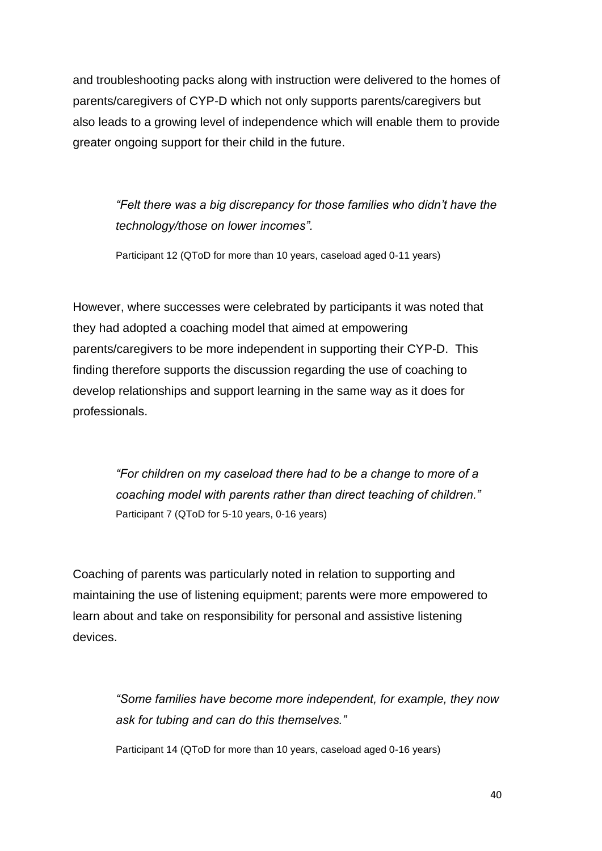and troubleshooting packs along with instruction were delivered to the homes of parents/caregivers of CYP-D which not only supports parents/caregivers but also leads to a growing level of independence which will enable them to provide greater ongoing support for their child in the future.

> *"Felt there was a big discrepancy for those families who didn't have the technology/those on lower incomes".*

Participant 12 (QToD for more than 10 years, caseload aged 0-11 years)

However, where successes were celebrated by participants it was noted that they had adopted a coaching model that aimed at empowering parents/caregivers to be more independent in supporting their CYP-D. This finding therefore supports the discussion regarding the use of coaching to develop relationships and support learning in the same way as it does for professionals.

> *"For children on my caseload there had to be a change to more of a coaching model with parents rather than direct teaching of children."* Participant 7 (QToD for 5-10 years, 0-16 years)

Coaching of parents was particularly noted in relation to supporting and maintaining the use of listening equipment; parents were more empowered to learn about and take on responsibility for personal and assistive listening devices.

> *"Some families have become more independent, for example, they now ask for tubing and can do this themselves."*

Participant 14 (QToD for more than 10 years, caseload aged 0-16 years)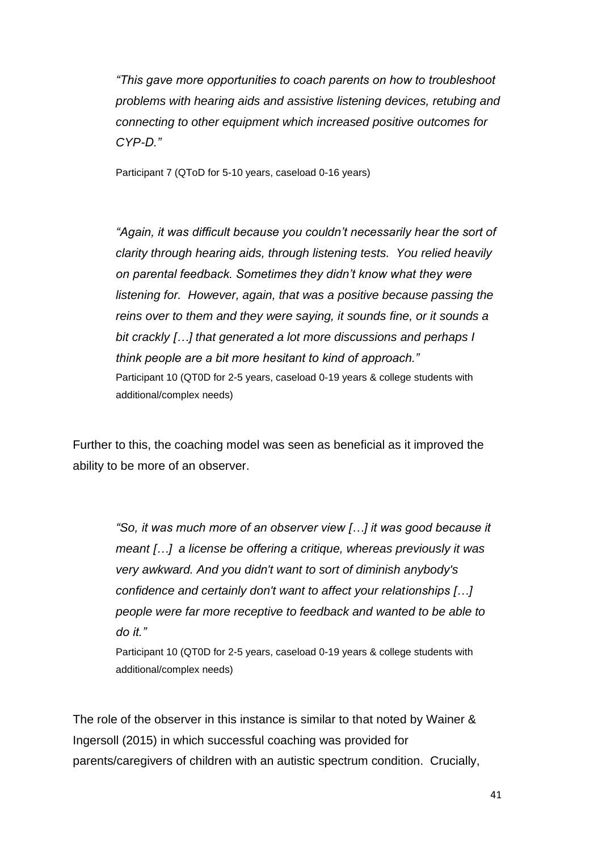*"This gave more opportunities to coach parents on how to troubleshoot problems with hearing aids and assistive listening devices, retubing and connecting to other equipment which increased positive outcomes for CYP-D."*

Participant 7 (QToD for 5-10 years, caseload 0-16 years)

"Again, it was difficult because you couldn't necessarily hear the sort of *clarity through hearing aids, through listening tests. You relied heavily on parental feedback. Sometimes they didn't know what they were listening for. However, again, that was a positive because passing the reins over to them and they were saying, it sounds fine, or it sounds a bit crackly […] that generated a lot more discussions and perhaps I think people are a bit more hesitant to kind of approach."* Participant 10 (QT0D for 2-5 years, caseload 0-19 years & college students with additional/complex needs)

Further to this, the coaching model was seen as beneficial as it improved the ability to be more of an observer.

> *"So, it was much more of an observer view […] it was good because it meant […] a license be offering a critique, whereas previously it was very awkward. And you didn't want to sort of diminish anybody's confidence and certainly don't want to affect your relationships […] people were far more receptive to feedback and wanted to be able to do it."*

Participant 10 (QT0D for 2-5 years, caseload 0-19 years & college students with additional/complex needs)

The role of the observer in this instance is similar to that noted by Wainer & Ingersoll (2015) in which successful coaching was provided for parents/caregivers of children with an autistic spectrum condition. Crucially,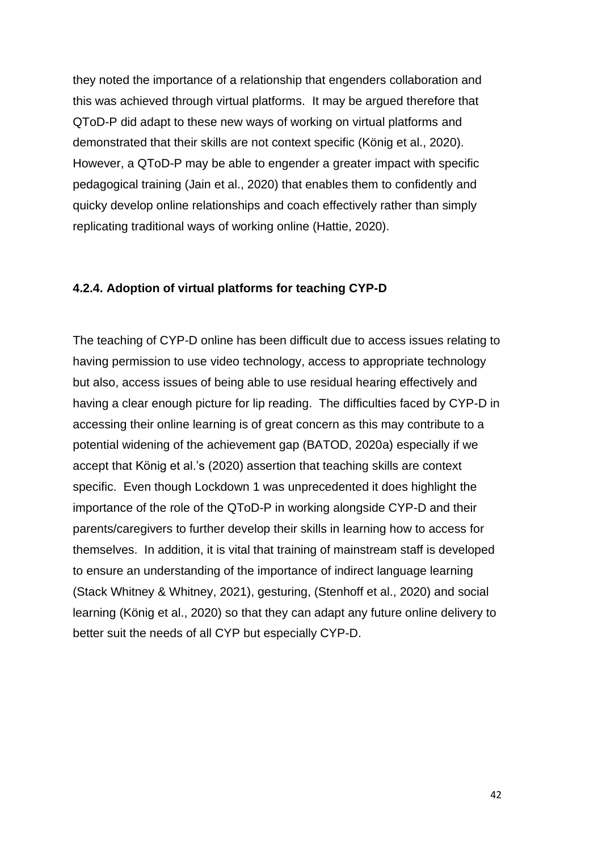they noted the importance of a relationship that engenders collaboration and this was achieved through virtual platforms. It may be argued therefore that QToD-P did adapt to these new ways of working on virtual platforms and demonstrated that their skills are not context specific (König et al., 2020). However, a QToD-P may be able to engender a greater impact with specific pedagogical training (Jain et al., 2020) that enables them to confidently and quicky develop online relationships and coach effectively rather than simply replicating traditional ways of working online (Hattie, 2020).

#### **4.2.4. Adoption of virtual platforms for teaching CYP-D**

The teaching of CYP-D online has been difficult due to access issues relating to having permission to use video technology, access to appropriate technology but also, access issues of being able to use residual hearing effectively and having a clear enough picture for lip reading. The difficulties faced by CYP-D in accessing their online learning is of great concern as this may contribute to a potential widening of the achievement gap (BATOD, 2020a) especially if we accept that König et al.'s (2020) assertion that teaching skills are context specific. Even though Lockdown 1 was unprecedented it does highlight the importance of the role of the QToD-P in working alongside CYP-D and their parents/caregivers to further develop their skills in learning how to access for themselves. In addition, it is vital that training of mainstream staff is developed to ensure an understanding of the importance of indirect language learning (Stack Whitney & Whitney, 2021), gesturing, (Stenhoff et al., 2020) and social learning (König et al., 2020) so that they can adapt any future online delivery to better suit the needs of all CYP but especially CYP-D.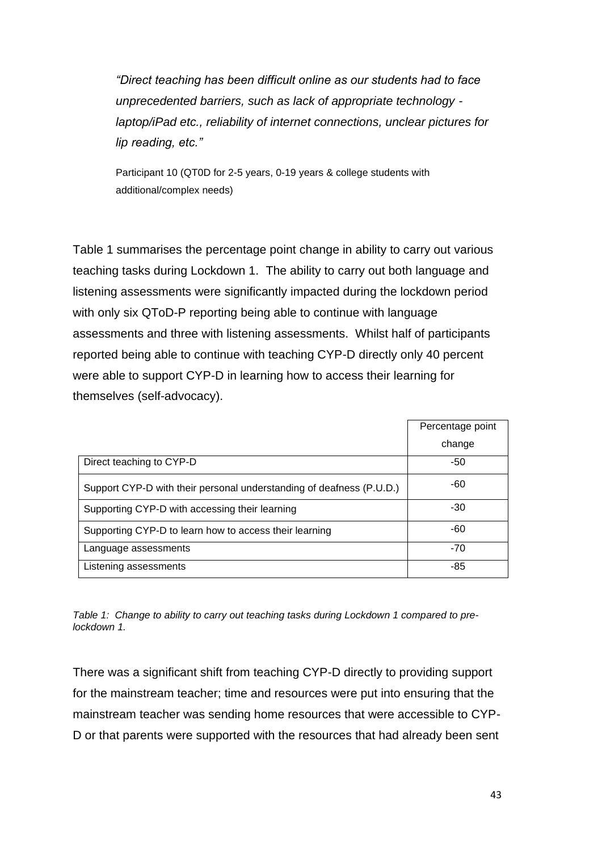*"Direct teaching has been difficult online as our students had to face unprecedented barriers, such as lack of appropriate technology laptop/iPad etc., reliability of internet connections, unclear pictures for lip reading, etc."*

Participant 10 (QT0D for 2-5 years, 0-19 years & college students with additional/complex needs)

Table 1 summarises the percentage point change in ability to carry out various teaching tasks during Lockdown 1. The ability to carry out both language and listening assessments were significantly impacted during the lockdown period with only six QToD-P reporting being able to continue with language assessments and three with listening assessments. Whilst half of participants reported being able to continue with teaching CYP-D directly only 40 percent were able to support CYP-D in learning how to access their learning for themselves (self-advocacy).

|                                                                      | Percentage point |
|----------------------------------------------------------------------|------------------|
|                                                                      | change           |
| Direct teaching to CYP-D                                             | -50              |
| Support CYP-D with their personal understanding of deafness (P.U.D.) | -60              |
| Supporting CYP-D with accessing their learning                       | $-30$            |
| Supporting CYP-D to learn how to access their learning               | -60              |
| Language assessments                                                 | $-70$            |
| Listening assessments                                                | -85              |

*Table 1: Change to ability to carry out teaching tasks during Lockdown 1 compared to prelockdown 1.*

There was a significant shift from teaching CYP-D directly to providing support for the mainstream teacher; time and resources were put into ensuring that the mainstream teacher was sending home resources that were accessible to CYP-D or that parents were supported with the resources that had already been sent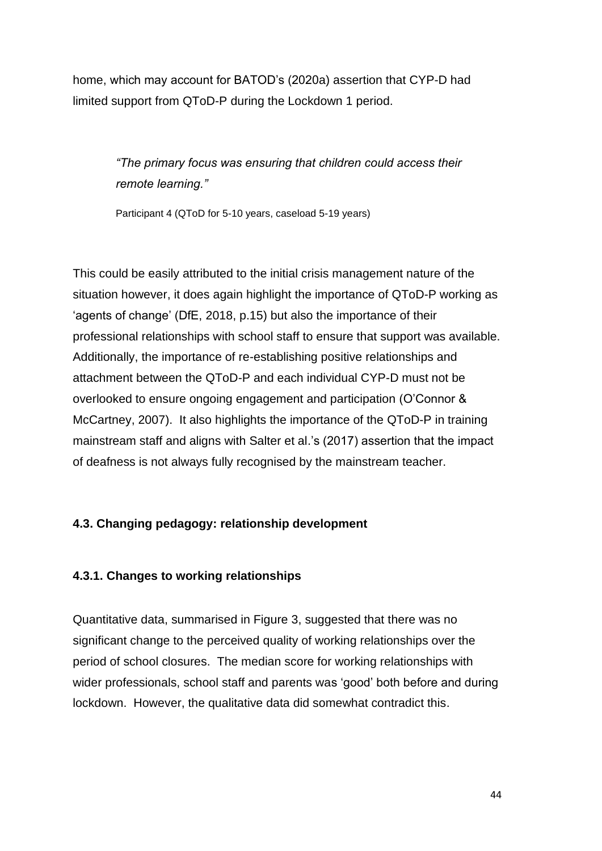home, which may account for BATOD's (2020a) assertion that CYP-D had limited support from QToD-P during the Lockdown 1 period.

> *"The primary focus was ensuring that children could access their remote learning."*

Participant 4 (QToD for 5-10 years, caseload 5-19 years)

This could be easily attributed to the initial crisis management nature of the situation however, it does again highlight the importance of QToD-P working as 'agents of change' (DfE, 2018, p.15) but also the importance of their professional relationships with school staff to ensure that support was available. Additionally, the importance of re-establishing positive relationships and attachment between the QToD-P and each individual CYP-D must not be overlooked to ensure ongoing engagement and participation (O'Connor & McCartney, 2007). It also highlights the importance of the QToD-P in training mainstream staff and aligns with Salter et al.'s (2017) assertion that the impact of deafness is not always fully recognised by the mainstream teacher.

# **4.3. Changing pedagogy: relationship development**

# **4.3.1. Changes to working relationships**

Quantitative data, summarised in Figure 3, suggested that there was no significant change to the perceived quality of working relationships over the period of school closures. The median score for working relationships with wider professionals, school staff and parents was 'good' both before and during lockdown. However, the qualitative data did somewhat contradict this.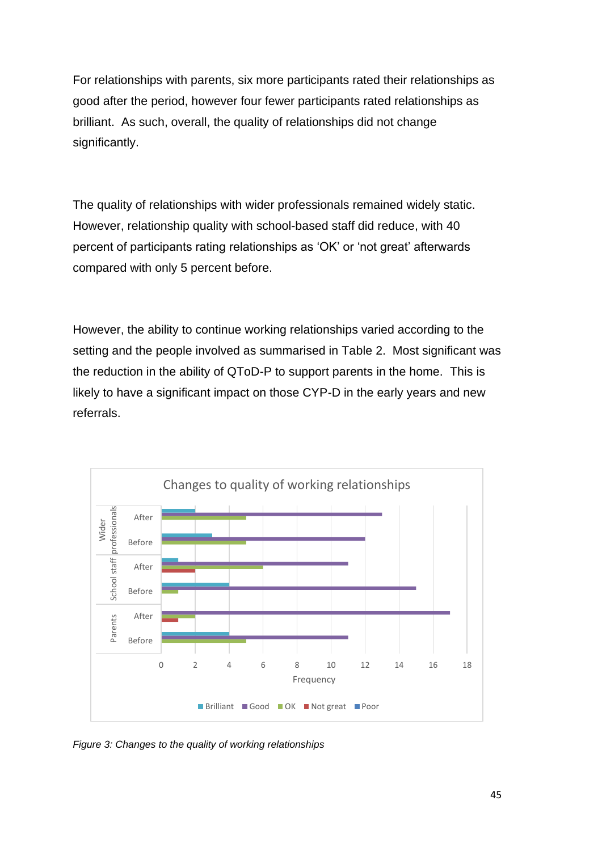For relationships with parents, six more participants rated their relationships as good after the period, however four fewer participants rated relationships as brilliant. As such, overall, the quality of relationships did not change significantly.

The quality of relationships with wider professionals remained widely static. However, relationship quality with school-based staff did reduce, with 40 percent of participants rating relationships as 'OK' or 'not great' afterwards compared with only 5 percent before.

However, the ability to continue working relationships varied according to the setting and the people involved as summarised in Table 2. Most significant was the reduction in the ability of QToD-P to support parents in the home. This is likely to have a significant impact on those CYP-D in the early years and new referrals.



*Figure 3: Changes to the quality of working relationships*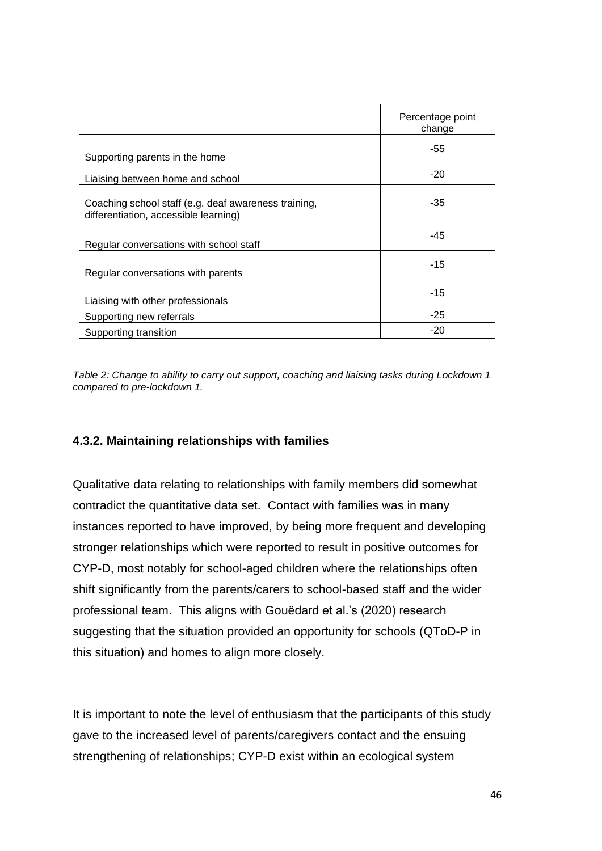|                                                                                               | Percentage point<br>change |
|-----------------------------------------------------------------------------------------------|----------------------------|
| Supporting parents in the home                                                                | -55                        |
| Liaising between home and school                                                              | $-20$                      |
| Coaching school staff (e.g. deaf awareness training,<br>differentiation, accessible learning) | -35                        |
| Regular conversations with school staff                                                       | -45                        |
| Regular conversations with parents                                                            | $-15$                      |
| Liaising with other professionals                                                             | -15                        |
| Supporting new referrals                                                                      | -25                        |
| Supporting transition                                                                         | $-20$                      |

*Table 2: Change to ability to carry out support, coaching and liaising tasks during Lockdown 1 compared to pre-lockdown 1.*

### **4.3.2. Maintaining relationships with families**

Qualitative data relating to relationships with family members did somewhat contradict the quantitative data set. Contact with families was in many instances reported to have improved, by being more frequent and developing stronger relationships which were reported to result in positive outcomes for CYP-D, most notably for school-aged children where the relationships often shift significantly from the parents/carers to school-based staff and the wider professional team. This aligns with Gouëdard et al.'s (2020) research suggesting that the situation provided an opportunity for schools (QToD-P in this situation) and homes to align more closely.

It is important to note the level of enthusiasm that the participants of this study gave to the increased level of parents/caregivers contact and the ensuing strengthening of relationships; CYP-D exist within an ecological system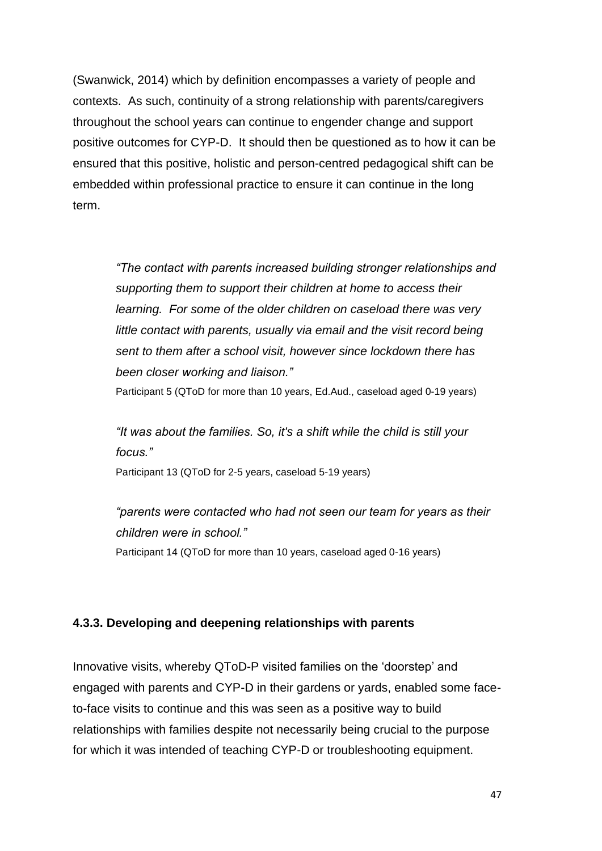(Swanwick, 2014) which by definition encompasses a variety of people and contexts. As such, continuity of a strong relationship with parents/caregivers throughout the school years can continue to engender change and support positive outcomes for CYP-D. It should then be questioned as to how it can be ensured that this positive, holistic and person-centred pedagogical shift can be embedded within professional practice to ensure it can continue in the long term.

> *"The contact with parents increased building stronger relationships and supporting them to support their children at home to access their learning. For some of the older children on caseload there was very*  little contact with parents, usually via email and the visit record being *sent to them after a school visit, however since lockdown there has been closer working and liaison."*

Participant 5 (QToD for more than 10 years, Ed.Aud., caseload aged 0-19 years)

*"It was about the families. So, it's a shift while the child is still your focus."*

Participant 13 (QToD for 2-5 years, caseload 5-19 years)

*"parents were contacted who had not seen our team for years as their children were in school."* Participant 14 (QToD for more than 10 years, caseload aged 0-16 years)

# **4.3.3. Developing and deepening relationships with parents**

Innovative visits, whereby QToD-P visited families on the 'doorstep' and engaged with parents and CYP-D in their gardens or yards, enabled some faceto-face visits to continue and this was seen as a positive way to build relationships with families despite not necessarily being crucial to the purpose for which it was intended of teaching CYP-D or troubleshooting equipment.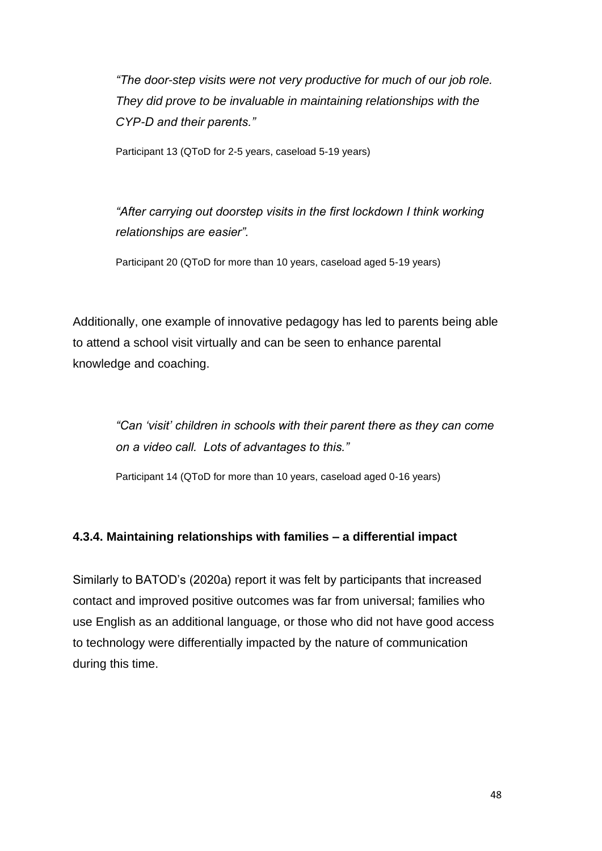*"The door-step visits were not very productive for much of our job role. They did prove to be invaluable in maintaining relationships with the CYP-D and their parents."*

Participant 13 (QToD for 2-5 years, caseload 5-19 years)

*"After carrying out doorstep visits in the first lockdown I think working relationships are easier".*

Participant 20 (QToD for more than 10 years, caseload aged 5-19 years)

Additionally, one example of innovative pedagogy has led to parents being able to attend a school visit virtually and can be seen to enhance parental knowledge and coaching.

> *"Can 'visit' children in schools with their parent there as they can come on a video call. Lots of advantages to this."*

Participant 14 (QToD for more than 10 years, caseload aged 0-16 years)

# **4.3.4. Maintaining relationships with families – a differential impact**

Similarly to BATOD's (2020a) report it was felt by participants that increased contact and improved positive outcomes was far from universal; families who use English as an additional language, or those who did not have good access to technology were differentially impacted by the nature of communication during this time.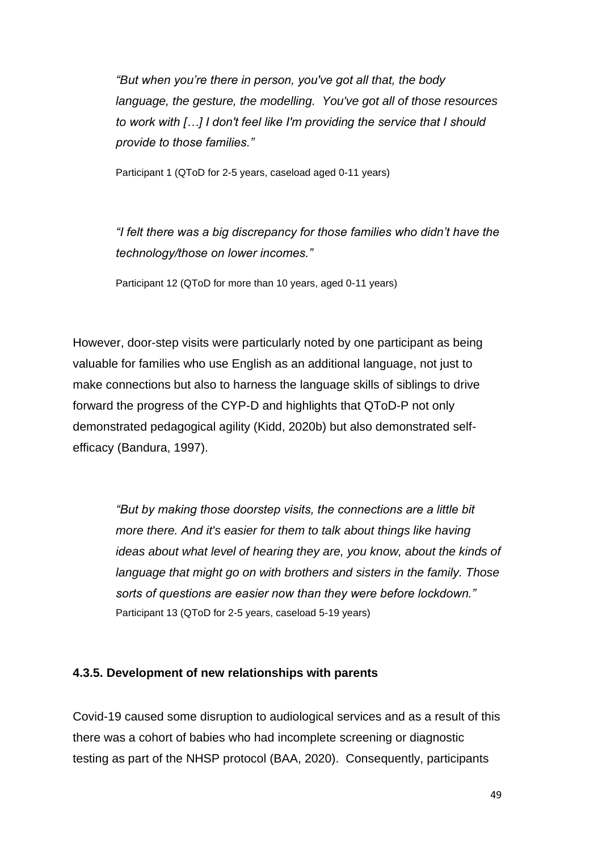*"But when you're there in person, you've got all that, the body language, the gesture, the modelling. You've got all of those resources to work with […] I don't feel like I'm providing the service that I should provide to those families."*

Participant 1 (QToD for 2-5 years, caseload aged 0-11 years)

*"I felt there was a big discrepancy for those families who didn't have the technology/those on lower incomes."*

Participant 12 (QToD for more than 10 years, aged 0-11 years)

However, door-step visits were particularly noted by one participant as being valuable for families who use English as an additional language, not just to make connections but also to harness the language skills of siblings to drive forward the progress of the CYP-D and highlights that QToD-P not only demonstrated pedagogical agility (Kidd, 2020b) but also demonstrated selfefficacy (Bandura, 1997).

> *"But by making those doorstep visits, the connections are a little bit more there. And it's easier for them to talk about things like having ideas about what level of hearing they are, you know, about the kinds of language that might go on with brothers and sisters in the family. Those sorts of questions are easier now than they were before lockdown."* Participant 13 (QToD for 2-5 years, caseload 5-19 years)

### **4.3.5. Development of new relationships with parents**

Covid-19 caused some disruption to audiological services and as a result of this there was a cohort of babies who had incomplete screening or diagnostic testing as part of the NHSP protocol (BAA, 2020). Consequently, participants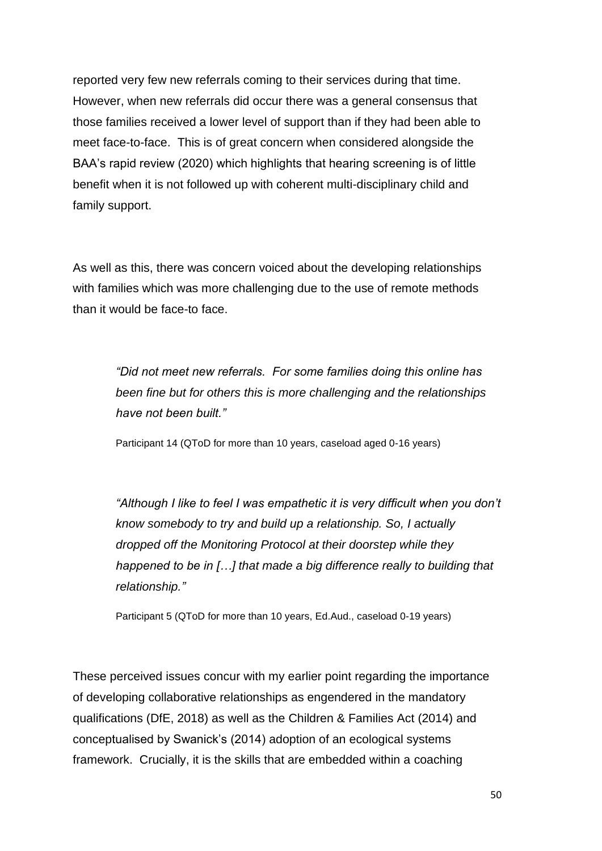reported very few new referrals coming to their services during that time. However, when new referrals did occur there was a general consensus that those families received a lower level of support than if they had been able to meet face-to-face. This is of great concern when considered alongside the BAA's rapid review (2020) which highlights that hearing screening is of little benefit when it is not followed up with coherent multi-disciplinary child and family support.

As well as this, there was concern voiced about the developing relationships with families which was more challenging due to the use of remote methods than it would be face-to face.

> *"Did not meet new referrals. For some families doing this online has been fine but for others this is more challenging and the relationships have not been built."*

Participant 14 (QToD for more than 10 years, caseload aged 0-16 years)

*"Although I like to feel I was empathetic it is very difficult when you don't know somebody to try and build up a relationship. So, I actually dropped off the Monitoring Protocol at their doorstep while they happened to be in […] that made a big difference really to building that relationship."*

Participant 5 (QToD for more than 10 years, Ed.Aud., caseload 0-19 years)

These perceived issues concur with my earlier point regarding the importance of developing collaborative relationships as engendered in the mandatory qualifications (DfE, 2018) as well as the Children & Families Act (2014) and conceptualised by Swanick's (2014) adoption of an ecological systems framework. Crucially, it is the skills that are embedded within a coaching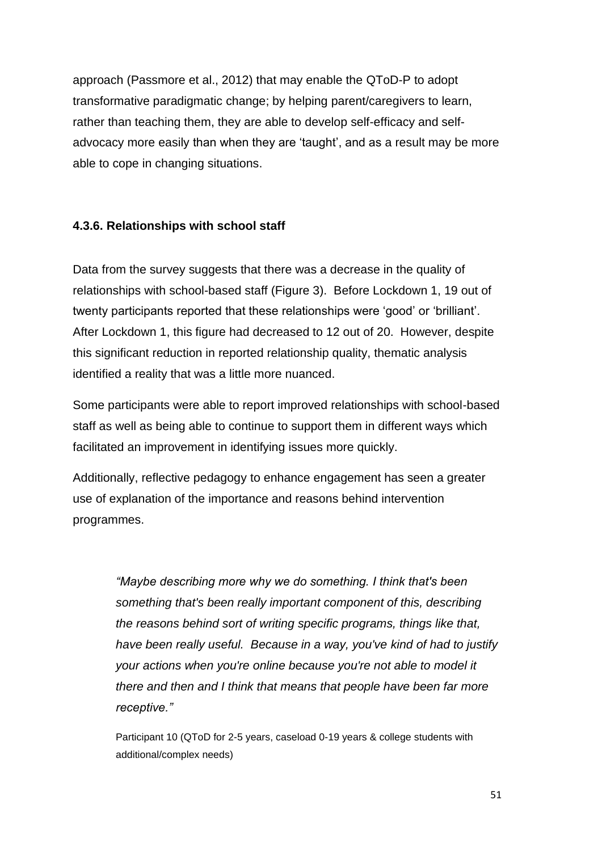approach (Passmore et al., 2012) that may enable the QToD-P to adopt transformative paradigmatic change; by helping parent/caregivers to learn, rather than teaching them, they are able to develop self-efficacy and selfadvocacy more easily than when they are 'taught', and as a result may be more able to cope in changing situations.

### **4.3.6. Relationships with school staff**

Data from the survey suggests that there was a decrease in the quality of relationships with school-based staff (Figure 3). Before Lockdown 1, 19 out of twenty participants reported that these relationships were 'good' or 'brilliant'. After Lockdown 1, this figure had decreased to 12 out of 20. However, despite this significant reduction in reported relationship quality, thematic analysis identified a reality that was a little more nuanced.

Some participants were able to report improved relationships with school-based staff as well as being able to continue to support them in different ways which facilitated an improvement in identifying issues more quickly.

Additionally, reflective pedagogy to enhance engagement has seen a greater use of explanation of the importance and reasons behind intervention programmes.

> *"Maybe describing more why we do something. I think that's been something that's been really important component of this, describing the reasons behind sort of writing specific programs, things like that, have been really useful. Because in a way, you've kind of had to justify your actions when you're online because you're not able to model it there and then and I think that means that people have been far more receptive."*

Participant 10 (QToD for 2-5 years, caseload 0-19 years & college students with additional/complex needs)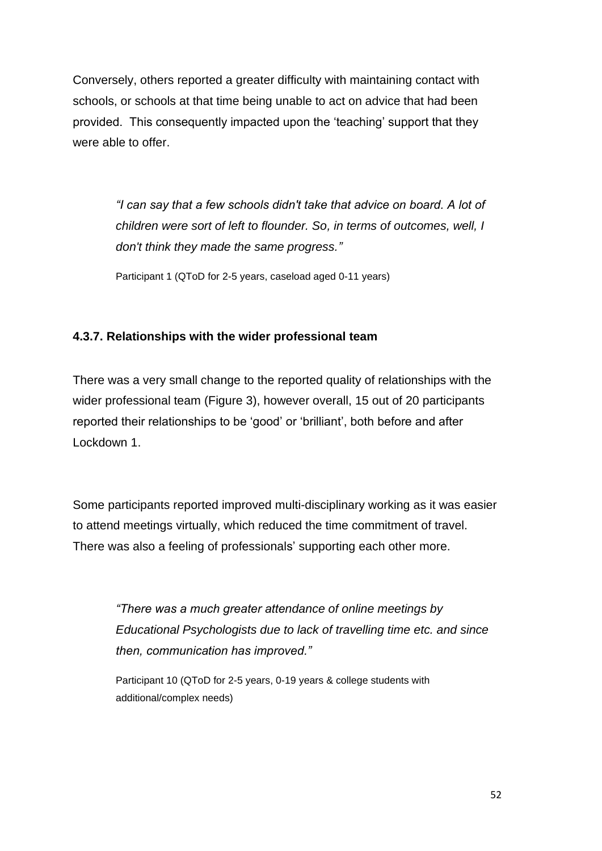Conversely, others reported a greater difficulty with maintaining contact with schools, or schools at that time being unable to act on advice that had been provided. This consequently impacted upon the 'teaching' support that they were able to offer.

> *"I can say that a few schools didn't take that advice on board. A lot of children were sort of left to flounder. So, in terms of outcomes, well, I don't think they made the same progress."*

Participant 1 (QToD for 2-5 years, caseload aged 0-11 years)

### **4.3.7. Relationships with the wider professional team**

There was a very small change to the reported quality of relationships with the wider professional team (Figure 3), however overall, 15 out of 20 participants reported their relationships to be 'good' or 'brilliant', both before and after Lockdown 1.

Some participants reported improved multi-disciplinary working as it was easier to attend meetings virtually, which reduced the time commitment of travel. There was also a feeling of professionals' supporting each other more.

> *"There was a much greater attendance of online meetings by Educational Psychologists due to lack of travelling time etc. and since then, communication has improved."*

Participant 10 (QToD for 2-5 years, 0-19 years & college students with additional/complex needs)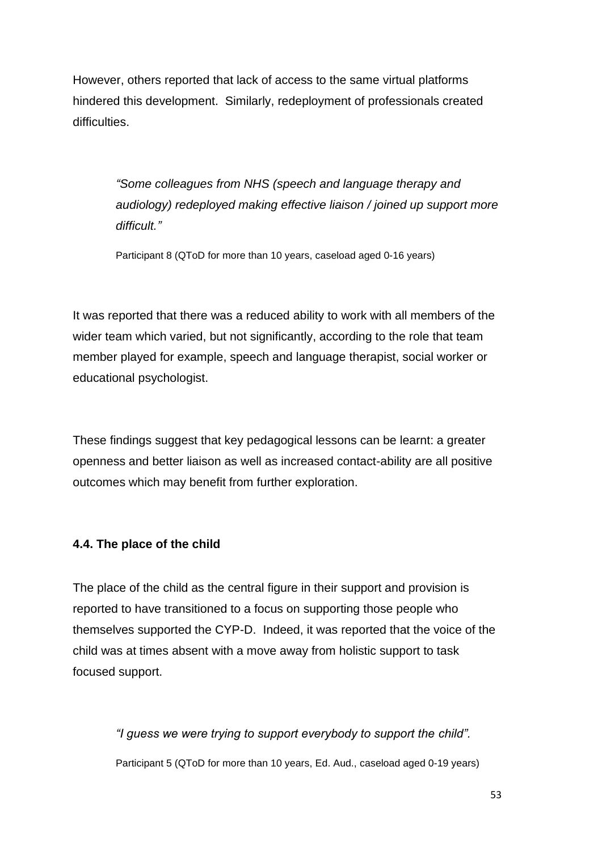However, others reported that lack of access to the same virtual platforms hindered this development. Similarly, redeployment of professionals created difficulties.

> *"Some colleagues from NHS (speech and language therapy and audiology) redeployed making effective liaison / joined up support more difficult."*

Participant 8 (QToD for more than 10 years, caseload aged 0-16 years)

It was reported that there was a reduced ability to work with all members of the wider team which varied, but not significantly, according to the role that team member played for example, speech and language therapist, social worker or educational psychologist.

These findings suggest that key pedagogical lessons can be learnt: a greater openness and better liaison as well as increased contact-ability are all positive outcomes which may benefit from further exploration.

#### **4.4. The place of the child**

The place of the child as the central figure in their support and provision is reported to have transitioned to a focus on supporting those people who themselves supported the CYP-D. Indeed, it was reported that the voice of the child was at times absent with a move away from holistic support to task focused support.

> *"I guess we were trying to support everybody to support the child".* Participant 5 (QToD for more than 10 years, Ed. Aud., caseload aged 0-19 years)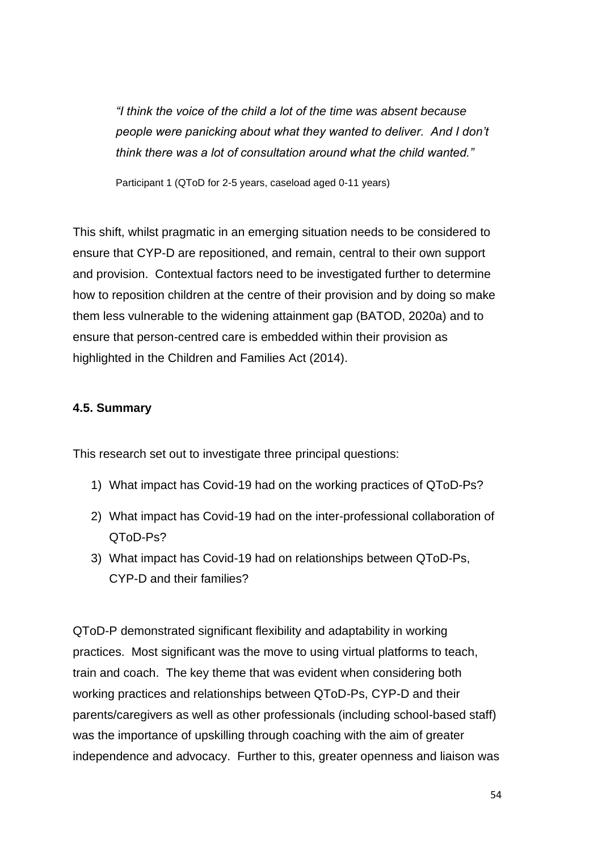*"I think the voice of the child a lot of the time was absent because people were panicking about what they wanted to deliver. And I don't think there was a lot of consultation around what the child wanted."*

Participant 1 (QToD for 2-5 years, caseload aged 0-11 years)

This shift, whilst pragmatic in an emerging situation needs to be considered to ensure that CYP-D are repositioned, and remain, central to their own support and provision. Contextual factors need to be investigated further to determine how to reposition children at the centre of their provision and by doing so make them less vulnerable to the widening attainment gap (BATOD, 2020a) and to ensure that person-centred care is embedded within their provision as highlighted in the Children and Families Act (2014).

# **4.5. Summary**

This research set out to investigate three principal questions:

- 1) What impact has Covid-19 had on the working practices of QToD-Ps?
- 2) What impact has Covid-19 had on the inter-professional collaboration of QToD-Ps?
- 3) What impact has Covid-19 had on relationships between QToD-Ps, CYP-D and their families?

QToD-P demonstrated significant flexibility and adaptability in working practices. Most significant was the move to using virtual platforms to teach, train and coach. The key theme that was evident when considering both working practices and relationships between QToD-Ps, CYP-D and their parents/caregivers as well as other professionals (including school-based staff) was the importance of upskilling through coaching with the aim of greater independence and advocacy. Further to this, greater openness and liaison was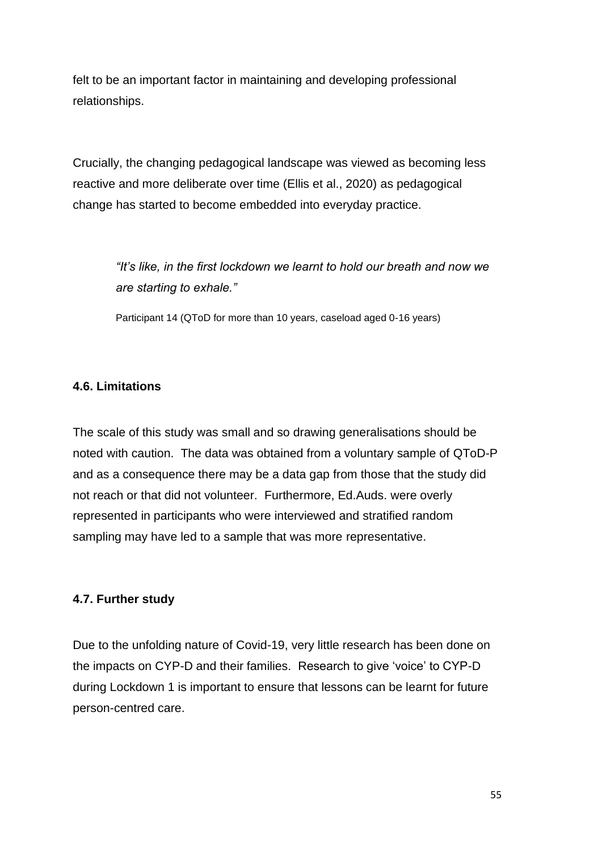felt to be an important factor in maintaining and developing professional relationships.

Crucially, the changing pedagogical landscape was viewed as becoming less reactive and more deliberate over time (Ellis et al., 2020) as pedagogical change has started to become embedded into everyday practice.

> *"It's like, in the first lockdown we learnt to hold our breath and now we are starting to exhale."*

Participant 14 (QToD for more than 10 years, caseload aged 0-16 years)

### **4.6. Limitations**

The scale of this study was small and so drawing generalisations should be noted with caution. The data was obtained from a voluntary sample of QToD-P and as a consequence there may be a data gap from those that the study did not reach or that did not volunteer. Furthermore, Ed.Auds. were overly represented in participants who were interviewed and stratified random sampling may have led to a sample that was more representative.

#### **4.7. Further study**

Due to the unfolding nature of Covid-19, very little research has been done on the impacts on CYP-D and their families. Research to give 'voice' to CYP-D during Lockdown 1 is important to ensure that lessons can be learnt for future person-centred care.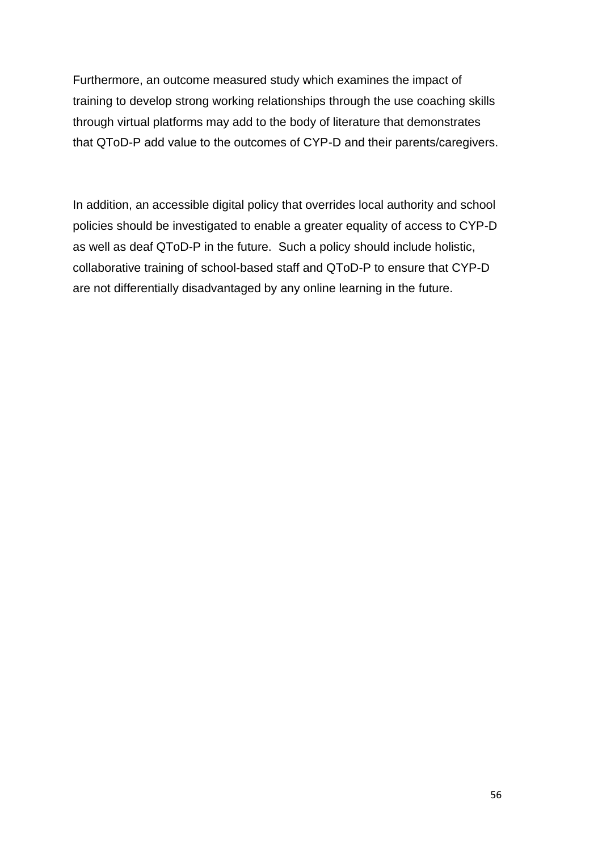Furthermore, an outcome measured study which examines the impact of training to develop strong working relationships through the use coaching skills through virtual platforms may add to the body of literature that demonstrates that QToD-P add value to the outcomes of CYP-D and their parents/caregivers.

In addition, an accessible digital policy that overrides local authority and school policies should be investigated to enable a greater equality of access to CYP-D as well as deaf QToD-P in the future. Such a policy should include holistic, collaborative training of school-based staff and QToD-P to ensure that CYP-D are not differentially disadvantaged by any online learning in the future.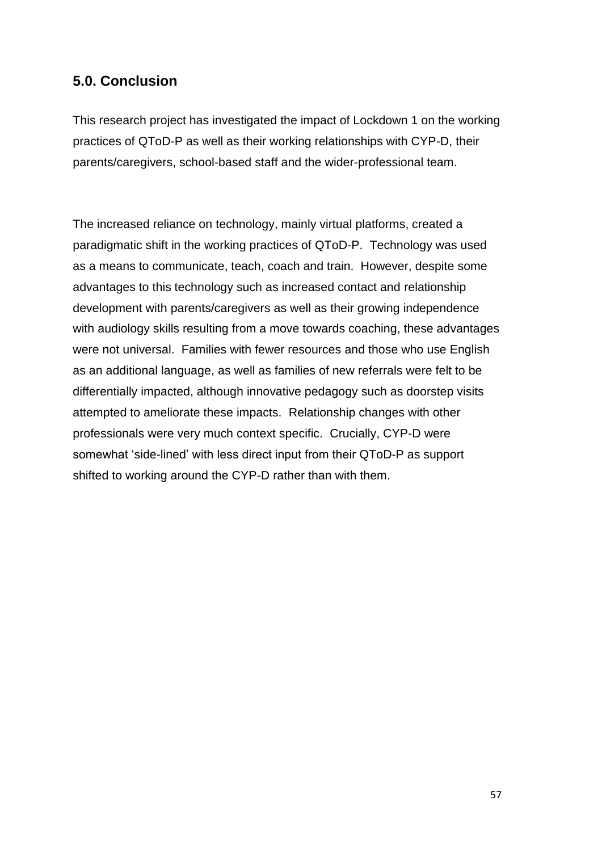# **5.0. Conclusion**

This research project has investigated the impact of Lockdown 1 on the working practices of QToD-P as well as their working relationships with CYP-D, their parents/caregivers, school-based staff and the wider-professional team.

The increased reliance on technology, mainly virtual platforms, created a paradigmatic shift in the working practices of QToD-P. Technology was used as a means to communicate, teach, coach and train. However, despite some advantages to this technology such as increased contact and relationship development with parents/caregivers as well as their growing independence with audiology skills resulting from a move towards coaching, these advantages were not universal. Families with fewer resources and those who use English as an additional language, as well as families of new referrals were felt to be differentially impacted, although innovative pedagogy such as doorstep visits attempted to ameliorate these impacts. Relationship changes with other professionals were very much context specific. Crucially, CYP-D were somewhat 'side-lined' with less direct input from their QToD-P as support shifted to working around the CYP-D rather than with them.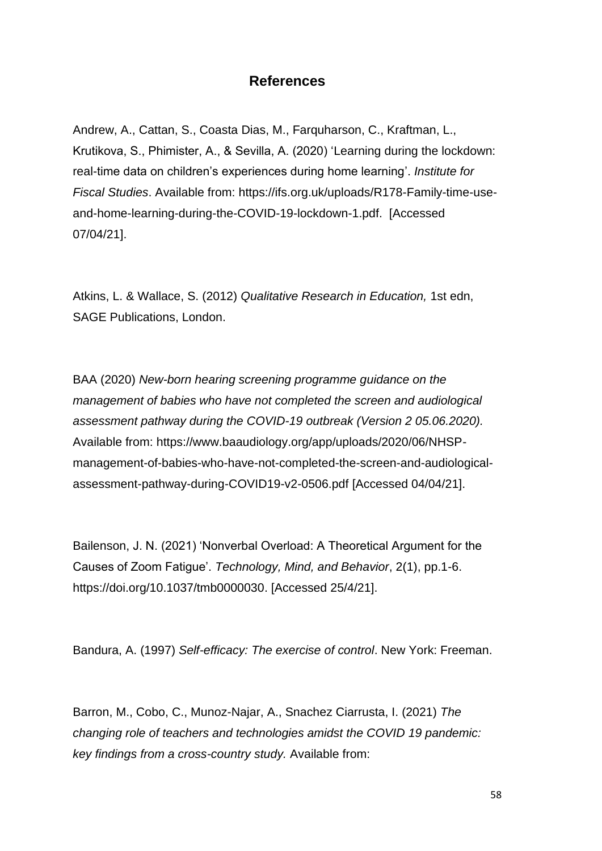# **References**

Andrew, A., Cattan, S., Coasta Dias, M., Farquharson, C., Kraftman, L., Krutikova, S., Phimister, A., & Sevilla, A. (2020) 'Learning during the lockdown: real-time data on children's experiences during home learning'. *Institute for Fiscal Studies*. Available from: https://ifs.org.uk/uploads/R178-Family-time-useand-home-learning-during-the-COVID-19-lockdown-1.pdf. [Accessed 07/04/21].

Atkins, L. & Wallace, S. (2012) *Qualitative Research in Education,* 1st edn, SAGE Publications, London.

BAA (2020) *New-born hearing screening programme guidance on the management of babies who have not completed the screen and audiological assessment pathway during the COVID-19 outbreak (Version 2 05.06.2020).* Available from: [https://www.baaudiology.org/app/uploads/2020/06/NHSP](https://www.baaudiology.org/app/uploads/2020/06/NHSP-management-of-babies-who-have-not-completed-the-screen-and-audiological-assessment-pathway-during-COVID19-v2-0506.pdf)[management-of-babies-who-have-not-completed-the-screen-and-audiological](https://www.baaudiology.org/app/uploads/2020/06/NHSP-management-of-babies-who-have-not-completed-the-screen-and-audiological-assessment-pathway-during-COVID19-v2-0506.pdf)[assessment-pathway-during-COVID19-v2-0506.pdf](https://www.baaudiology.org/app/uploads/2020/06/NHSP-management-of-babies-who-have-not-completed-the-screen-and-audiological-assessment-pathway-during-COVID19-v2-0506.pdf) [Accessed 04/04/21].

Bailenson, J. N. (2021) 'Nonverbal Overload: A Theoretical Argument for the Causes of Zoom Fatigue'. *Technology, Mind, and Behavior*, 2(1), pp.1-6. [https://doi.org/10.1037/tmb0000030.](https://doi.org/10.1037/tmb0000030) [Accessed 25/4/21].

Bandura, A. (1997) *Self-efficacy: The exercise of control*. New York: Freeman.

Barron, M., Cobo, C., Munoz-Najar, A., Snachez Ciarrusta, I. (2021) *The changing role of teachers and technologies amidst the COVID 19 pandemic: key findings from a cross-country study.* Available from: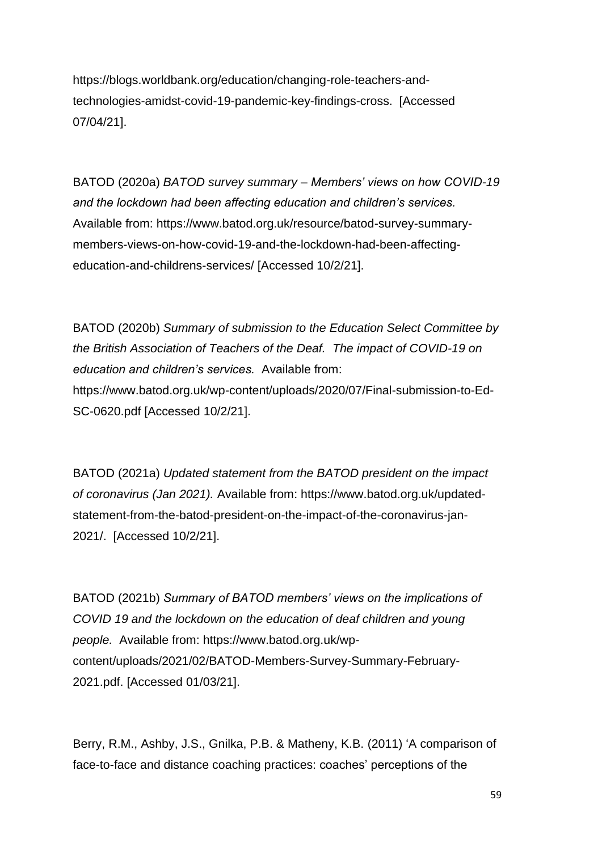[https://blogs.worldbank.org/education/changing-role-teachers-and](https://blogs.worldbank.org/education/changing-role-teachers-and-technologies-amidst-covid-19-pandemic-key-findings-cross)[technologies-amidst-covid-19-pandemic-key-findings-cross.](https://blogs.worldbank.org/education/changing-role-teachers-and-technologies-amidst-covid-19-pandemic-key-findings-cross) [Accessed 07/04/21].

BATOD (2020a) *BATOD survey summary – Members' views on how COVID-19 and the lockdown had been affecting education and children's services.* Available from: [https://www.batod.org.uk/resource/batod-survey-summary](https://www.batod.org.uk/resource/batod-survey-summary-members-views-on-how-covid-19-and-the-lockdown-had-been-affecting-education-and-childrens-services/)[members-views-on-how-covid-19-and-the-lockdown-had-been-affecting](https://www.batod.org.uk/resource/batod-survey-summary-members-views-on-how-covid-19-and-the-lockdown-had-been-affecting-education-and-childrens-services/)[education-and-childrens-services/](https://www.batod.org.uk/resource/batod-survey-summary-members-views-on-how-covid-19-and-the-lockdown-had-been-affecting-education-and-childrens-services/) [Accessed 10/2/21].

BATOD (2020b) *Summary of submission to the Education Select Committee by the British Association of Teachers of the Deaf. The impact of COVID-19 on education and children's services.* Available from: [https://www.batod.org.uk/wp-content/uploads/2020/07/Final-submission-to-Ed-](https://www.batod.org.uk/wp-content/uploads/2020/07/Final-submission-to-Ed-SC-0620.pdf)[SC-0620.pdf](https://www.batod.org.uk/wp-content/uploads/2020/07/Final-submission-to-Ed-SC-0620.pdf) [Accessed 10/2/21].

BATOD (2021a) *Updated statement from the BATOD president on the impact of coronavirus (Jan 2021).* Available from: [https://www.batod.org.uk/updated](https://www.batod.org.uk/updated-statement-from-the-batod-president-on-the-impact-of-the-coronavirus-jan-2021/)[statement-from-the-batod-president-on-the-impact-of-the-coronavirus-jan-](https://www.batod.org.uk/updated-statement-from-the-batod-president-on-the-impact-of-the-coronavirus-jan-2021/)[2021/.](https://www.batod.org.uk/updated-statement-from-the-batod-president-on-the-impact-of-the-coronavirus-jan-2021/) [Accessed 10/2/21].

BATOD (2021b) *Summary of BATOD members' views on the implications of COVID 19 and the lockdown on the education of deaf children and young people.* Available from: [https://www.batod.org.uk/wp](https://www.batod.org.uk/wp-content/uploads/2021/02/BATOD-Members-Survey-Summary-February-2021.pdf)[content/uploads/2021/02/BATOD-Members-Survey-Summary-February-](https://www.batod.org.uk/wp-content/uploads/2021/02/BATOD-Members-Survey-Summary-February-2021.pdf)[2021.pdf.](https://www.batod.org.uk/wp-content/uploads/2021/02/BATOD-Members-Survey-Summary-February-2021.pdf) [Accessed 01/03/21].

Berry, R.M., Ashby, J.S., Gnilka, P.B. & Matheny, K.B. (2011) 'A comparison of face-to-face and distance coaching practices: coaches' perceptions of the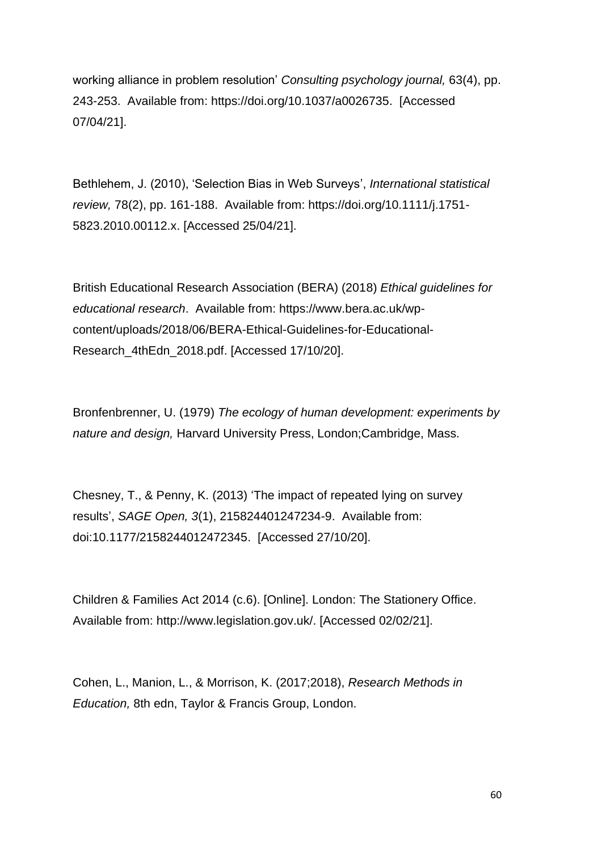working alliance in problem resolution' *Consulting psychology journal,* 63(4), pp. 243-253. Available from: [https://doi.org/10.1037/a0026735.](https://psycnet.apa.org/doi/10.1037/a0026735) [Accessed 07/04/21].

Bethlehem, J. (2010), 'Selection Bias in Web Surveys', *International statistical review,* 78(2), pp. 161-188. Available from: [https://doi.org/10.1111/j.1751-](https://doi.org/10.1111/j.1751-5823.2010.00112.x) [5823.2010.00112.x.](https://doi.org/10.1111/j.1751-5823.2010.00112.x) [Accessed 25/04/21].

British Educational Research Association (BERA) (2018) *Ethical guidelines for educational research*. Available from: [https://www.bera.ac.uk/wp](https://www.bera.ac.uk/wp-content/uploads/2018/06/BERA-Ethical-Guidelines-for-Educational-Research_4thEdn_2018.pdf)[content/uploads/2018/06/BERA-Ethical-Guidelines-for-Educational-](https://www.bera.ac.uk/wp-content/uploads/2018/06/BERA-Ethical-Guidelines-for-Educational-Research_4thEdn_2018.pdf)[Research\\_4thEdn\\_2018.pdf.](https://www.bera.ac.uk/wp-content/uploads/2018/06/BERA-Ethical-Guidelines-for-Educational-Research_4thEdn_2018.pdf) [Accessed 17/10/20].

Bronfenbrenner, U. (1979) *The ecology of human development: experiments by nature and design,* Harvard University Press, London;Cambridge, Mass.

Chesney, T., & Penny, K. (2013) 'The impact of repeated lying on survey results', *SAGE Open, 3*(1), 215824401247234-9. Available from: doi:10.1177/2158244012472345. [Accessed 27/10/20].

Children & Families Act 2014 (c.6). [Online]. London: The Stationery Office. Available from: [http://www.legislation.gov.uk/.](http://www.legislation.gov.uk/) [Accessed 02/02/21].

Cohen, L., Manion, L., & Morrison, K. (2017;2018), *Research Methods in Education,* 8th edn, Taylor & Francis Group, London.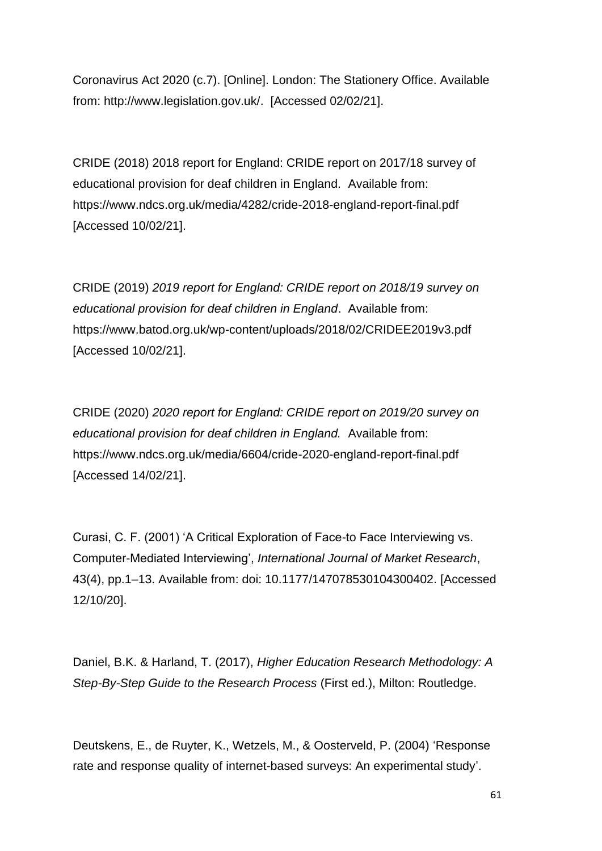Coronavirus Act 2020 (c.7). [Online]. London: The Stationery Office. Available from: [http://www.legislation.gov.uk/.](http://www.legislation.gov.uk/) [Accessed 02/02/21].

CRIDE (2018) 2018 report for England: CRIDE report on 2017/18 survey of educational provision for deaf children in England. Available from: <https://www.ndcs.org.uk/media/4282/cride-2018-england-report-final.pdf> [Accessed 10/02/21].

CRIDE (2019) *2019 report for England: CRIDE report on 2018/19 survey on educational provision for deaf children in England*. Available from: <https://www.batod.org.uk/wp-content/uploads/2018/02/CRIDEE2019v3.pdf> [Accessed 10/02/21].

CRIDE (2020) *2020 report for England: CRIDE report on 2019/20 survey on educational provision for deaf children in England.* Available from: <https://www.ndcs.org.uk/media/6604/cride-2020-england-report-final.pdf> [Accessed 14/02/21].

Curasi, C. F. (2001) 'A Critical Exploration of Face-to Face Interviewing vs. Computer-Mediated Interviewing', *International Journal of Market Research*, 43(4), pp.1–13. Available from: doi: [10.1177/147078530104300402.](https://doi.org/10.1177/147078530104300402) [Accessed 12/10/20].

Daniel, B.K. & Harland, T. (2017), *Higher Education Research Methodology: A Step-By-Step Guide to the Research Process* (First ed.), Milton: Routledge.

Deutskens, E., de Ruyter, K., Wetzels, M., & Oosterveld, P. (2004) 'Response rate and response quality of internet-based surveys: An experimental study'.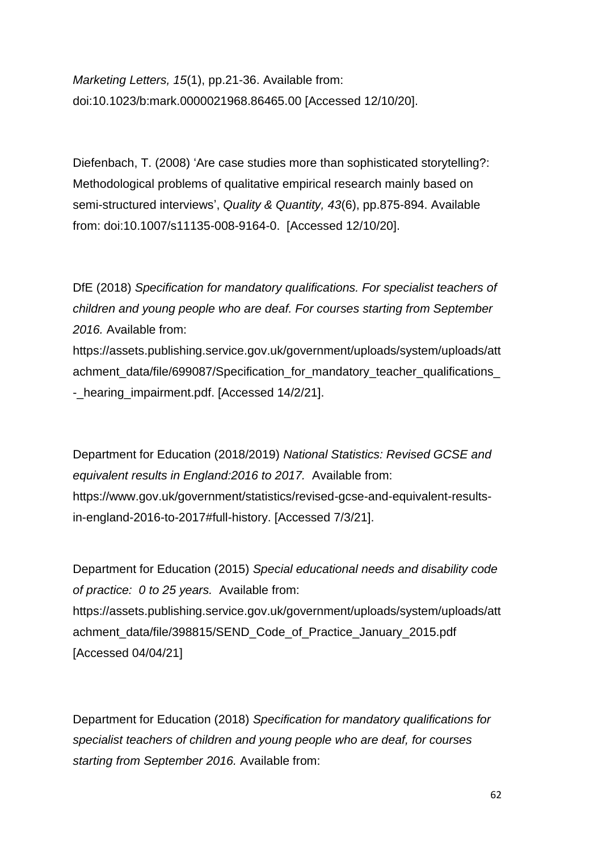*Marketing Letters, 15*(1), pp.21-36. Available from: doi:10.1023/b:mark.0000021968.86465.00 [Accessed 12/10/20].

Diefenbach, T. (2008) 'Are case studies more than sophisticated storytelling?: Methodological problems of qualitative empirical research mainly based on semi-structured interviews', *Quality & Quantity, 43*(6), pp.875-894. Available from: doi:10.1007/s11135-008-9164-0. [Accessed 12/10/20].

DfE (2018) *Specification for mandatory qualifications. For specialist teachers of children and young people who are deaf. For courses starting from September 2016.* Available from:

[https://assets.publishing.service.gov.uk/government/uploads/system/uploads/att](https://assets.publishing.service.gov.uk/government/uploads/system/uploads/attachment_data/file/699087/Specification_for_mandatory_teacher_qualifications_-_hearing_impairment.pdf) achment\_data/file/699087/Specification\_for\_mandatory\_teacher\_qualifications - hearing impairment.pdf. [Accessed 14/2/21].

Department for Education (2018/2019) *National Statistics: Revised GCSE and equivalent results in England:2016 to 2017.* Available from: [https://www.gov.uk/government/statistics/revised-gcse-and-equivalent-results](https://www.gov.uk/government/statistics/revised-gcse-and-equivalent-results-in-england-2016-to-2017#full-history)[in-england-2016-to-2017#full-history.](https://www.gov.uk/government/statistics/revised-gcse-and-equivalent-results-in-england-2016-to-2017#full-history) [Accessed 7/3/21].

Department for Education (2015) *Special educational needs and disability code of practice: 0 to 25 years.* Available from: [https://assets.publishing.service.gov.uk/government/uploads/system/uploads/att](https://assets.publishing.service.gov.uk/government/uploads/system/uploads/attachment_data/file/398815/SEND_Code_of_Practice_January_2015.pdf) [achment\\_data/file/398815/SEND\\_Code\\_of\\_Practice\\_January\\_2015.pdf](https://assets.publishing.service.gov.uk/government/uploads/system/uploads/attachment_data/file/398815/SEND_Code_of_Practice_January_2015.pdf) [Accessed 04/04/21]

Department for Education (2018) *Specification for mandatory qualifications for specialist teachers of children and young people who are deaf, for courses starting from September 2016.* Available from: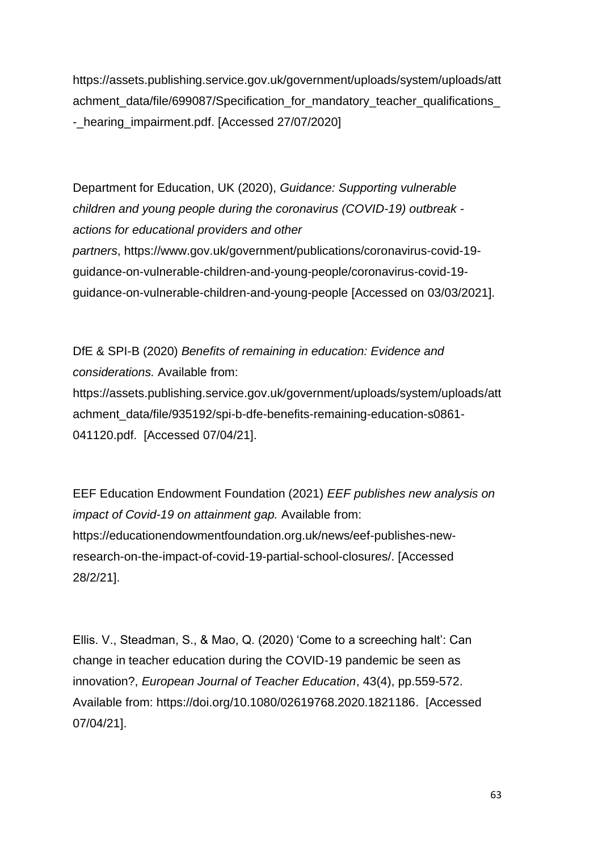[https://assets.publishing.service.gov.uk/government/uploads/system/uploads/att](https://assets.publishing.service.gov.uk/government/uploads/system/uploads/attachment_data/file/699087/Specification_for_mandatory_teacher_qualifications_-_hearing_impairment.pdf) achment\_data/file/699087/Specification\_for\_mandatory\_teacher\_qualifications [-\\_hearing\\_impairment.pdf.](https://assets.publishing.service.gov.uk/government/uploads/system/uploads/attachment_data/file/699087/Specification_for_mandatory_teacher_qualifications_-_hearing_impairment.pdf) [Accessed 27/07/2020]

Department for Education, UK (2020), *Guidance: Supporting vulnerable children and young people during the coronavirus (COVID-19) outbreak actions for educational providers and other partners*, [https://www.gov.uk/government/publications/coronavirus-covid-19](https://www.gov.uk/government/publications/coronavirus-covid-19-guidance-on-vulnerable-children-and-young-people/coronavirus-covid-19-guidance-on-vulnerable-children-and-young-people) [guidance-on-vulnerable-children-and-young-people/coronavirus-covid-19](https://www.gov.uk/government/publications/coronavirus-covid-19-guidance-on-vulnerable-children-and-young-people/coronavirus-covid-19-guidance-on-vulnerable-children-and-young-people) [guidance-on-vulnerable-children-and-young-people](https://www.gov.uk/government/publications/coronavirus-covid-19-guidance-on-vulnerable-children-and-young-people/coronavirus-covid-19-guidance-on-vulnerable-children-and-young-people) [Accessed on 03/03/2021].

DfE & SPI-B (2020) *Benefits of remaining in education: Evidence and considerations.* Available from: [https://assets.publishing.service.gov.uk/government/uploads/system/uploads/att](https://assets.publishing.service.gov.uk/government/uploads/system/uploads/attachment_data/file/935192/spi-b-dfe-benefits-remaining-education-s0861-041120.pdf) [achment\\_data/file/935192/spi-b-dfe-benefits-remaining-education-s0861-](https://assets.publishing.service.gov.uk/government/uploads/system/uploads/attachment_data/file/935192/spi-b-dfe-benefits-remaining-education-s0861-041120.pdf) [041120.pdf.](https://assets.publishing.service.gov.uk/government/uploads/system/uploads/attachment_data/file/935192/spi-b-dfe-benefits-remaining-education-s0861-041120.pdf) [Accessed 07/04/21].

EEF Education Endowment Foundation (2021) *EEF publishes new analysis on impact of Covid-19 on attainment gap.* Available from: [https://educationendowmentfoundation.org.uk/news/eef-publishes-new](https://educationendowmentfoundation.org.uk/news/eef-publishes-new-research-on-the-impact-of-covid-19-partial-school-closures/)[research-on-the-impact-of-covid-19-partial-school-closures/.](https://educationendowmentfoundation.org.uk/news/eef-publishes-new-research-on-the-impact-of-covid-19-partial-school-closures/) [Accessed 28/2/21].

Ellis. V., Steadman, S., & Mao, Q. (2020) 'Come to a screeching halt': Can change in teacher education during the COVID-19 pandemic be seen as innovation?, *European Journal of Teacher Education*, 43(4), pp.559-572. Available from: [https://doi.org/10.1080/02619768.2020.1821186.](https://doi.org/10.1080/02619768.2020.1821186) [Accessed 07/04/21].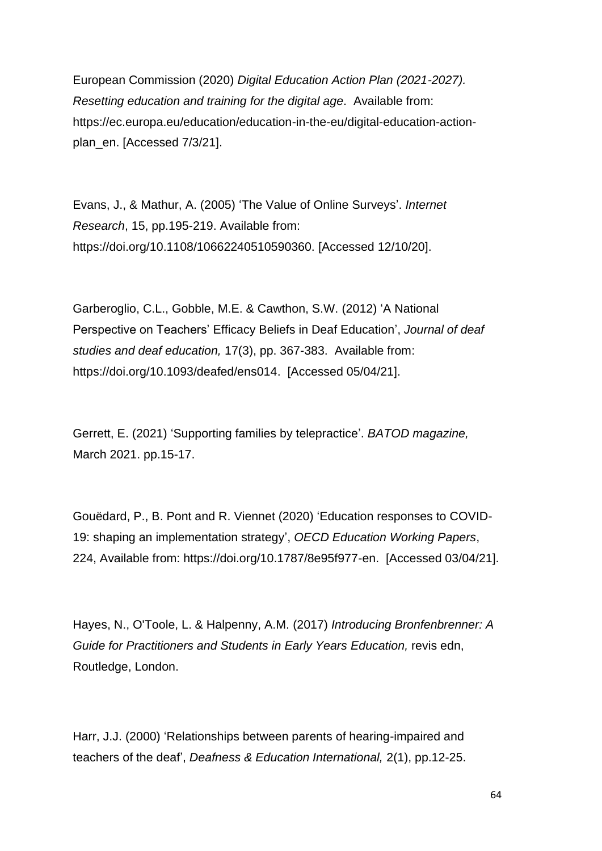European Commission (2020) *Digital Education Action Plan (2021-2027). Resetting education and training for the digital age*. Available from: [https://ec.europa.eu/education/education-in-the-eu/digital-education-action](https://ec.europa.eu/education/education-in-the-eu/digital-education-action-plan_en)[plan\\_en.](https://ec.europa.eu/education/education-in-the-eu/digital-education-action-plan_en) [Accessed 7/3/21].

Evans, J., & Mathur, A. (2005) 'The Value of Online Surveys'. *Internet Research*, 15, pp.195-219. Available from: https://doi.org/10.1108/10662240510590360. [Accessed 12/10/20].

Garberoglio, C.L., Gobble, M.E. & Cawthon, S.W. (2012) 'A National Perspective on Teachers' Efficacy Beliefs in Deaf Education', *Journal of deaf studies and deaf education,* 17(3), pp. 367-383. Available from: https://doi.org[/10.1093/deafed/ens014.](https://doi.org/10.1093/deafed/ens014) [Accessed 05/04/21].

Gerrett, E. (2021) 'Supporting families by telepractice'. *BATOD magazine,* March 2021. pp.15-17.

Gouëdard, P., B. Pont and R. Viennet (2020) 'Education responses to COVID-19: shaping an implementation strategy', *OECD Education Working Papers*, 224, Available from: [https://doi.org/10.1787/8e95f977-en.](https://doi.org/10.1787/8e95f977-en) [Accessed 03/04/21].

Hayes, N., O'Toole, L. & Halpenny, A.M. (2017) *Introducing Bronfenbrenner: A Guide for Practitioners and Students in Early Years Education,* revis edn, Routledge, London.

Harr, J.J. (2000) 'Relationships between parents of hearing-impaired and teachers of the deaf', *Deafness & Education International,* 2(1), pp.12-25.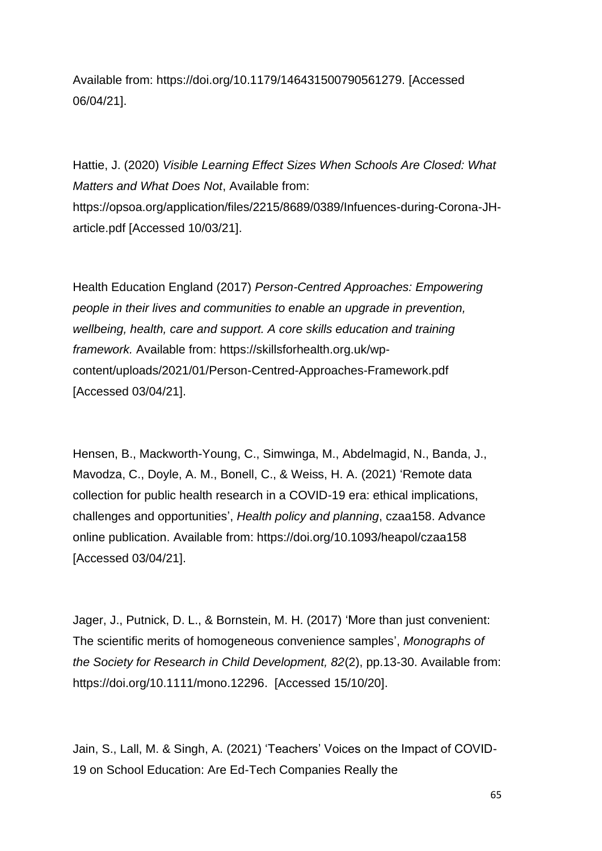Available from: https://doi.org/10.1179/146431500790561279. [Accessed 06/04/21].

Hattie, J. (2020) *Visible Learning Effect Sizes When Schools Are Closed: What Matters and What Does Not*, Available from: [https://opsoa.org/application/files/2215/8689/0389/Infuences-during-Corona-JH](https://opsoa.org/application/files/2215/8689/0389/Infuences-during-Corona-JH-article.pdf)[article.pdf](https://opsoa.org/application/files/2215/8689/0389/Infuences-during-Corona-JH-article.pdf) [Accessed 10/03/21].

Health Education England (2017) *Person-Centred Approaches: Empowering people in their lives and communities to enable an upgrade in prevention, wellbeing, health, care and support. A core skills education and training framework.* Available from: [https://skillsforhealth.org.uk/wp](https://skillsforhealth.org.uk/wp-content/uploads/2021/01/Person-Centred-Approaches-Framework.pdf)[content/uploads/2021/01/Person-Centred-Approaches-Framework.pdf](https://skillsforhealth.org.uk/wp-content/uploads/2021/01/Person-Centred-Approaches-Framework.pdf) [Accessed 03/04/21].

Hensen, B., Mackworth-Young, C., Simwinga, M., Abdelmagid, N., Banda, J., Mavodza, C., Doyle, A. M., Bonell, C., & Weiss, H. A. (2021) 'Remote data collection for public health research in a COVID-19 era: ethical implications, challenges and opportunities', *Health policy and planning*, czaa158. Advance online publication. Available from:<https://doi.org/10.1093/heapol/czaa158> [Accessed 03/04/21].

Jager, J., Putnick, D. L., & Bornstein, M. H. (2017) 'More than just convenient: The scientific merits of homogeneous convenience samples', *Monographs of the Society for Research in Child Development, 82*(2), pp.13-30. Available from: [https://doi.org/10.1111/mono.12296.](https://doi.org/10.1111/mono.12296) [Accessed 15/10/20].

Jain, S., Lall, M. & Singh, A. (2021) 'Teachers' Voices on the Impact of COVID-19 on School Education: Are Ed-Tech Companies Really the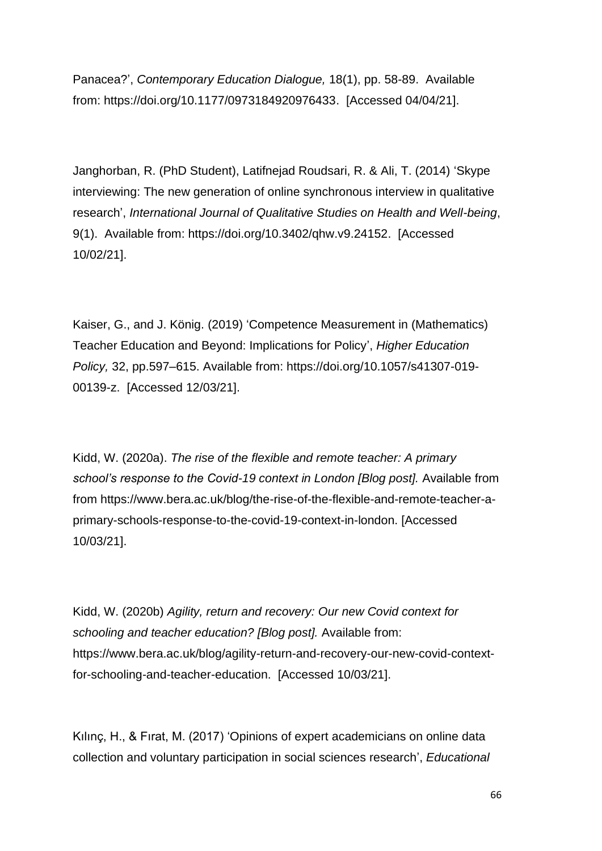Panacea?', *Contemporary Education Dialogue,* 18(1), pp. 58-89. Available from: [https://doi.org/10.1177/0973184920976433.](https://doi.org/10.1177%2F0973184920976433) [Accessed 04/04/21].

Janghorban, R. (PhD Student), Latifnejad Roudsari, R. & Ali, T. (2014) 'Skype interviewing: The new generation of online synchronous interview in qualitative research', *International Journal of Qualitative Studies on Health and Well-being*, 9(1). Available from: [https://doi.org/10.3402/qhw.v9.24152.](https://doi.org/10.3402/qhw.v9.24152) [Accessed 10/02/21].

Kaiser, G., and J. König. (2019) 'Competence Measurement in (Mathematics) Teacher Education and Beyond: Implications for Policy', *Higher Education Policy,* 32, pp.597–615. Available from: https://doi.org/10.1057/s41307-019- 00139-z. [Accessed 12/03/21].

Kidd, W. (2020a). *The rise of the flexible and remote teacher: A primary school's response to the Covid-19 context in London [Blog post].* Available from from [https://www.bera.ac.uk/blog/the-rise-of-the-flexible-and-remote-teacher-a](https://www.bera.ac.uk/blog/the-rise-of-the-flexible-and-remote-teacher-a-primary-schools-response-to-the-covid-19-context-in-london)[primary-schools-response-to-the-covid-19-context-in-london.](https://www.bera.ac.uk/blog/the-rise-of-the-flexible-and-remote-teacher-a-primary-schools-response-to-the-covid-19-context-in-london) [Accessed 10/03/21].

Kidd, W. (2020b) *Agility, return and recovery: Our new Covid context for schooling and teacher education? [Blog post].* Available from: [https://www.bera.ac.uk/blog/agility-return-and-recovery-our-new-covid-context](https://www.bera.ac.uk/blog/agility-return-and-recovery-our-new-covid-context-for-schooling-and-teacher-education)[for-schooling-and-teacher-education.](https://www.bera.ac.uk/blog/agility-return-and-recovery-our-new-covid-context-for-schooling-and-teacher-education) [Accessed 10/03/21].

Kılınç, H., & Fırat, M. (2017) 'Opinions of expert academicians on online data collection and voluntary participation in social sciences research', *Educational*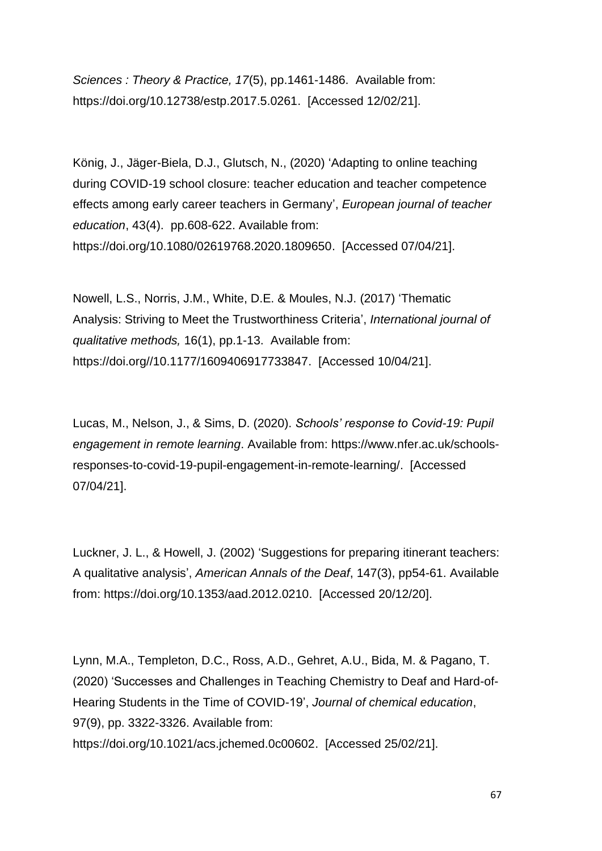*Sciences : Theory & Practice, 17*(5), pp.1461-1486. Available from: [https://doi.org/10.12738/estp.2017.5.0261.](https://doi.org/10.12738/estp.2017.5.0261) [Accessed 12/02/21].

König, J., Jäger-Biela, D.J., Glutsch, N., (2020) 'Adapting to online teaching during COVID-19 school closure: teacher education and teacher competence effects among early career teachers in Germany', *European journal of teacher education*, 43(4). pp.608-622. Available from: [https://doi.org/10.1080/02619768.2020.1809650.](https://doi.org/10.1080/02619768.2020.1809650) [Accessed 07/04/21].

Nowell, L.S., Norris, J.M., White, D.E. & Moules, N.J. (2017) 'Thematic Analysis: Striving to Meet the Trustworthiness Criteria', *International journal of qualitative methods,* 16(1), pp.1-13. Available from: [https://doi.org//10.1177/1609406917733847.](https://doi.org/10.1177/1609406917733847) [Accessed 10/04/21].

Lucas, M., Nelson, J., & Sims, D. (2020). *Schools' response to Covid-19: Pupil engagement in remote learning*. Available from: [https://www.nfer.ac.uk/schools](https://www.nfer.ac.uk/schools-responses-to-covid-19-pupil-engagement-in-remote-learning/)[responses-to-covid-19-pupil-engagement-in-remote-learning/.](https://www.nfer.ac.uk/schools-responses-to-covid-19-pupil-engagement-in-remote-learning/) [Accessed 07/04/21].

Luckner, J. L., & Howell, J. (2002) 'Suggestions for preparing itinerant teachers: A qualitative analysis', *American Annals of the Deaf*, 147(3), pp54-61. Available from: [https://doi.org/10.1353/aad.2012.0210.](https://doi.org/10.1353/aad.2012.0210) [Accessed 20/12/20].

Lynn, M.A., Templeton, D.C., Ross, A.D., Gehret, A.U., Bida, M. & Pagano, T. (2020) 'Successes and Challenges in Teaching Chemistry to Deaf and Hard-of-Hearing Students in the Time of COVID-19', *Journal of chemical education*, 97(9), pp. 3322-3326. Available from: [https://doi.org/10.1021/acs.jchemed.0c00602.](https://doi.org/10.1021/acs.jchemed.0c00602) [Accessed 25/02/21].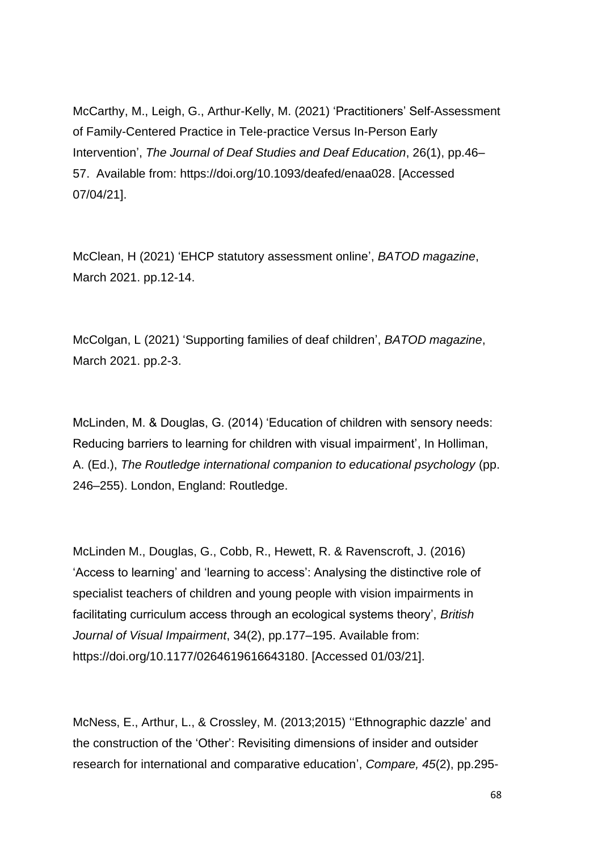McCarthy, M., Leigh, G., Arthur-Kelly, M. (2021) 'Practitioners' Self-Assessment of Family-Centered Practice in Tele-practice Versus In-Person Early Intervention', *The Journal of Deaf Studies and Deaf Education*, 26(1), pp.46– 57. Available from: [https://doi.org/10.1093/deafed/enaa028.](https://doi.org/10.1093/deafed/enaa028) [Accessed 07/04/21].

McClean, H (2021) 'EHCP statutory assessment online', *BATOD magazine*, March 2021. pp.12-14.

McColgan, L (2021) 'Supporting families of deaf children', *BATOD magazine*, March 2021. pp.2-3.

McLinden, M. & Douglas, G. (2014) 'Education of children with sensory needs: Reducing barriers to learning for children with visual impairment', In Holliman, A. (Ed.), *The Routledge international companion to educational psychology* (pp. 246–255). London, England: Routledge.

McLinden M., Douglas, G., Cobb, R., Hewett, R. & Ravenscroft, J. (2016) 'Access to learning' and 'learning to access': Analysing the distinctive role of specialist teachers of children and young people with vision impairments in facilitating curriculum access through an ecological systems theory', *British Journal of Visual Impairment*, 34(2), pp.177–195. Available from: [https://doi.org/10.1177/0264619616643180.](https://doi.org/10.1177/0264619616643180) [Accessed 01/03/21].

McNess, E., Arthur, L., & Crossley, M. (2013;2015) ''Ethnographic dazzle' and the construction of the 'Other': Revisiting dimensions of insider and outsider research for international and comparative education', *Compare, 45*(2), pp.295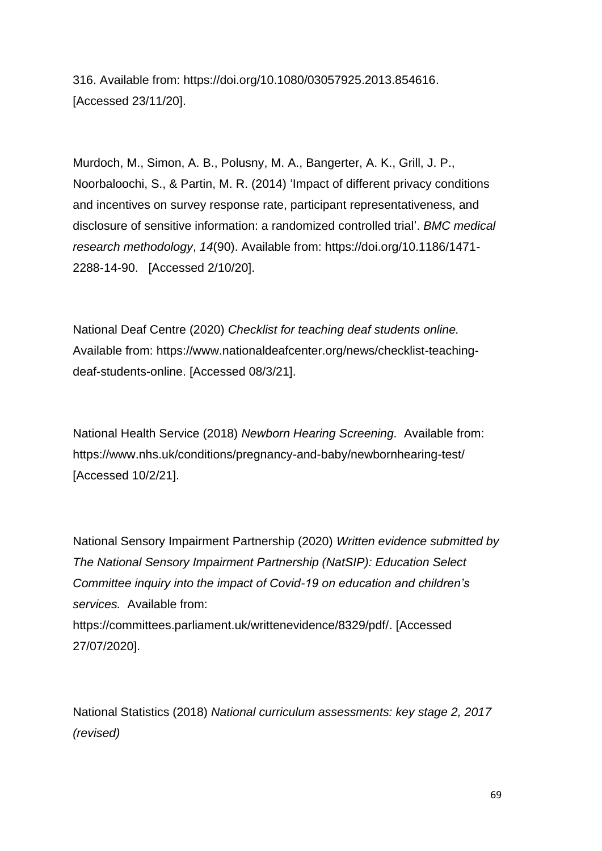316. Available from: [https://doi.org/10.1080/03057925.2013.854616.](https://doi.org/10.1080/03057925.2013.854616) [Accessed 23/11/20].

Murdoch, M., Simon, A. B., Polusny, M. A., Bangerter, A. K., Grill, J. P., Noorbaloochi, S., & Partin, M. R. (2014) 'Impact of different privacy conditions and incentives on survey response rate, participant representativeness, and disclosure of sensitive information: a randomized controlled trial'. *BMC medical research methodology*, *14*(90). Available from: [https://doi.org/10.1186/1471-](https://doi.org/10.1186/1471-2288-14-90) [2288-14-90.](https://doi.org/10.1186/1471-2288-14-90) [Accessed 2/10/20].

National Deaf Centre (2020) *Checklist for teaching deaf students online.* Available from: [https://www.nationaldeafcenter.org/news/checklist-teaching](https://www.nationaldeafcenter.org/news/checklist-teaching-deaf-students-online)[deaf-students-online.](https://www.nationaldeafcenter.org/news/checklist-teaching-deaf-students-online) [Accessed 08/3/21].

National Health Service (2018) *Newborn Hearing Screening.* Available from: https://www.nhs.uk/conditions/pregnancy-and-baby/newbornhearing-test/ [Accessed 10/2/21].

National Sensory Impairment Partnership (2020) *Written evidence submitted by The National Sensory Impairment Partnership (NatSIP): Education Select Committee inquiry into the impact of Covid-19 on education and children's services.* Available from: [https://committees.parliament.uk/writtenevidence/8329/pdf/.](https://committees.parliament.uk/writtenevidence/8329/pdf/) [Accessed 27/07/2020].

National Statistics (2018) *National curriculum assessments: key stage 2, 2017 (revised)*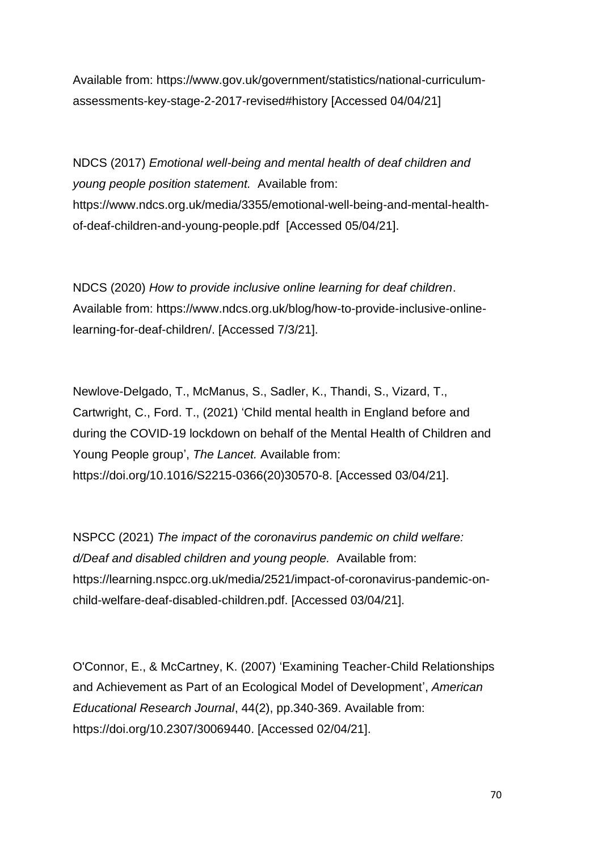Available from: [https://www.gov.uk/government/statistics/national-curriculum](https://www.gov.uk/government/statistics/national-curriculum-assessments-key-stage-2-2017-revised#history)[assessments-key-stage-2-2017-revised#history](https://www.gov.uk/government/statistics/national-curriculum-assessments-key-stage-2-2017-revised#history) [Accessed 04/04/21]

NDCS (2017) *Emotional well-being and mental health of deaf children and young people position statement.* Available from: [https://www.ndcs.org.uk/media/3355/emotional-well-being-and-mental-health](https://www.ndcs.org.uk/media/3355/emotional-well-being-and-mental-health-of-deaf-children-and-young-people.pdf)[of-deaf-children-and-young-people.pdf](https://www.ndcs.org.uk/media/3355/emotional-well-being-and-mental-health-of-deaf-children-and-young-people.pdf) [Accessed 05/04/21].

NDCS (2020) *How to provide inclusive online learning for deaf children*. Available from: https://www.ndcs.org.uk/blog/how-to-provide-inclusive-onlinelearning-for-deaf-children/. [Accessed 7/3/21].

Newlove-Delgado, T., McManus, S., Sadler, K., Thandi, S., Vizard, T., Cartwright, C., Ford. T., (2021) 'Child mental health in England before and during the COVID-19 lockdown on behalf of the Mental Health of Children and Young People group', *The Lancet.* Available from: https://doi.org/10.1016/S2215-0366(20)30570-8. [Accessed 03/04/21].

NSPCC (2021) *The impact of the coronavirus pandemic on child welfare: d/Deaf and disabled children and young people.* Available from: [https://learning.nspcc.org.uk/media/2521/impact-of-coronavirus-pandemic-on](https://learning.nspcc.org.uk/media/2521/impact-of-coronavirus-pandemic-on-child-welfare-deaf-disabled-children.pdf)[child-welfare-deaf-disabled-children.pdf.](https://learning.nspcc.org.uk/media/2521/impact-of-coronavirus-pandemic-on-child-welfare-deaf-disabled-children.pdf) [Accessed 03/04/21].

O'Connor, E., & McCartney, K. (2007) 'Examining Teacher-Child Relationships and Achievement as Part of an Ecological Model of Development', *American Educational Research Journal*, 44(2), pp.340-369. Available from: [https://doi.org/10.2307/30069440.](https://doi.org/10.2307/30069440) [Accessed 02/04/21].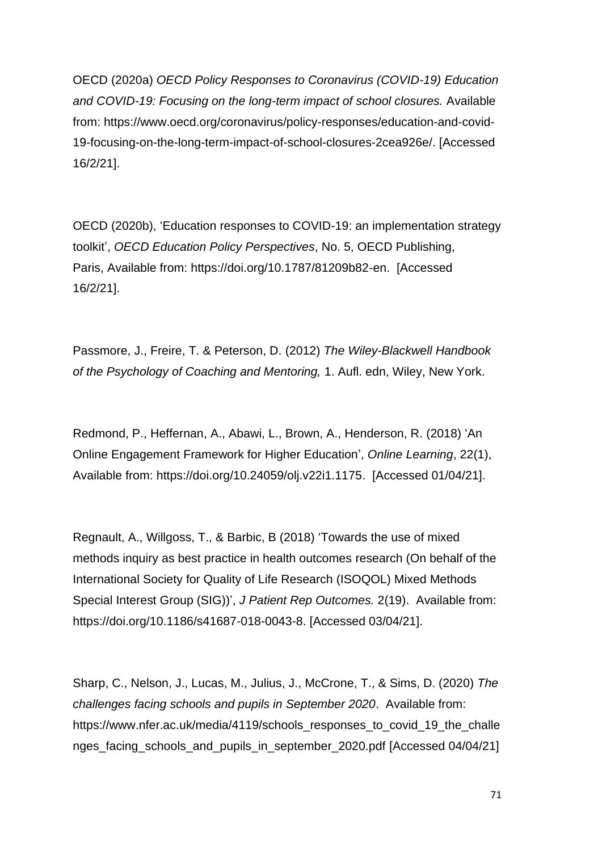OECD (2020a) *OECD Policy Responses to Coronavirus (COVID-19) Education and COVID-19: Focusing on the long-term impact of school closures.* Available from: [https://www.oecd.org/coronavirus/policy-responses/education-and-covid-](https://www.oecd.org/coronavirus/policy-responses/education-and-covid-19-focusing-on-the-long-term-impact-of-school-closures-2cea926e/)[19-focusing-on-the-long-term-impact-of-school-closures-2cea926e/.](https://www.oecd.org/coronavirus/policy-responses/education-and-covid-19-focusing-on-the-long-term-impact-of-school-closures-2cea926e/) [Accessed 16/2/21].

OECD (2020b), 'Education responses to COVID-19: an implementation strategy toolkit', *OECD Education Policy Perspectives*, No. 5, OECD Publishing, Paris, Available from: [https://doi.org/10.1787/81209b82-en.](https://doi.org/10.1787/81209b82-en) [Accessed 16/2/21].

Passmore, J., Freire, T. & Peterson, D. (2012) *The Wiley-Blackwell Handbook of the Psychology of Coaching and Mentoring,* 1. Aufl. edn, Wiley, New York.

Redmond, P., Heffernan, A., Abawi, L., Brown, A., Henderson, R. (2018) 'An Online Engagement Framework for Higher Education', *Online Learning*, 22(1), Available from: [https://doi.org/10.24059/olj.v22i1.1175.](https://doi.org/10.24059/olj.v22i1.1175) [Accessed 01/04/21].

Regnault, A., Willgoss, T., & Barbic, B (2018) 'Towards the use of mixed methods inquiry as best practice in health outcomes research (On behalf of the International Society for Quality of Life Research (ISOQOL) Mixed Methods Special Interest Group (SIG))', *J Patient Rep Outcomes.* 2(19). Available from: https://doi.org/10.1186/s41687-018-0043-8. [Accessed 03/04/21].

Sharp, C., Nelson, J., Lucas, M., Julius, J., McCrone, T., & Sims, D. (2020) *The challenges facing schools and pupils in September 2020*. Available from: [https://www.nfer.ac.uk/media/4119/schools\\_responses\\_to\\_covid\\_19\\_the\\_challe](https://www.nfer.ac.uk/media/4119/schools_responses_to_covid_19_the_challenges_facing_schools_and_pupils_in_september_2020.pdf) nges facing schools and pupils in september 2020.pdf [Accessed 04/04/21]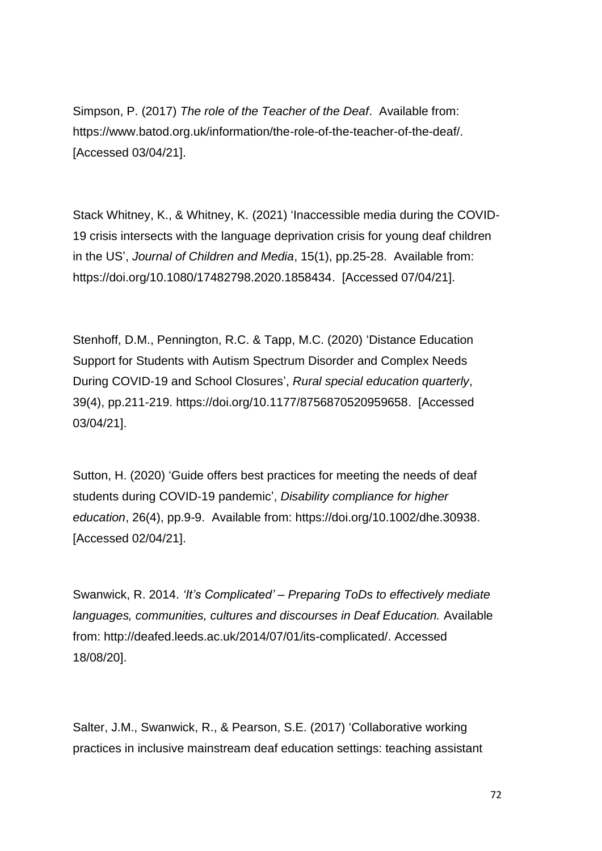Simpson, P. (2017) *The role of the Teacher of the Deaf*. Available from: [https://www.batod.org.uk/information/the-role-of-the-teacher-of-the-deaf/.](https://www.batod.org.uk/information/the-role-of-the-teacher-of-the-deaf/) [Accessed 03/04/21].

Stack Whitney, K., & Whitney, K. (2021) 'Inaccessible media during the COVID-19 crisis intersects with the language deprivation crisis for young deaf children in the US', *Journal of Children and Media*, 15(1), pp.25-28. Available from: https://doi.org[/10.1080/17482798.2020.1858434.](https://doi-org.ezproxy.herts.ac.uk/10.1080/17482798.2020.1858434) [Accessed 07/04/21].

Stenhoff, D.M., Pennington, R.C. & Tapp, M.C. (2020) 'Distance Education Support for Students with Autism Spectrum Disorder and Complex Needs During COVID-19 and School Closures', *Rural special education quarterly*, 39(4), pp.211-219. [https://doi.org/10.1177/8756870520959658.](https://doi.org/10.1177%2F8756870520959658) [Accessed 03/04/21].

Sutton, H. (2020) 'Guide offers best practices for meeting the needs of deaf students during COVID‐19 pandemic', *Disability compliance for higher education*, 26(4), pp.9-9. Available from: [https://doi.org/10.1002/dhe.30938.](https://doi.org/10.1002/dhe.30938) [Accessed 02/04/21].

Swanwick, R. 2014. *'It's Complicated' – Preparing ToDs to effectively mediate languages, communities, cultures and discourses in Deaf Education.* Available from: http://deafed.leeds.ac.uk/2014/07/01/its-complicated/. Accessed 18/08/20].

Salter, J.M., Swanwick, R., & Pearson, S.E. (2017) 'Collaborative working practices in inclusive mainstream deaf education settings: teaching assistant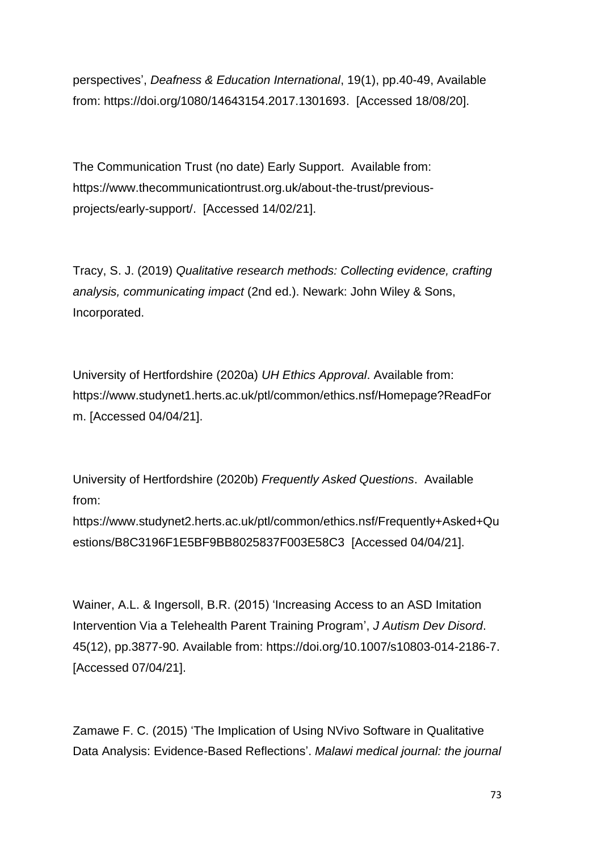perspectives', *Deafness & Education International*, 19(1), pp.40-49, Available from: [https://doi.org/1080/14643154.2017.1301693.](https://doi.org/1080/14643154.2017.1301693) [Accessed 18/08/20].

The Communication Trust (no date) Early Support. Available from: [https://www.thecommunicationtrust.org.uk/about-the-trust/previous](https://www.thecommunicationtrust.org.uk/about-the-trust/previous-projects/early-support/)[projects/early-support/.](https://www.thecommunicationtrust.org.uk/about-the-trust/previous-projects/early-support/) [Accessed 14/02/21].

Tracy, S. J. (2019) *Qualitative research methods: Collecting evidence, crafting analysis, communicating impact* (2nd ed.). Newark: John Wiley & Sons, Incorporated.

University of Hertfordshire (2020a) *UH Ethics Approval*. Available from: [https://www.studynet1.herts.ac.uk/ptl/common/ethics.nsf/Homepage?ReadFor](https://www.studynet1.herts.ac.uk/ptl/common/ethics.nsf/Homepage?ReadForm) [m.](https://www.studynet1.herts.ac.uk/ptl/common/ethics.nsf/Homepage?ReadForm) [Accessed 04/04/21].

University of Hertfordshire (2020b) *Frequently Asked Questions*. Available from:

[https://www.studynet2.herts.ac.uk/ptl/common/ethics.nsf/Frequently+Asked+Qu](https://www.studynet2.herts.ac.uk/ptl/common/ethics.nsf/Frequently+Asked+Questions/B8C3196F1E5BF9BB8025837F003E58C3) [estions/B8C3196F1E5BF9BB8025837F003E58C3](https://www.studynet2.herts.ac.uk/ptl/common/ethics.nsf/Frequently+Asked+Questions/B8C3196F1E5BF9BB8025837F003E58C3) [Accessed 04/04/21].

Wainer, A.L. & Ingersoll, B.R. (2015) 'Increasing Access to an ASD Imitation Intervention Via a Telehealth Parent Training Program', *J Autism Dev Disord*. 45(12), pp.3877-90. Available from: https://doi.org/10.1007/s10803-014-2186-7. [Accessed 07/04/21].

Zamawe F. C. (2015) 'The Implication of Using NVivo Software in Qualitative Data Analysis: Evidence-Based Reflections'. *Malawi medical journal: the journal*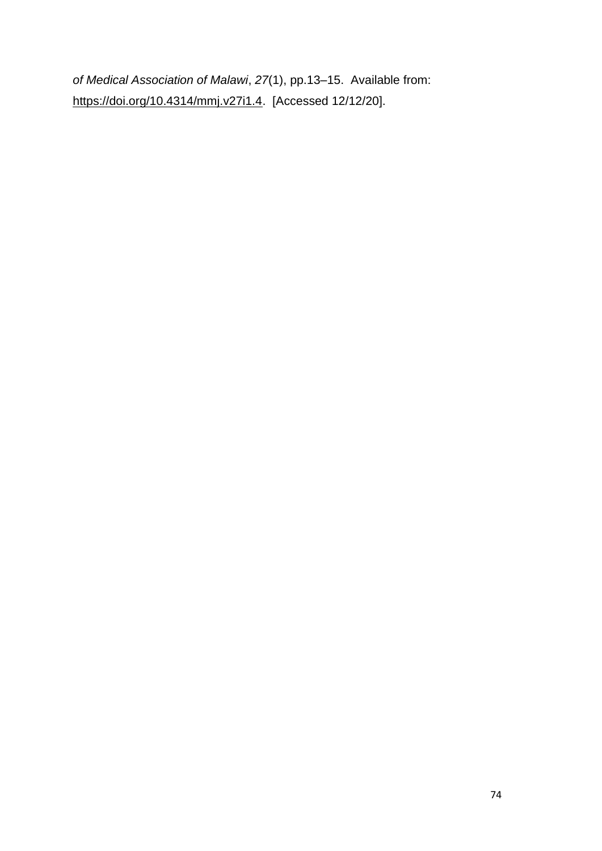*of Medical Association of Malawi*, *27*(1), pp.13–15. Available from: [https://doi.org/10.4314/mmj.v27i1.4.](https://doi.org/10.4314/mmj.v27i1.4) [Accessed 12/12/20].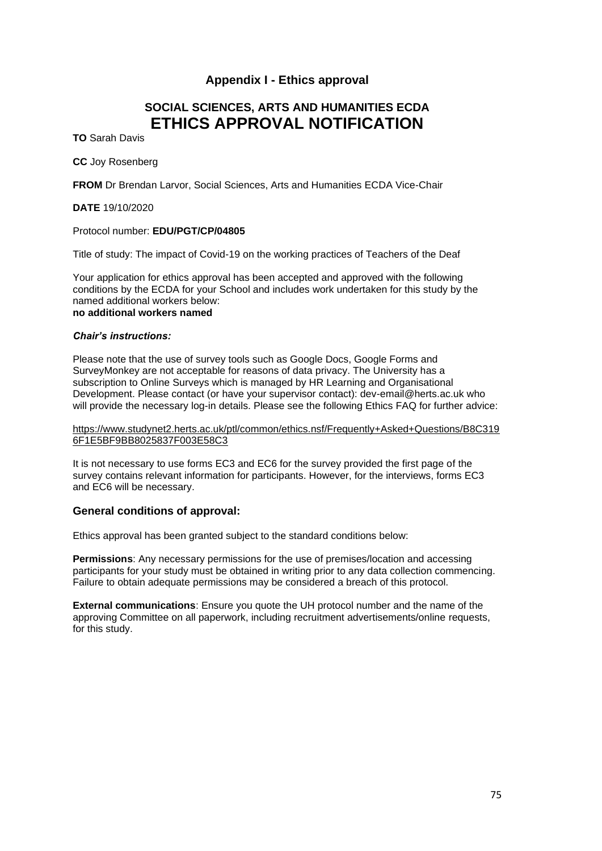# **Appendix I - Ethics approval**

# **SOCIAL SCIENCES, ARTS AND HUMANITIES ECDA ETHICS APPROVAL NOTIFICATION**

**TO** Sarah Davis

**CC** Joy Rosenberg

**FROM** Dr Brendan Larvor, Social Sciences, Arts and Humanities ECDA Vice-Chair

**DATE** 19/10/2020

#### Protocol number: **EDU/PGT/CP/04805**

Title of study: The impact of Covid-19 on the working practices of Teachers of the Deaf

Your application for ethics approval has been accepted and approved with the following conditions by the ECDA for your School and includes work undertaken for this study by the named additional workers below: **no additional workers named** 

#### *Chair's instructions:*

Please note that the use of survey tools such as Google Docs, Google Forms and SurveyMonkey are not acceptable for reasons of data privacy. The University has a subscription to Online Surveys which is managed by HR Learning and Organisational Development. Please contact (or have your supervisor contact): dev-email@herts.ac.uk who will provide the necessary log-in details. Please see the following Ethics FAQ for further advice:

[https://www.studynet2.herts.ac.uk/ptl/common/ethics.nsf/Frequently+Asked+Questions/B8C319](https://www.studynet2.herts.ac.uk/ptl/common/ethics.nsf/Frequently+Asked+Questions/B8C3196F1E5BF9BB8025837F003E58C3) [6F1E5BF9BB8025837F003E58C3](https://www.studynet2.herts.ac.uk/ptl/common/ethics.nsf/Frequently+Asked+Questions/B8C3196F1E5BF9BB8025837F003E58C3)

It is not necessary to use forms EC3 and EC6 for the survey provided the first page of the survey contains relevant information for participants. However, for the interviews, forms EC3 and EC6 will be necessary.

#### **General conditions of approval:**

Ethics approval has been granted subject to the standard conditions below:

**Permissions**: Any necessary permissions for the use of premises/location and accessing participants for your study must be obtained in writing prior to any data collection commencing. Failure to obtain adequate permissions may be considered a breach of this protocol.

**External communications**: Ensure you quote the UH protocol number and the name of the approving Committee on all paperwork, including recruitment advertisements/online requests, for this study.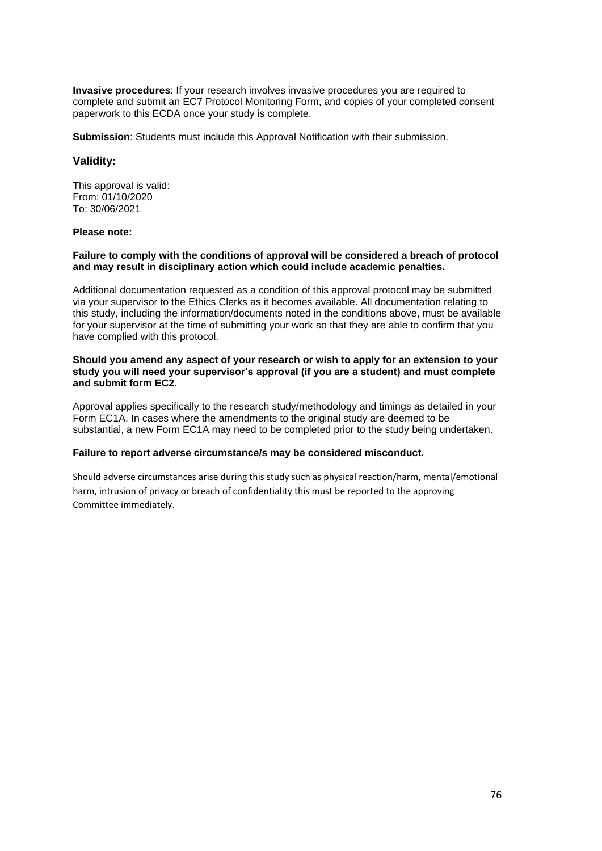**Invasive procedures**: If your research involves invasive procedures you are required to complete and submit an EC7 Protocol Monitoring Form, and copies of your completed consent paperwork to this ECDA once your study is complete.

**Submission**: Students must include this Approval Notification with their submission.

#### **Validity:**

This approval is valid: From: 01/10/2020 To: 30/06/2021

#### **Please note:**

#### **Failure to comply with the conditions of approval will be considered a breach of protocol and may result in disciplinary action which could include academic penalties.**

Additional documentation requested as a condition of this approval protocol may be submitted via your supervisor to the Ethics Clerks as it becomes available. All documentation relating to this study, including the information/documents noted in the conditions above, must be available for your supervisor at the time of submitting your work so that they are able to confirm that you have complied with this protocol.

#### **Should you amend any aspect of your research or wish to apply for an extension to your study you will need your supervisor's approval (if you are a student) and must complete and submit form EC2.**

Approval applies specifically to the research study/methodology and timings as detailed in your Form EC1A. In cases where the amendments to the original study are deemed to be substantial, a new Form EC1A may need to be completed prior to the study being undertaken.

#### **Failure to report adverse circumstance/s may be considered misconduct.**

Should adverse circumstances arise during this study such as physical reaction/harm, mental/emotional harm, intrusion of privacy or breach of confidentiality this must be reported to the approving Committee immediately.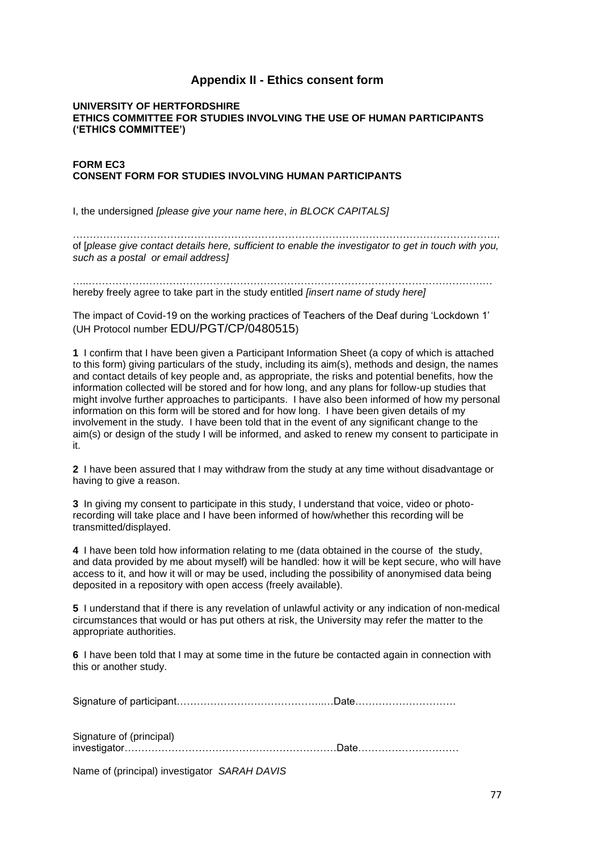# **Appendix II - Ethics consent form**

#### **UNIVERSITY OF HERTFORDSHIRE ETHICS COMMITTEE FOR STUDIES INVOLVING THE USE OF HUMAN PARTICIPANTS ('ETHICS COMMITTEE')**

#### **FORM EC3 CONSENT FORM FOR STUDIES INVOLVING HUMAN PARTICIPANTS**

I, the undersigned *[please give your name here*, *in BLOCK CAPITALS]*

………………………………………………………………………………………………………………. of [*please give contact details here, sufficient to enable the investigator to get in touch with you, such as a postal or email address]*

…..………………………………………………………………………………………………………… hereby freely agree to take part in the study entitled *[insert name of stu*dy *here]*

The impact of Covid-19 on the working practices of Teachers of the Deaf during 'Lockdown 1' (UH Protocol number EDU/PGT/CP/0480515)

**1** I confirm that I have been given a Participant Information Sheet (a copy of which is attached to this form) giving particulars of the study, including its aim(s), methods and design, the names and contact details of key people and, as appropriate, the risks and potential benefits, how the information collected will be stored and for how long, and any plans for follow-up studies that might involve further approaches to participants. I have also been informed of how my personal information on this form will be stored and for how long. I have been given details of my involvement in the study. I have been told that in the event of any significant change to the aim(s) or design of the study I will be informed, and asked to renew my consent to participate in it.

**2** I have been assured that I may withdraw from the study at any time without disadvantage or having to give a reason.

**3** In giving my consent to participate in this study, I understand that voice, video or photorecording will take place and I have been informed of how/whether this recording will be transmitted/displayed.

**4** I have been told how information relating to me (data obtained in the course of the study, and data provided by me about myself) will be handled: how it will be kept secure, who will have access to it, and how it will or may be used, including the possibility of anonymised data being deposited in a repository with open access (freely available).

**5** I understand that if there is any revelation of unlawful activity or any indication of non-medical circumstances that would or has put others at risk, the University may refer the matter to the appropriate authorities.

**6** I have been told that I may at some time in the future be contacted again in connection with this or another study.

Signature of participant……………………………………..…Date…………………………

Signature of (principal) investigator………………………………………………………Date…………………………

Name of (principal) investigator *SARAH DAVIS*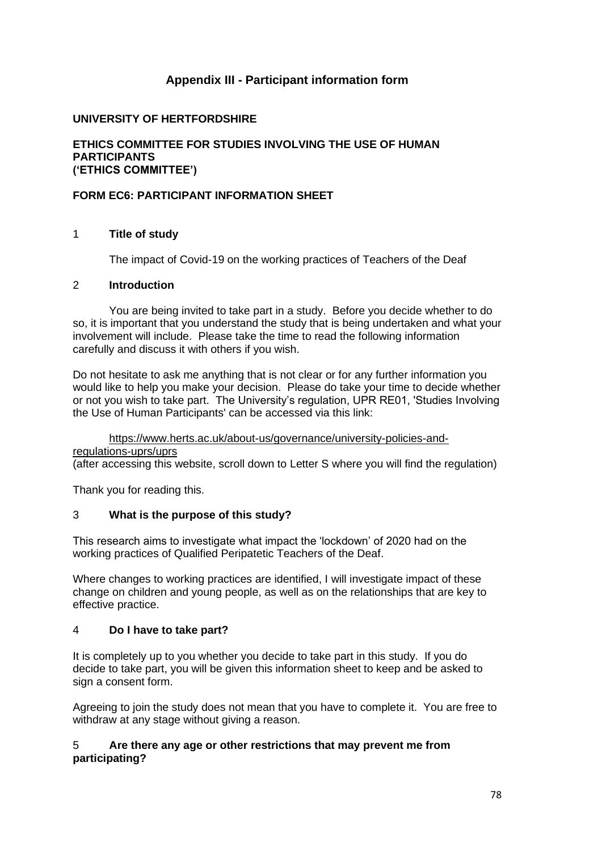# **Appendix III - Participant information form**

# **UNIVERSITY OF HERTFORDSHIRE**

#### **ETHICS COMMITTEE FOR STUDIES INVOLVING THE USE OF HUMAN PARTICIPANTS ('ETHICS COMMITTEE')**

# **FORM EC6: PARTICIPANT INFORMATION SHEET**

## 1 **Title of study**

The impact of Covid-19 on the working practices of Teachers of the Deaf

# 2 **Introduction**

You are being invited to take part in a study. Before you decide whether to do so, it is important that you understand the study that is being undertaken and what your involvement will include. Please take the time to read the following information carefully and discuss it with others if you wish.

Do not hesitate to ask me anything that is not clear or for any further information you would like to help you make your decision. Please do take your time to decide whether or not you wish to take part. The University's regulation, UPR RE01, 'Studies Involving the Use of Human Participants' can be accessed via this link:

### https://www.herts.ac.uk/about-us/governance/university-policies-and-

regulations-uprs/uprs

(after accessing this website, scroll down to Letter S where you will find the regulation)

Thank you for reading this.

# 3 **What is the purpose of this study?**

This research aims to investigate what impact the 'lockdown' of 2020 had on the working practices of Qualified Peripatetic Teachers of the Deaf.

Where changes to working practices are identified, I will investigate impact of these change on children and young people, as well as on the relationships that are key to effective practice.

#### 4 **Do I have to take part?**

It is completely up to you whether you decide to take part in this study. If you do decide to take part, you will be given this information sheet to keep and be asked to sign a consent form.

Agreeing to join the study does not mean that you have to complete it. You are free to withdraw at any stage without giving a reason.

## 5 **Are there any age or other restrictions that may prevent me from participating?**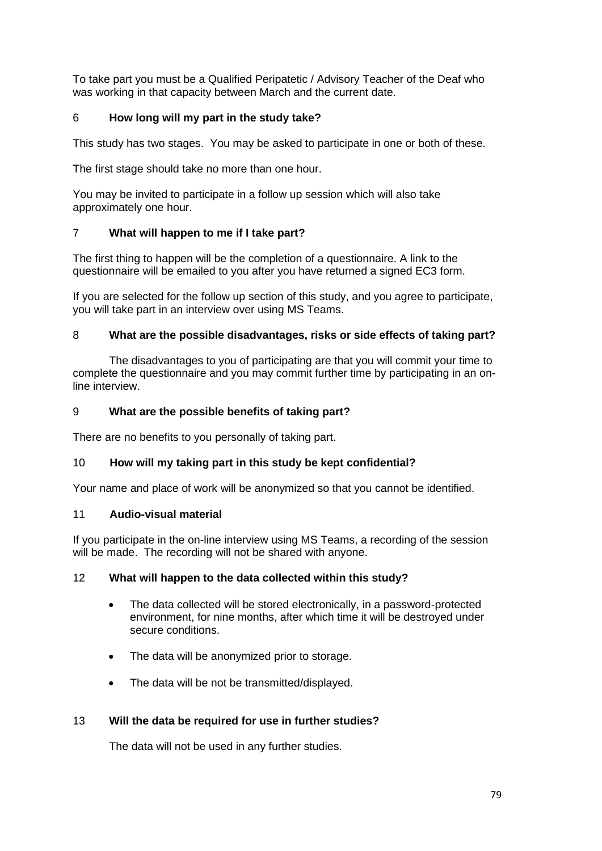To take part you must be a Qualified Peripatetic / Advisory Teacher of the Deaf who was working in that capacity between March and the current date.

# 6 **How long will my part in the study take?**

This study has two stages. You may be asked to participate in one or both of these.

The first stage should take no more than one hour.

You may be invited to participate in a follow up session which will also take approximately one hour.

# 7 **What will happen to me if I take part?**

The first thing to happen will be the completion of a questionnaire. A link to the questionnaire will be emailed to you after you have returned a signed EC3 form.

If you are selected for the follow up section of this study, and you agree to participate, you will take part in an interview over using MS Teams.

# 8 **What are the possible disadvantages, risks or side effects of taking part?**

The disadvantages to you of participating are that you will commit your time to complete the questionnaire and you may commit further time by participating in an online interview.

## 9 **What are the possible benefits of taking part?**

There are no benefits to you personally of taking part.

## 10 **How will my taking part in this study be kept confidential?**

Your name and place of work will be anonymized so that you cannot be identified.

## 11 **Audio-visual material**

If you participate in the on-line interview using MS Teams, a recording of the session will be made. The recording will not be shared with anyone.

## 12 **What will happen to the data collected within this study?**

- The data collected will be stored electronically, in a password-protected environment, for nine months, after which time it will be destroyed under secure conditions.
- The data will be anonymized prior to storage.
- The data will be not be transmitted/displayed.

## 13 **Will the data be required for use in further studies?**

The data will not be used in any further studies.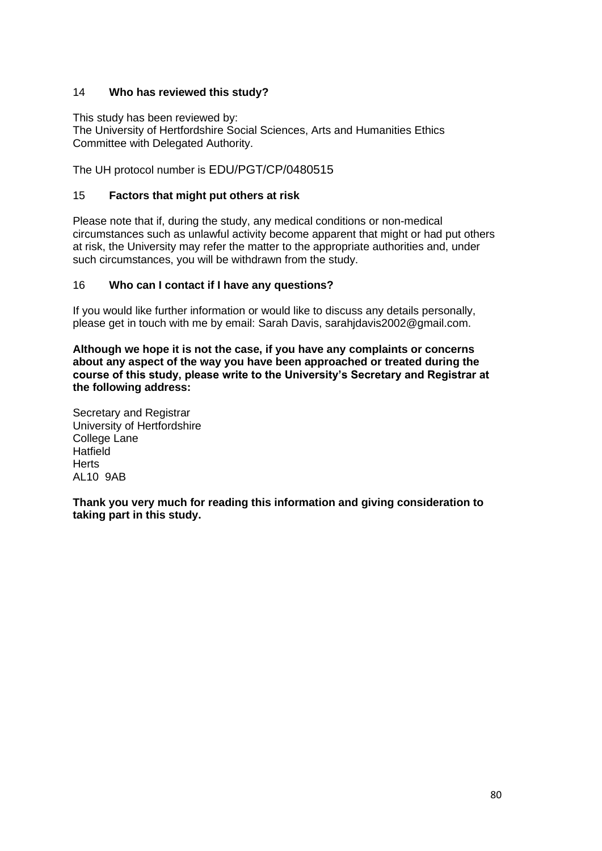# 14 **Who has reviewed this study?**

This study has been reviewed by:

The University of Hertfordshire Social Sciences, Arts and Humanities Ethics Committee with Delegated Authority.

The UH protocol number is EDU/PGT/CP/0480515

### 15 **Factors that might put others at risk**

Please note that if, during the study, any medical conditions or non-medical circumstances such as unlawful activity become apparent that might or had put others at risk, the University may refer the matter to the appropriate authorities and, under such circumstances, you will be withdrawn from the study.

#### 16 **Who can I contact if I have any questions?**

If you would like further information or would like to discuss any details personally, please get in touch with me by email: Sarah Davis, sarahjdavis2002@gmail.com.

**Although we hope it is not the case, if you have any complaints or concerns about any aspect of the way you have been approached or treated during the course of this study, please write to the University's Secretary and Registrar at the following address:**

Secretary and Registrar University of Hertfordshire College Lane **Hatfield Herts** AL10 9AB

**Thank you very much for reading this information and giving consideration to taking part in this study.**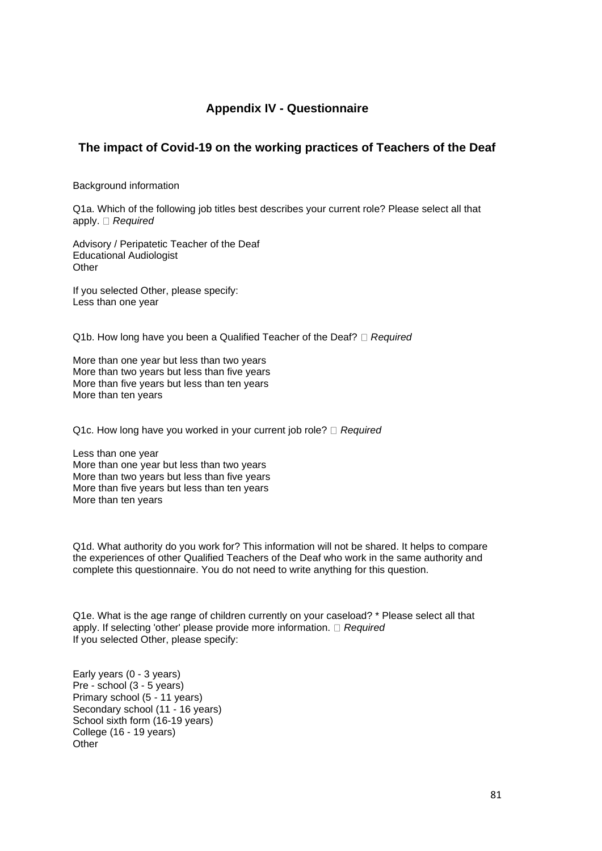# **Appendix IV - Questionnaire**

# **The impact of Covid-19 on the working practices of Teachers of the Deaf**

Background information

Q1a. Which of the following job titles best describes your current role? Please select all that apply. *Required*

Advisory / Peripatetic Teacher of the Deaf Educational Audiologist **Other** 

If you selected Other, please specify: Less than one year

Q1b. How long have you been a Qualified Teacher of the Deaf? *Required* 

More than one year but less than two years More than two years but less than five years More than five years but less than ten years More than ten years

Q1c. How long have you worked in your current job role? <sup>*Required*</sup>

Less than one year More than one year but less than two years More than two years but less than five years More than five years but less than ten years More than ten years

Q1d. What authority do you work for? This information will not be shared. It helps to compare the experiences of other Qualified Teachers of the Deaf who work in the same authority and complete this questionnaire. You do not need to write anything for this question.

Q1e. What is the age range of children currently on your caseload? \* Please select all that apply. If selecting 'other' please provide more information. *Required* If you selected Other, please specify:

Early years (0 - 3 years) Pre - school (3 - 5 years) Primary school (5 - 11 years) Secondary school (11 - 16 years) School sixth form (16-19 years) College (16 - 19 years) **Other**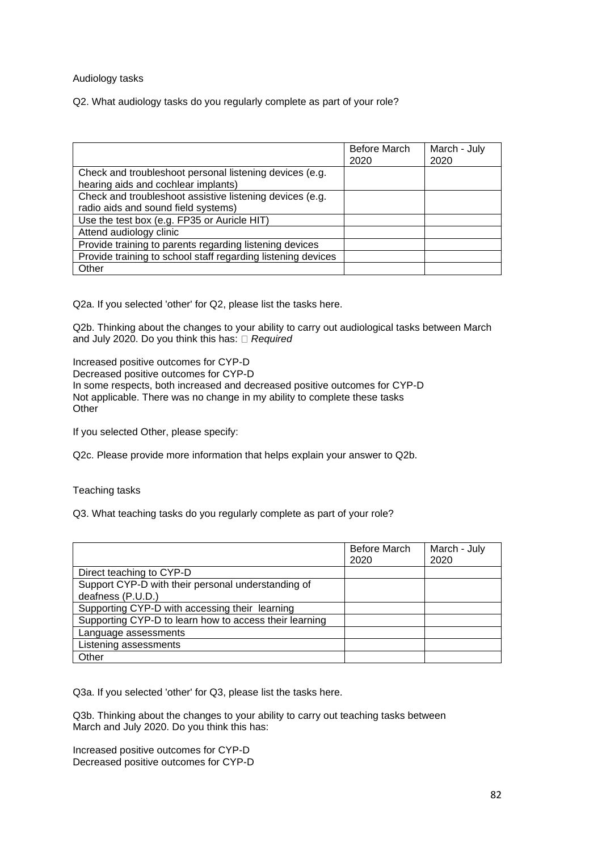#### Audiology tasks

Q2. What audiology tasks do you regularly complete as part of your role?

|                                                              | Before March<br>2020 | March - July<br>2020 |
|--------------------------------------------------------------|----------------------|----------------------|
| Check and troubleshoot personal listening devices (e.g.      |                      |                      |
| hearing aids and cochlear implants)                          |                      |                      |
| Check and troubleshoot assistive listening devices (e.g.     |                      |                      |
| radio aids and sound field systems)                          |                      |                      |
| Use the test box (e.g. FP35 or Auricle HIT)                  |                      |                      |
| Attend audiology clinic                                      |                      |                      |
| Provide training to parents regarding listening devices      |                      |                      |
| Provide training to school staff regarding listening devices |                      |                      |
| Other                                                        |                      |                      |

Q2a. If you selected 'other' for Q2, please list the tasks here.

Q2b. Thinking about the changes to your ability to carry out audiological tasks between March and July 2020. Do you think this has: *Required*

Increased positive outcomes for CYP-D

Decreased positive outcomes for CYP-D

In some respects, both increased and decreased positive outcomes for CYP-D Not applicable. There was no change in my ability to complete these tasks **Other** 

If you selected Other, please specify:

Q2c. Please provide more information that helps explain your answer to Q2b.

Teaching tasks

Q3. What teaching tasks do you regularly complete as part of your role?

|                                                        | Before March | March - July |
|--------------------------------------------------------|--------------|--------------|
|                                                        | 2020         | 2020         |
| Direct teaching to CYP-D                               |              |              |
| Support CYP-D with their personal understanding of     |              |              |
| deafness (P.U.D.)                                      |              |              |
| Supporting CYP-D with accessing their learning         |              |              |
| Supporting CYP-D to learn how to access their learning |              |              |
| Language assessments                                   |              |              |
| Listening assessments                                  |              |              |
| Other                                                  |              |              |

Q3a. If you selected 'other' for Q3, please list the tasks here.

Q3b. Thinking about the changes to your ability to carry out teaching tasks between March and July 2020. Do you think this has:

Increased positive outcomes for CYP-D Decreased positive outcomes for CYP-D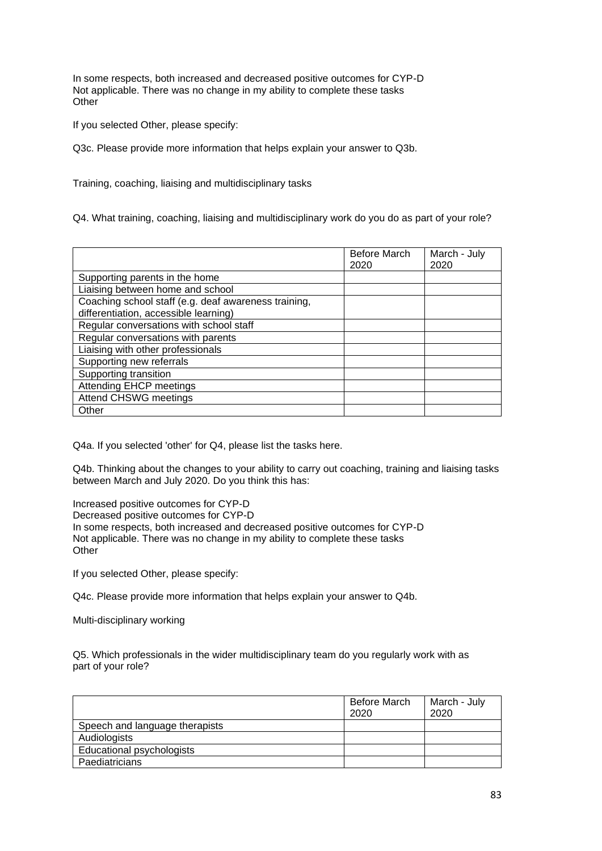In some respects, both increased and decreased positive outcomes for CYP-D Not applicable. There was no change in my ability to complete these tasks **Other** 

If you selected Other, please specify:

Q3c. Please provide more information that helps explain your answer to Q3b.

Training, coaching, liaising and multidisciplinary tasks

Q4. What training, coaching, liaising and multidisciplinary work do you do as part of your role?

|                                                                                               | Before March<br>2020 | March - July<br>2020 |
|-----------------------------------------------------------------------------------------------|----------------------|----------------------|
| Supporting parents in the home                                                                |                      |                      |
| Liaising between home and school                                                              |                      |                      |
| Coaching school staff (e.g. deaf awareness training,<br>differentiation, accessible learning) |                      |                      |
| Regular conversations with school staff                                                       |                      |                      |
| Regular conversations with parents                                                            |                      |                      |
| Liaising with other professionals                                                             |                      |                      |
| Supporting new referrals                                                                      |                      |                      |
| Supporting transition                                                                         |                      |                      |
| Attending EHCP meetings                                                                       |                      |                      |
| <b>Attend CHSWG meetings</b>                                                                  |                      |                      |
| Other                                                                                         |                      |                      |

Q4a. If you selected 'other' for Q4, please list the tasks here.

Q4b. Thinking about the changes to your ability to carry out coaching, training and liaising tasks between March and July 2020. Do you think this has:

Increased positive outcomes for CYP-D Decreased positive outcomes for CYP-D In some respects, both increased and decreased positive outcomes for CYP-D Not applicable. There was no change in my ability to complete these tasks **Other** 

If you selected Other, please specify:

Q4c. Please provide more information that helps explain your answer to Q4b.

Multi-disciplinary working

Q5. Which professionals in the wider multidisciplinary team do you regularly work with as part of your role?

|                                | Before March<br>2020 | March - July<br>2020 |
|--------------------------------|----------------------|----------------------|
| Speech and language therapists |                      |                      |
| Audiologists                   |                      |                      |
| Educational psychologists      |                      |                      |
| Paediatricians                 |                      |                      |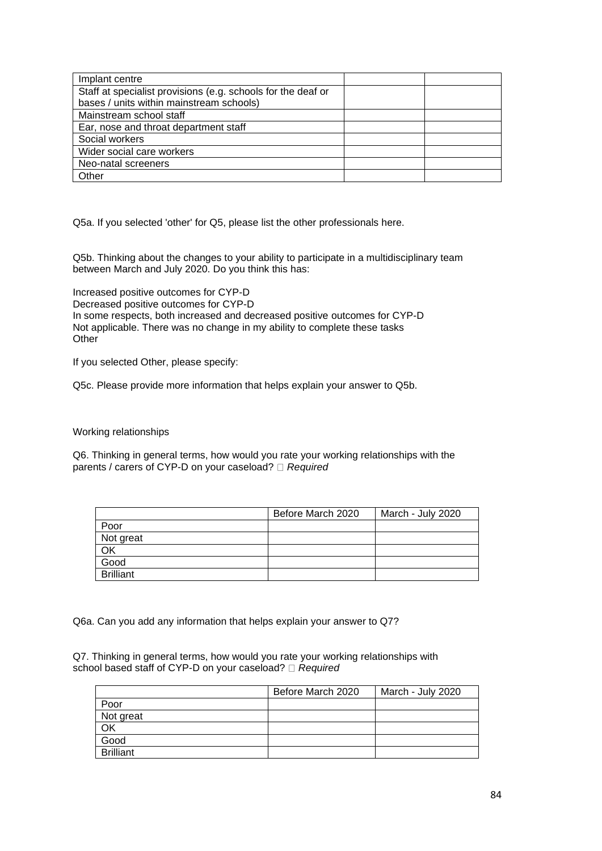| Implant centre                                               |  |
|--------------------------------------------------------------|--|
| Staff at specialist provisions (e.g. schools for the deaf or |  |
| bases / units within mainstream schools)                     |  |
| Mainstream school staff                                      |  |
| Ear, nose and throat department staff                        |  |
| Social workers                                               |  |
| Wider social care workers                                    |  |
| Neo-natal screeners                                          |  |
| Other                                                        |  |

Q5a. If you selected 'other' for Q5, please list the other professionals here.

Q5b. Thinking about the changes to your ability to participate in a multidisciplinary team between March and July 2020. Do you think this has:

Increased positive outcomes for CYP-D Decreased positive outcomes for CYP-D In some respects, both increased and decreased positive outcomes for CYP-D Not applicable. There was no change in my ability to complete these tasks **Other** 

If you selected Other, please specify:

Q5c. Please provide more information that helps explain your answer to Q5b.

Working relationships

Q6. Thinking in general terms, how would you rate your working relationships with the parents / carers of CYP-D on your caseload? *Required*

|                  | Before March 2020 | March - July 2020 |
|------------------|-------------------|-------------------|
| Poor             |                   |                   |
| Not great        |                   |                   |
| OK               |                   |                   |
| Good             |                   |                   |
| <b>Brilliant</b> |                   |                   |

Q6a. Can you add any information that helps explain your answer to Q7?

Q7. Thinking in general terms, how would you rate your working relationships with school based staff of CYP-D on your caseload? *Required* 

|                  | Before March 2020 | March - July 2020 |
|------------------|-------------------|-------------------|
| Poor             |                   |                   |
| Not great        |                   |                   |
| OK               |                   |                   |
| Good             |                   |                   |
| <b>Brilliant</b> |                   |                   |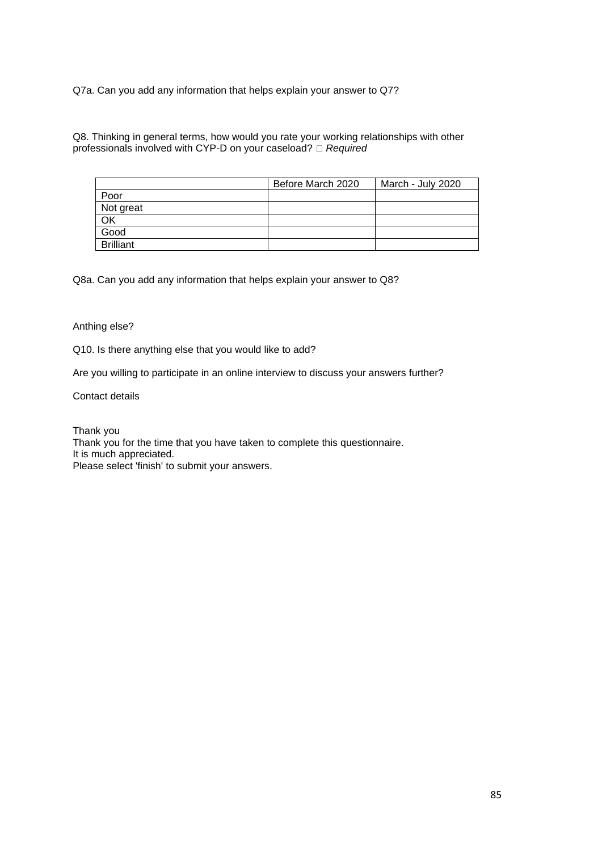Q7a. Can you add any information that helps explain your answer to Q7?

Q8. Thinking in general terms, how would you rate your working relationships with other professionals involved with CYP-D on your caseload? *Required*

|                  | Before March 2020 | March - July 2020 |
|------------------|-------------------|-------------------|
| Poor             |                   |                   |
| Not great        |                   |                   |
| OK               |                   |                   |
| Good             |                   |                   |
| <b>Brilliant</b> |                   |                   |

Q8a. Can you add any information that helps explain your answer to Q8?

#### Anthing else?

Q10. Is there anything else that you would like to add?

Are you willing to participate in an online interview to discuss your answers further?

Contact details

Thank you Thank you for the time that you have taken to complete this questionnaire. It is much appreciated. Please select 'finish' to submit your answers.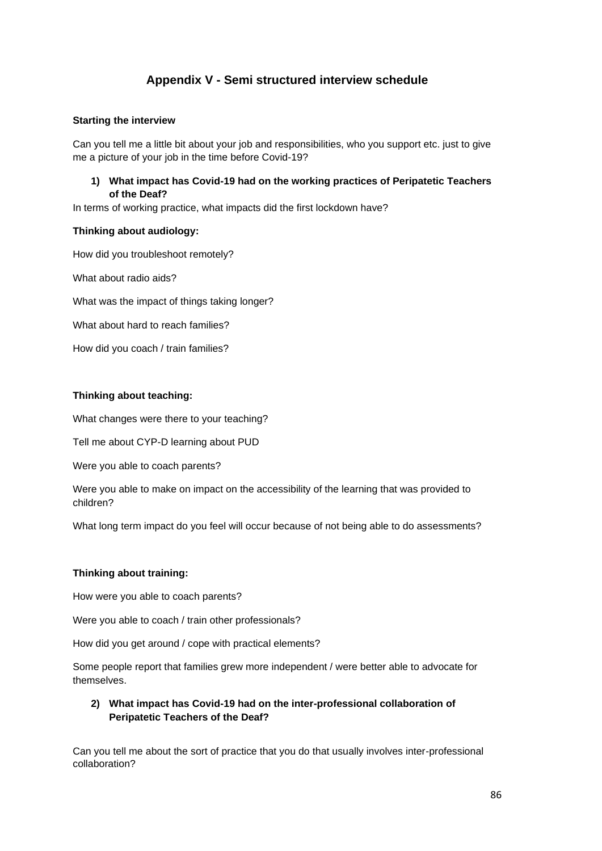# **Appendix V - Semi structured interview schedule**

#### **Starting the interview**

Can you tell me a little bit about your job and responsibilities, who you support etc. just to give me a picture of your job in the time before Covid-19?

#### **1) What impact has Covid-19 had on the working practices of Peripatetic Teachers of the Deaf?**

In terms of working practice, what impacts did the first lockdown have?

#### **Thinking about audiology:**

How did you troubleshoot remotely?

What about radio aids?

What was the impact of things taking longer?

What about hard to reach families?

How did you coach / train families?

#### **Thinking about teaching:**

What changes were there to your teaching?

Tell me about CYP-D learning about PUD

Were you able to coach parents?

Were you able to make on impact on the accessibility of the learning that was provided to children?

What long term impact do you feel will occur because of not being able to do assessments?

#### **Thinking about training:**

How were you able to coach parents?

Were you able to coach / train other professionals?

How did you get around / cope with practical elements?

Some people report that families grew more independent / were better able to advocate for themselves.

## **2) What impact has Covid-19 had on the inter-professional collaboration of Peripatetic Teachers of the Deaf?**

Can you tell me about the sort of practice that you do that usually involves inter-professional collaboration?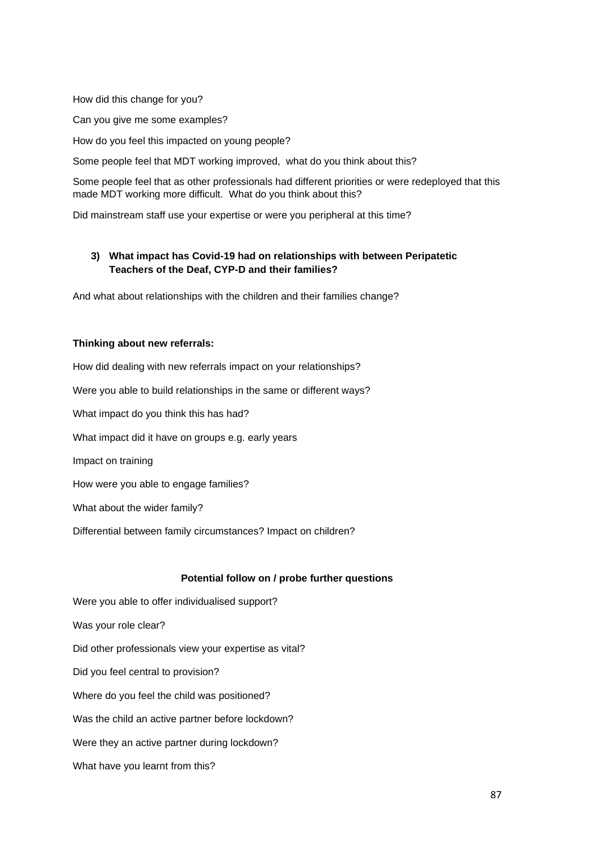How did this change for you?

Can you give me some examples?

How do you feel this impacted on young people?

Some people feel that MDT working improved, what do you think about this?

Some people feel that as other professionals had different priorities or were redeployed that this made MDT working more difficult. What do you think about this?

Did mainstream staff use your expertise or were you peripheral at this time?

## **3) What impact has Covid-19 had on relationships with between Peripatetic Teachers of the Deaf, CYP-D and their families?**

And what about relationships with the children and their families change?

#### **Thinking about new referrals:**

How did dealing with new referrals impact on your relationships? Were you able to build relationships in the same or different ways? What impact do you think this has had? What impact did it have on groups e.g. early years Impact on training How were you able to engage families? What about the wider family?

Differential between family circumstances? Impact on children?

#### **Potential follow on / probe further questions**

Were you able to offer individualised support? Was your role clear? Did other professionals view your expertise as vital? Did you feel central to provision? Where do you feel the child was positioned? Was the child an active partner before lockdown? Were they an active partner during lockdown? What have you learnt from this?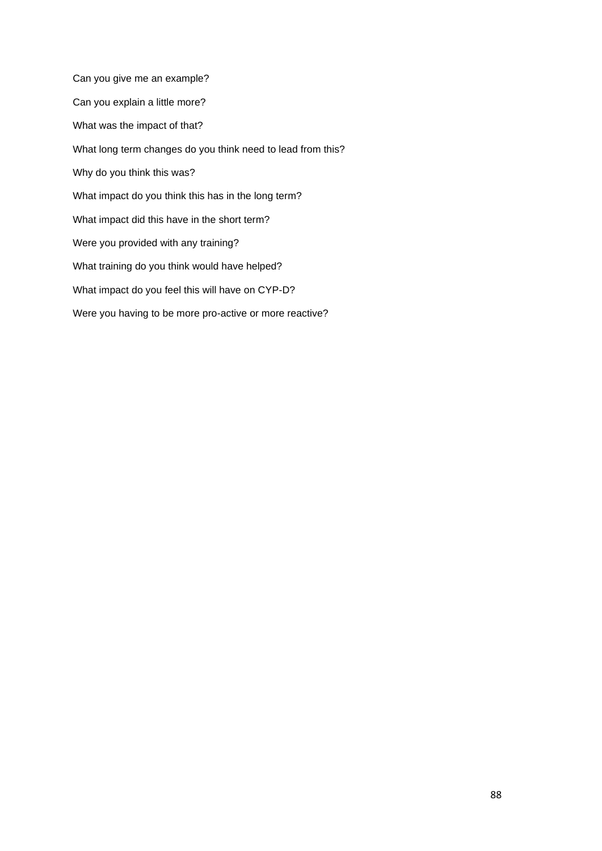Can you give me an example? Can you explain a little more? What was the impact of that? What long term changes do you think need to lead from this? Why do you think this was? What impact do you think this has in the long term? What impact did this have in the short term? Were you provided with any training? What training do you think would have helped? What impact do you feel this will have on CYP-D? Were you having to be more pro-active or more reactive?